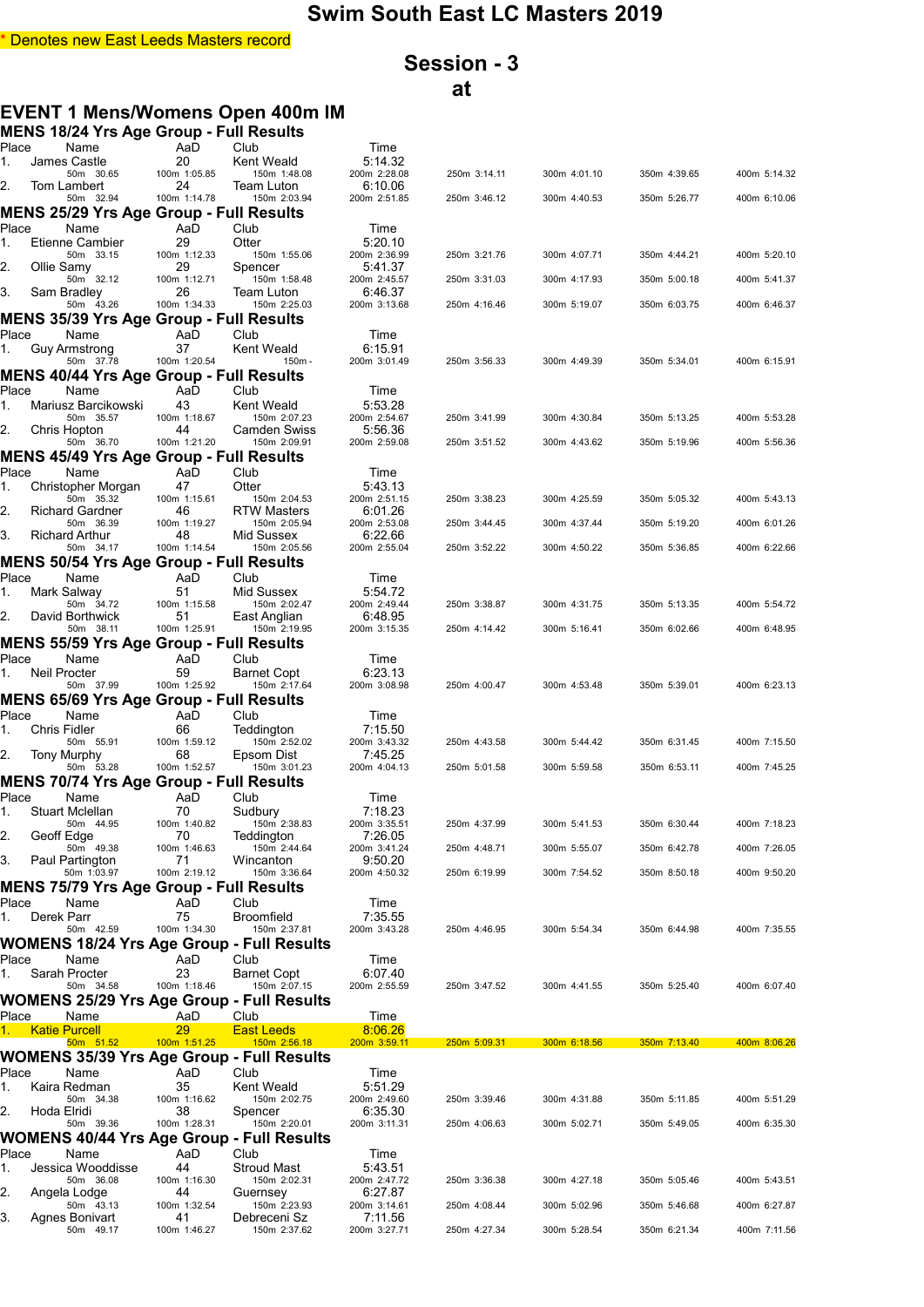## **Session - 3 at**

## **EVENT 1 Mens/Womens Open 400m IM**

|             | MENS 18/24 Yrs Age Group - Full Results              |                    |                                    |                         |              |              |              |              |
|-------------|------------------------------------------------------|--------------------|------------------------------------|-------------------------|--------------|--------------|--------------|--------------|
| Place<br>1. | Name<br>James Castle                                 | AaD<br>20          | Club<br>Kent Weald                 | Time<br>5:14.32         |              |              |              |              |
|             | 50m 30.65                                            | 100m 1:05.85       | 150m 1:48.08                       | 200m 2:28.08            | 250m 3:14.11 | 300m 4:01.10 | 350m 4:39.65 | 400m 5:14.32 |
| 2.          | Tom Lambert<br>50m 32.94                             | 24<br>100m 1:14.78 | Team Luton<br>150m 2:03.94         | 6:10.06<br>200m 2:51.85 | 250m 3:46.12 | 300m 4:40.53 | 350m 5:26.77 | 400m 6:10.06 |
|             | MENS 25/29 Yrs Age Group - Full Results              |                    |                                    |                         |              |              |              |              |
| Place       | Name                                                 | AaD                | Club                               | Time                    |              |              |              |              |
| 1.          | Etienne Cambier                                      | 29                 | Otter                              | 5:20.10                 |              |              |              |              |
| 2.          | 50m 33.15<br>Ollie Samy                              | 100m 1:12.33<br>29 | 150m 1:55.06<br>Spencer            | 200m 2:36.99<br>5:41.37 | 250m 3:21.76 | 300m 4:07.71 | 350m 4:44.21 | 400m 5:20.10 |
| 3.          | 50m 32.12                                            | 100m 1:12.71       | 150m 1:58.48                       | 200m 2:45.57            | 250m 3:31.03 | 300m 4:17.93 | 350m 5:00.18 | 400m 5:41.37 |
|             | Sam Bradley<br>50m 43.26                             | 26<br>100m 1:34.33 | Team Luton<br>150m 2:25.03         | 6:46.37<br>200m 3:13.68 | 250m 4:16.46 | 300m 5:19.07 | 350m 6:03.75 | 400m 6:46.37 |
|             | <b>MENS 35/39 Yrs Age Group - Full Results</b>       |                    |                                    |                         |              |              |              |              |
| Place       | Name                                                 | AaD                | Club                               | Time                    |              |              |              |              |
| 1.          | Guy Armstrong<br>50m 37.78                           | 37<br>100m 1:20.54 | Kent Weald<br>150m -               | 6:15.91<br>200m 3:01.49 | 250m 3:56.33 | 300m 4:49.39 | 350m 5:34.01 | 400m 6:15.91 |
|             | MENS 40/44 Yrs Age Group - Full Results              |                    |                                    |                         |              |              |              |              |
| Place       | Name                                                 | AaD                | Club                               | Time                    |              |              |              |              |
| 1.          | Mariusz Barcikowski<br>50m 35.57                     | 43<br>100m 1:18.67 | Kent Weald<br>150m 2:07.23         | 5:53.28<br>200m 2:54.67 | 250m 3:41.99 | 300m 4:30.84 | 350m 5:13.25 | 400m 5:53.28 |
| 2.          | Chris Hopton                                         | 44                 | Camden Swiss                       | 5:56.36                 |              |              |              |              |
|             | 50m 36.70                                            | 100m 1:21.20       | 150m 2:09.91                       | 200m 2:59.08            | 250m 3:51.52 | 300m 4:43.62 | 350m 5:19.96 | 400m 5:56.36 |
| Place       | MENS 45/49 Yrs Age Group - Full Results<br>Name      | AaD                | Club                               | Time                    |              |              |              |              |
| 1.          | Christopher Morgan                                   | 47                 | Otter                              | 5:43.13                 |              |              |              |              |
| 2.          | 50m 35.32                                            | 100m 1:15.61       | 150m 2:04.53<br><b>RTW Masters</b> | 200m 2:51.15            | 250m 3:38.23 | 300m 4:25.59 | 350m 5:05.32 | 400m 5:43.13 |
|             | <b>Richard Gardner</b><br>50m 36.39                  | 46<br>100m 1:19.27 | 150m 2:05.94                       | 6:01.26<br>200m 2:53.08 | 250m 3:44.45 | 300m 4:37.44 | 350m 5:19.20 | 400m 6:01.26 |
| 3.          | <b>Richard Arthur</b>                                | 48                 | Mid Sussex<br>150m 2:05.56         | 6:22.66<br>200m 2:55.04 |              | 300m 4:50.22 | 350m 5:36.85 |              |
|             | 50m 34.17<br>MENS 50/54 Yrs Age Group - Full Results | 100m 1:14.54       |                                    |                         | 250m 3:52.22 |              |              | 400m 6:22.66 |
| Place       | Name                                                 | AaD                | Club                               | Time                    |              |              |              |              |
| 1.          | Mark Salway                                          | 51                 | Mid Sussex                         | 5:54.72                 |              |              |              |              |
| 2.          | 50m 34.72<br>David Borthwick                         | 100m 1:15.58<br>51 | 150m 2:02.47<br>East Anglian       | 200m 2:49.44<br>6:48.95 | 250m 3:38.87 | 300m 4:31.75 | 350m 5:13.35 | 400m 5:54.72 |
|             | 50m 38.11                                            | 100m 1:25.91       | 150m 2:19.95                       | 200m 3:15.35            | 250m 4:14.42 | 300m 5:16.41 | 350m 6:02.66 | 400m 6:48.95 |
|             | MENS 55/59 Yrs Age Group - Full Results              |                    |                                    |                         |              |              |              |              |
| Place<br>1. | Name<br>Neil Procter                                 | AaD<br>59          | Club<br><b>Barnet Copt</b>         | Time<br>6:23.13         |              |              |              |              |
|             | 50m 37.99                                            | 100m 1:25.92       | 150m 2:17.64                       | 200m 3:08.98            | 250m 4:00.47 | 300m 4:53.48 | 350m 5:39.01 | 400m 6:23.13 |
|             | <b>MENS 65/69 Yrs Age Group - Full Results</b>       |                    |                                    |                         |              |              |              |              |
| Place<br>1. | Name<br><b>Chris Fidler</b>                          | AaD<br>66          | Club<br>Teddington                 | Time<br>7:15.50         |              |              |              |              |
|             | 50m 55.91                                            | 100m 1:59.12       | 150m 2:52.02                       | 200m 3:43.32            | 250m 4:43.58 | 300m 5:44.42 | 350m 6:31.45 | 400m 7:15.50 |
| 2.          | Tony Murphy<br>50m 53.28                             | 68<br>100m 1:52.57 | Epsom Dist<br>150m 3:01.23         | 7:45.25<br>200m 4:04.13 | 250m 5:01.58 | 300m 5:59.58 | 350m 6:53.11 | 400m 7:45.25 |
|             | <b>MENS 70/74 Yrs Age Group - Full Results</b>       |                    |                                    |                         |              |              |              |              |
| Place       | Name                                                 | AaD                | Club                               | Time                    |              |              |              |              |
| 1.          | Stuart Mclellan                                      | 70                 | Sudbury                            | 7:18.23                 |              |              |              |              |
| 2.          | 50m 44.95<br>Geoff Edge                              | 100m 1:40.82<br>70 | 150m 2:38.83<br>Teddington         | 200m 3:35.51<br>7:26.05 | 250m 4:37.99 | 300m 5:41.53 | 350m 6:30.44 | 400m 7:18.23 |
|             | 50m 49.38                                            | 100m 1:46.63       | 150m 2:44.64                       | 200m 3:41.24            | 250m 4:48.71 | 300m 5:55.07 | 350m 6:42.78 | 400m 7:26.05 |
| 3.          | Paul Partington<br>50m 1:03.97                       | 71<br>100m 2:19.12 | Wincanton<br>150m 3:36.64          | 9:50.20<br>200m 4:50.32 | 250m 6:19.99 | 300m 7:54.52 | 350m 8:50.18 | 400m 9:50.20 |
|             | MENS 75/79 Yrs Age Group - Full Results              |                    |                                    |                         |              |              |              |              |
| Place       | Name                                                 | AaD                | Club                               | Time                    |              |              |              |              |
| 1.          | Derek Parr<br>50m 42.59                              | 75<br>100m 1:34.30 | <b>Broomfield</b><br>150m 2:37.81  | 7:35.55<br>200m 3:43.28 | 250m 4:46.95 | 300m 5:54.34 | 350m 6:44.98 | 400m 7:35.55 |
|             | <b>WOMENS 18/24 Yrs Age Group - Full Results</b>     |                    |                                    |                         |              |              |              |              |
| Place       | Name                                                 | AaD                | Club                               | Time                    |              |              |              |              |
| 1.          | Sarah Procter<br>50m 34.58                           | 23<br>100m 1:18.46 | <b>Barnet Copt</b><br>150m 2:07.15 | 6:07.40<br>200m 2:55.59 | 250m 3:47.52 | 300m 4:41.55 | 350m 5:25.40 | 400m 6:07.40 |
|             | WOMENS 25/29 Yrs Age Group - Full Results            |                    |                                    |                         |              |              |              |              |
| Place       | Name                                                 | AaD                | Club                               | Time                    |              |              |              |              |
|             | <b>Katie Purcell</b><br>50m 51.52                    | 29<br>100m 1:51.25 | <b>East Leeds</b><br>150m 2:56.18  | 8:06.26<br>200m 3:59.11 | 250m 5:09.31 | 300m 6:18.56 | 350m 7:13.40 | 400m 8:06.26 |
|             | WOMENS 35/39 Yrs Age Group - Full Results            |                    |                                    |                         |              |              |              |              |
| Place       | Name                                                 | AaD                | Club                               | Time                    |              |              |              |              |
| 1.          | Kaira Redman<br>50m 34.38                            | 35<br>100m 1:16.62 | Kent Weald<br>150m 2:02.75         | 5:51.29<br>200m 2:49.60 | 250m 3:39.46 | 300m 4:31.88 | 350m 5:11.85 | 400m 5:51.29 |
| 2.          | Hoda Elridi                                          | 38                 | Spencer                            | 6:35.30                 |              |              |              |              |
|             | 50m 39.36                                            | 100m 1:28.31       | 150m 2:20.01                       | 200m 3:11.31            | 250m 4:06.63 | 300m 5:02.71 | 350m 5:49.05 | 400m 6:35.30 |
|             | WOMENS 40/44 Yrs Age Group - Full Results            |                    |                                    |                         |              |              |              |              |
| Place<br>1. | Name<br>Jessica Wooddisse                            | AaD<br>44          | Club<br>Stroud Mast                | Time<br>5:43.51         |              |              |              |              |
|             | 50m 36.08                                            | 100m 1:16.30       | 150m 2:02.31                       | 200m 2:47.72            | 250m 3:36.38 | 300m 4:27.18 | 350m 5:05.46 | 400m 5:43.51 |
| 2.          | Angela Lodge<br>50m 43.13                            | 44<br>100m 1:32.54 | Guernsey<br>150m 2:23.93           | 6:27.87<br>200m 3:14.61 | 250m 4:08.44 | 300m 5:02.96 | 350m 5:46.68 | 400m 6:27.87 |
| 3.          | Agnes Bonivart                                       | 41                 | Debreceni Sz                       | 7:11.56                 |              |              |              |              |
|             | 50m 49.17                                            | 100m 1:46.27       | 150m 2:37.62                       | 200m 3:27.71            | 250m 4:27.34 | 300m 5:28.54 | 350m 6:21.34 | 400m 7:11.56 |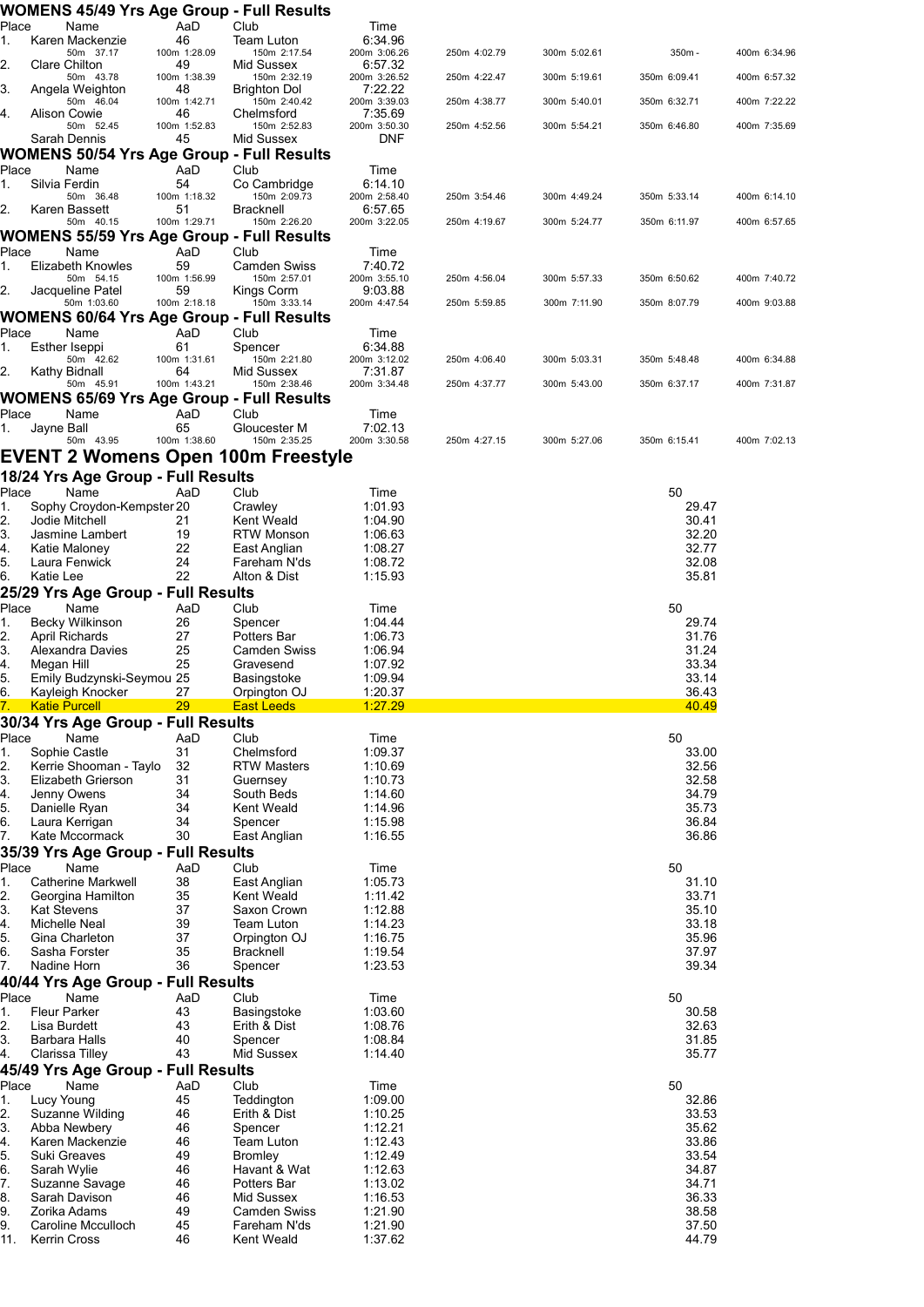|             | WOMENS 45/49 Yrs Age Group - Full Results        |                    |                                  |                            |              |              |                |              |
|-------------|--------------------------------------------------|--------------------|----------------------------------|----------------------------|--------------|--------------|----------------|--------------|
| Place       | Name                                             | AaD                | Club                             | Time                       |              |              |                |              |
| 1.          | Karen Mackenzie<br>50m 37.17                     | 46<br>100m 1:28.09 | Team Luton<br>150m 2:17.54       | 6:34.96<br>200m 3:06.26    | 250m 4:02.79 | 300m 5:02.61 | 350m -         | 400m 6:34.96 |
| 2.          | Clare Chilton                                    | 49                 | Mid Sussex                       | 6:57.32                    |              |              |                |              |
| 3.          | 50m 43.78<br>Angela Weighton                     | 100m 1:38.39       | 150m 2:32.19                     | 200m 3:26.52<br>7:22.22    | 250m 4:22.47 | 300m 5:19.61 | 350m 6:09.41   | 400m 6:57.32 |
|             | 50m 46.04                                        | 48<br>100m 1:42.71 | Brighton Dol<br>150m 2:40.42     | 200m 3:39.03               | 250m 4:38.77 | 300m 5:40.01 | 350m 6:32.71   | 400m 7:22.22 |
| 4.          | Alison Cowie                                     | 46                 | Chelmsford                       | 7:35.69                    |              |              |                |              |
|             | 50m 52.45<br>Sarah Dennis                        | 100m 1:52.83<br>45 | 150m 2:52.83<br>Mid Sussex       | 200m 3:50.30<br><b>DNF</b> | 250m 4:52.56 | 300m 5:54.21 | 350m 6:46.80   | 400m 7:35.69 |
|             | WOMENS 50/54 Yrs Age Group - Full Results        |                    |                                  |                            |              |              |                |              |
| Place       | Name                                             | AaD                | Club                             | Time                       |              |              |                |              |
| 1.          | Silvia Ferdin                                    | 54                 | Co Cambridge                     | 6:14.10                    |              |              |                |              |
|             | 50m 36.48                                        | 100m 1:18.32       | 150m 2:09.73                     | 200m 2:58.40               | 250m 3:54.46 | 300m 4:49.24 | 350m 5:33.14   | 400m 6:14.10 |
| 2.          | Karen Bassett<br>50m 40.15                       | 51<br>100m 1:29.71 | <b>Bracknell</b><br>150m 2:26.20 | 6:57.65<br>200m 3:22.05    | 250m 4:19.67 | 300m 5:24.77 | 350m 6:11.97   | 400m 6:57.65 |
|             | WOMENS 55/59 Yrs Age Group - Full Results        |                    |                                  |                            |              |              |                |              |
| Place       | Name                                             | AaD                | Club                             | Time                       |              |              |                |              |
| 1.          | Elizabeth Knowles                                | 59                 | Camden Swiss                     | 7:40.72                    |              |              |                |              |
|             | 50m 54.15                                        | 100m 1:56.99       | 150m 2:57.01                     | 200m 3:55.10               | 250m 4:56.04 | 300m 5:57.33 | 350m 6:50.62   | 400m 7:40.72 |
| 2.          | Jacqueline Patel<br>50m 1:03.60                  | 59<br>100m 2:18.18 | Kings Corm<br>150m 3:33.14       | 9:03.88<br>200m 4:47.54    | 250m 5:59.85 | 300m 7:11.90 | 350m 8:07.79   | 400m 9:03.88 |
|             | <b>WOMENS 60/64 Yrs Age Group - Full Results</b> |                    |                                  |                            |              |              |                |              |
| Place       | Name                                             | AaD                | Club                             | Time                       |              |              |                |              |
| 1.          | Esther Iseppi                                    | 61                 | Spencer                          | 6:34.88                    |              |              |                |              |
|             | 50m 42.62                                        | 100m 1:31.61       | 150m 2:21.80                     | 200m 3:12.02               | 250m 4:06.40 | 300m 5:03.31 | 350m 5:48.48   | 400m 6:34.88 |
| 2.          | Kathy Bidnall<br>50m 45.91                       | 64<br>100m 1:43.21 | Mid Sussex<br>150m 2:38.46       | 7:31.87<br>200m 3:34.48    | 250m 4:37.77 | 300m 5:43.00 | 350m 6:37.17   | 400m 7:31.87 |
|             | <b>WOMENS 65/69 Yrs Age Group - Full Results</b> |                    |                                  |                            |              |              |                |              |
| Place       | Name                                             | AaD                | Club                             | Time                       |              |              |                |              |
| 1.          | Jayne Ball                                       | 65                 | Gloucester M                     | 7:02.13                    |              |              |                |              |
|             | 50m 43.95                                        | 100m 1:38.60       | 150m 2:35.25                     | 200m 3:30.58               | 250m 4:27.15 | 300m 5:27.06 | 350m 6:15.41   | 400m 7:02.13 |
|             | EVENT 2 Womens Open 100m Freestyle               |                    |                                  |                            |              |              |                |              |
|             | 18/24 Yrs Age Group - Full Results               |                    |                                  |                            |              |              |                |              |
| Place       | Name                                             | AaD                | Club                             | Time                       |              |              | 50             |              |
| 1.          | Sophy Croydon-Kempster 20                        |                    | Crawley                          | 1:01.93                    |              |              | 29.47          |              |
| 2.          | Jodie Mitchell                                   | 21                 | Kent Weald                       | 1:04.90                    |              |              | 30.41          |              |
| 3.          | Jasmine Lambert                                  | 19                 | <b>RTW Monson</b>                | 1:06.63                    |              |              | 32.20          |              |
| 4.          | Katie Maloney                                    | 22                 | East Anglian                     | 1:08.27                    |              |              | 32.77          |              |
| 5.<br>6.    | Laura Fenwick<br>Katie Lee                       | 24<br>22           | Fareham N'ds<br>Alton & Dist     | 1:08.72<br>1:15.93         |              |              | 32.08<br>35.81 |              |
|             | 25/29 Yrs Age Group - Full Results               |                    |                                  |                            |              |              |                |              |
| Place       | Name                                             | AaD                | Club                             | Time                       |              |              | 50             |              |
| 1.          | Becky Wilkinson                                  | 26                 | Spencer                          | 1:04.44                    |              |              | 29.74          |              |
| 2.          | April Richards                                   | 27                 | Potters Bar                      | 1:06.73                    |              |              | 31.76          |              |
| 3.          | Alexandra Davies                                 | 25                 | Camden Swiss                     | 1:06.94                    |              |              | 31.24          |              |
| 4.          | Megan Hill                                       | 25                 | Gravesend                        | 1:07.92                    |              |              | 33.34          |              |
| 5.          | Emily Budzynski-Seymou 25                        |                    | Basingstoke                      | 1:09.94                    |              |              | 33.14          |              |
| 6.          | Kayleigh Knocker                                 | 27                 | Orpington OJ                     | 1:20.37                    |              |              | 36.43          |              |
| 7.          | <b>Katie Purcell</b>                             | 29                 | <b>East Leeds</b>                | 1:27.29                    |              |              | 40.49          |              |
|             | 30/34 Yrs Age Group - Full Results               |                    |                                  |                            |              |              |                |              |
| Place<br>1. | Name<br>Sophie Castle                            | AaD<br>31          | Club<br>Chelmsford               | Time<br>1:09.37            |              |              | 50<br>33.00    |              |
| 2.          | Kerrie Shooman - Taylo                           | 32                 | <b>RTW Masters</b>               | 1:10.69                    |              |              | 32.56          |              |
| 3.          | Elizabeth Grierson                               | 31                 | Guernsey                         | 1:10.73                    |              |              | 32.58          |              |
| 4.          | Jenny Owens                                      | 34                 | South Beds                       | 1:14.60                    |              |              | 34.79          |              |
| 5.          | Danielle Ryan                                    | 34                 | Kent Weald                       | 1:14.96                    |              |              | 35.73          |              |
| 6.          | Laura Kerrigan                                   | 34                 | Spencer                          | 1:15.98                    |              |              | 36.84          |              |
| 7.          | Kate Mccormack                                   | 30                 | East Anglian                     | 1:16.55                    |              |              | 36.86          |              |
|             | 35/39 Yrs Age Group - Full Results               |                    |                                  |                            |              |              |                |              |
| Place<br>1. | Name<br>Catherine Markwell                       | AaD<br>38          | Club<br>East Anglian             | Time<br>1:05.73            |              |              | 50<br>31.10    |              |
| 2.          | Georgina Hamilton                                | 35                 | Kent Weald                       | 1:11.42                    |              |              | 33.71          |              |
| 3.          | <b>Kat Stevens</b>                               | 37                 | Saxon Crown                      | 1:12.88                    |              |              | 35.10          |              |
| 4.          | Michelle Neal                                    | 39                 | Team Luton                       | 1:14.23                    |              |              | 33.18          |              |
| 5.          | Gina Charleton                                   | 37                 | Orpington OJ                     | 1:16.75                    |              |              | 35.96          |              |
| 6.          | Sasha Forster                                    | 35                 | <b>Bracknell</b>                 | 1:19.54                    |              |              | 37.97          |              |
| 7.          | Nadine Horn                                      | 36                 | Spencer                          | 1:23.53                    |              |              | 39.34          |              |
|             | 40/44 Yrs Age Group - Full Results               |                    |                                  |                            |              |              |                |              |
| Place       | Name                                             | AaD                | Club                             | Time                       |              |              | 50             |              |
| 1.<br>2.    | <b>Fleur Parker</b><br>Lisa Burdett              | 43<br>43           | Basingstoke<br>Erith & Dist      | 1:03.60<br>1:08.76         |              |              | 30.58<br>32.63 |              |
| 3.          | Barbara Halls                                    | 40                 | Spencer                          | 1:08.84                    |              |              | 31.85          |              |
| 4.          | Clarissa Tilley                                  | 43                 | Mid Sussex                       | 1:14.40                    |              |              | 35.77          |              |
|             | 45/49 Yrs Age Group - Full Results               |                    |                                  |                            |              |              |                |              |
| Place       | Name                                             | AaD                | Club                             | Time                       |              |              | 50             |              |
| 1.          | Lucy Young                                       | 45                 | Teddington                       | 1:09.00                    |              |              | 32.86          |              |
| 2.          | Suzanne Wilding                                  | 46                 | Erith & Dist                     | 1:10.25                    |              |              | 33.53          |              |
| 3.          | Abba Newbery                                     | 46                 | Spencer                          | 1:12.21                    |              |              | 35.62          |              |
| 4.          | Karen Mackenzie                                  | 46                 | Team Luton                       | 1:12.43                    |              |              | 33.86          |              |
| 5.<br>6.    | Suki Greaves                                     | 49<br>46           | <b>Bromley</b>                   | 1:12.49<br>1:12.63         |              |              | 33.54<br>34.87 |              |
| 7.          | Sarah Wylie<br>Suzanne Savage                    | 46                 | Havant & Wat<br>Potters Bar      | 1:13.02                    |              |              | 34.71          |              |
| 8.          | Sarah Davison                                    | 46                 | Mid Sussex                       | 1:16.53                    |              |              | 36.33          |              |
| 9.          | Zorika Adams                                     | 49                 | <b>Camden Swiss</b>              | 1:21.90                    |              |              | 38.58          |              |
| 9.          | Caroline Mcculloch                               | 45                 | Fareham N'ds                     | 1:21.90                    |              |              | 37.50          |              |
| 11.         | <b>Kerrin Cross</b>                              | 46                 | Kent Weald                       | 1:37.62                    |              |              | 44.79          |              |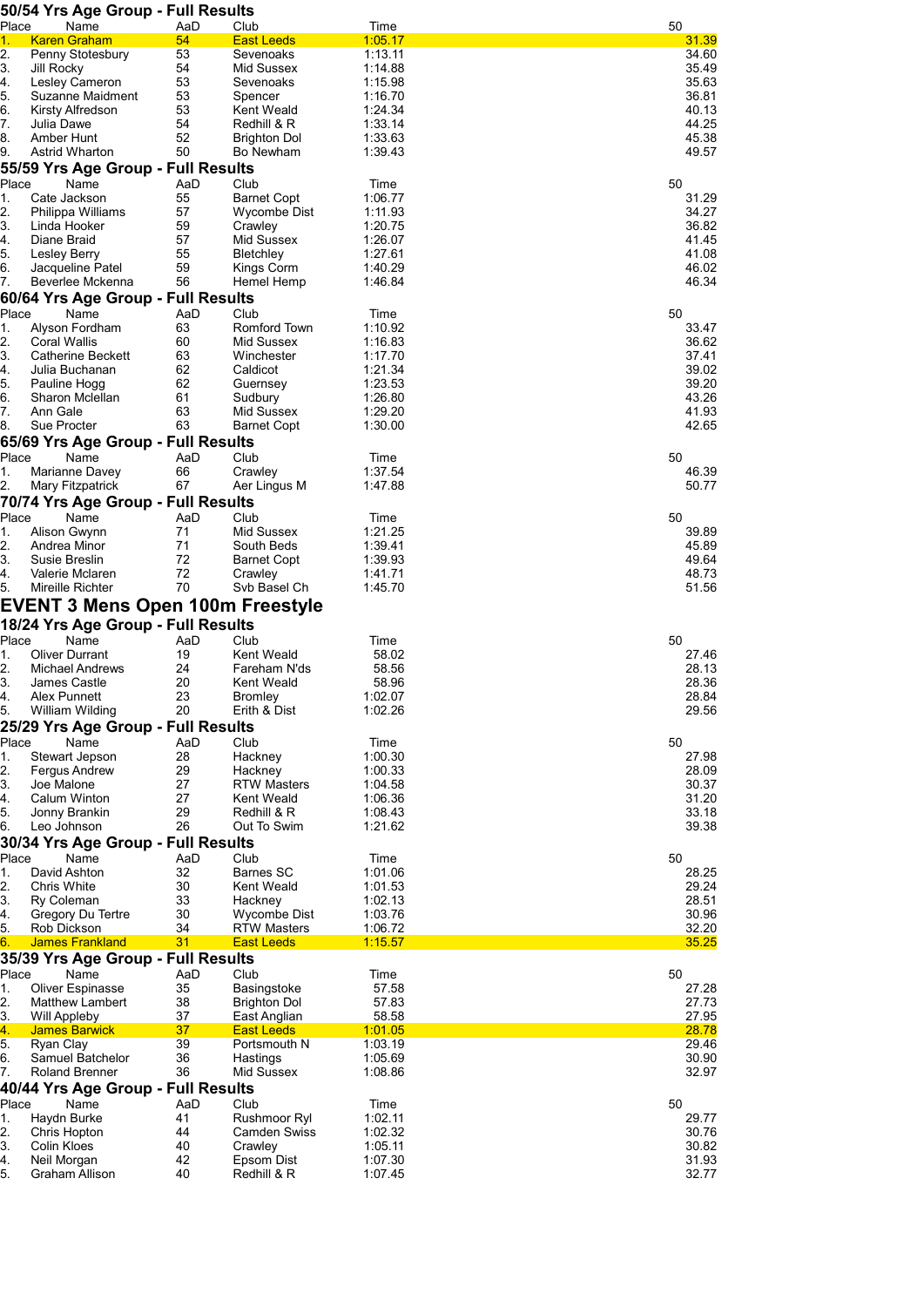|          | 50/54 Yrs Age Group - Full Results      |           |                                |                    |                |
|----------|-----------------------------------------|-----------|--------------------------------|--------------------|----------------|
| Place    | Name                                    | AaD       | Club                           | Time               | 50             |
| 1.       | <b>Karen Graham</b>                     | 54        | <b>East Leeds</b>              | <u>1:05.17</u>     | 31.39          |
| 2.       | Penny Stotesbury                        | 53        | Sevenoaks                      | 1:13.11            | 34.60          |
| 3.<br>4. | Jill Rocky<br>Lesley Cameron            | 54<br>53  | Mid Sussex<br>Sevenoaks        | 1:14.88<br>1:15.98 | 35.49<br>35.63 |
| 5.       | Suzanne Maidment                        | 53        | Spencer                        | 1:16.70            | 36.81          |
| 6.       | Kirsty Alfredson                        | 53        | Kent Weald                     | 1:24.34            | 40.13          |
| 7.       | Julia Dawe                              | 54        | Redhill & R                    | 1:33.14            | 44.25          |
| 8.       | Amber Hunt                              | 52        | Brighton Dol                   | 1:33.63            | 45.38          |
| 9.       | <b>Astrid Wharton</b>                   | 50        | Bo Newham                      | 1:39.43            | 49.57          |
|          | 55/59 Yrs Age Group - Full Results      |           |                                |                    |                |
| Place    | Name                                    | AaD       | Club                           | Time               | 50             |
| 1.       | Cate Jackson                            | 55        | <b>Barnet Copt</b>             | 1:06.77            | 31.29          |
| 2.       | Philippa Williams                       | 57        | Wycombe Dist                   | 1:11.93            | 34.27          |
| 3.       | Linda Hooker                            | 59        | Crawley                        | 1:20.75            | 36.82          |
| 4.       | Diane Braid                             | 57        | Mid Sussex                     | 1:26.07            | 41.45          |
| 5.       | Lesley Berry                            | 55        | Bletchley                      | 1:27.61            | 41.08          |
| 6.       | Jacqueline Patel                        | 59        | Kings Corm                     | 1:40.29            | 46.02          |
| 7.       | Beverlee Mckenna                        | 56        | Hemel Hemp                     | 1:46.84            | 46.34          |
|          | 60/64 Yrs Age Group - Full Results      |           |                                |                    |                |
| Place    | Name                                    | AaD       | Club                           | Time               | 50             |
| 1.       | Alyson Fordham                          | 63        | Romford Town                   | 1:10.92            | 33.47          |
| 2.       | Coral Wallis                            | 60        | Mid Sussex                     | 1:16.83            | 36.62          |
| 3.       | Catherine Beckett                       | 63        | Winchester                     | 1:17.70            | 37.41          |
| 4.       | Julia Buchanan                          | 62        | Caldicot                       | 1:21.34            | 39.02          |
| 5.       | Pauline Hogg                            | 62        | Guernsey                       | 1:23.53            | 39.20          |
| 6.       | Sharon Mclellan<br>Ann Gale             | 61<br>63  | Sudbury                        | 1:26.80<br>1:29.20 | 43.26          |
| 7.<br>8. | Sue Procter                             | 63        | Mid Sussex                     | 1:30.00            | 41.93<br>42.65 |
|          |                                         |           | <b>Barnet Copt</b>             |                    |                |
|          | 65/69 Yrs Age Group - Full Results      |           |                                |                    |                |
| Place    | Name                                    | AaD       | Club                           | Time               | 50             |
| 1.       | Marianne Davey                          | 66<br>67  | Crawley                        | 1:37.54<br>1:47.88 | 46.39          |
| 2.       | Mary Fitzpatrick                        |           | Aer Lingus M                   |                    | 50.77          |
|          | 70/74 Yrs Age Group - Full Results      |           |                                |                    |                |
| Place    | Name                                    | AaD<br>71 | Club<br>Mid Sussex             | Time<br>1:21.25    | 50             |
| 1.<br>2. | Alison Gwynn<br>Andrea Minor            | 71        | South Beds                     | 1:39.41            | 39.89<br>45.89 |
| 3.       | Susie Breslin                           | 72        | <b>Barnet Copt</b>             | 1:39.93            | 49.64          |
| 4.       | Valerie Mclaren                         | 72        | Crawley                        | 1:41.71            | 48.73          |
| 5.       | Mireille Richter                        | 70        | Svb Basel Ch                   | 1:45.70            | 51.56          |
|          | <b>EVENT 3 Mens Open 100m Freestyle</b> |           |                                |                    |                |
|          |                                         |           |                                |                    |                |
|          | 18/24 Yrs Age Group - Full Results      |           |                                |                    |                |
| Place    | Name                                    | AaD       | Club                           | Time               | 50             |
| 1.       | <b>Oliver Durrant</b>                   | 19        | Kent Weald                     | 58.02              | 27.46          |
| 2.       | <b>Michael Andrews</b>                  | 24        | Fareham N'ds                   | 58.56              | 28.13          |
| 3.       | James Castle                            | 20        | Kent Weald                     | 58.96              | 28.36          |
| 4.       | Alex Punnett                            | 23<br>20  | <b>Bromley</b><br>Erith & Dist | 1:02.07            | 28.84<br>29.56 |
| 5.       | William Wilding                         |           |                                | 1:02.26            |                |
|          | 25/29 Yrs Age Group - Full Results      |           |                                |                    |                |
| Place    | Name                                    | AaD       | Club                           | Time               | 50             |
| 1.<br>2. | Stewart Jepson<br><b>Fergus Andrew</b>  | 28<br>29  | Hackney                        | 1:00.30<br>1:00.33 | 27.98<br>28.09 |
| 3.       | Joe Malone                              | 27        | Hackney<br><b>RTW Masters</b>  | 1:04.58            | 30.37          |
| 4.       | Calum Winton                            | 27        | Kent Weald                     | 1:06.36            | 31.20          |
| 5.       | Jonny Brankin                           | 29        | Redhill & R                    | 1:08.43            | 33.18          |
| 6.       | Leo Johnson                             | 26        | Out To Swim                    | 1:21.62            | 39.38          |
|          | 30/34 Yrs Age Group - Full Results      |           |                                |                    |                |
| Place    | Name                                    | AaD       | Club                           | Time               | 50             |
| 1.       | David Ashton                            | 32        | Barnes SC                      | 1:01.06            | 28.25          |
| 2.       | Chris White                             | 30        | Kent Weald                     | 1:01.53            | 29.24          |
| 3.       | Ry Coleman                              | 33        | Hackney                        | 1:02.13            | 28.51          |
| 4.       | Gregory Du Tertre                       | 30        | Wycombe Dist                   | 1:03.76            | 30.96          |
| 5.       | Rob Dickson                             | 34        | <b>RTW Masters</b>             | 1:06.72            | 32.20          |
| 6.       | <b>James Frankland</b>                  | 31        | <b>East Leeds</b>              | 1:15.57            | 35.25          |
|          | 35/39 Yrs Age Group - Full Results      |           |                                |                    |                |
| Place    | Name                                    | AaD       | Club                           | Time               | 50             |
| 1.       | <b>Oliver Espinasse</b>                 | 35        | Basingstoke                    | 57.58              | 27.28          |
| 2.       | Matthew Lambert                         | 38        | <b>Brighton Dol</b>            | 57.83              | 27.73          |
| 3.       | <b>Will Appleby</b>                     | 37        | East Anglian                   | 58.58              | 27.95          |
| 4.       | <b>James Barwick</b>                    | 37        | <b>East Leeds</b>              | 1:01.05            | 28.78          |
| 5.       | Ryan Clay                               | 39        | Portsmouth N                   | 1:03.19            | 29.46          |
| 6.       | Samuel Batchelor                        | 36        | Hastings                       | 1:05.69            | 30.90          |
| 7.       | Roland Brenner                          | 36        | Mid Sussex                     | 1:08.86            | 32.97          |
|          | 40/44 Yrs Age Group - Full Results      |           |                                |                    |                |
| Place    | Name                                    | AaD       | Club                           | Time               | 50             |
| 1.       | Haydn Burke                             | 41        | Rushmoor Ryl                   | 1:02.11            | 29.77          |
| 2.       | Chris Hopton                            | 44        | Camden Swiss                   | 1:02.32            | 30.76          |
| 3.       | Colin Kloes                             | 40        | Crawley                        | 1:05.11            | 30.82          |
| 4.       | Neil Morgan                             | 42        | Epsom Dist                     | 1:07.30            | 31.93          |
| 5.       | Graham Allison                          | 40        | Redhill & R                    | 1:07.45            | 32.77          |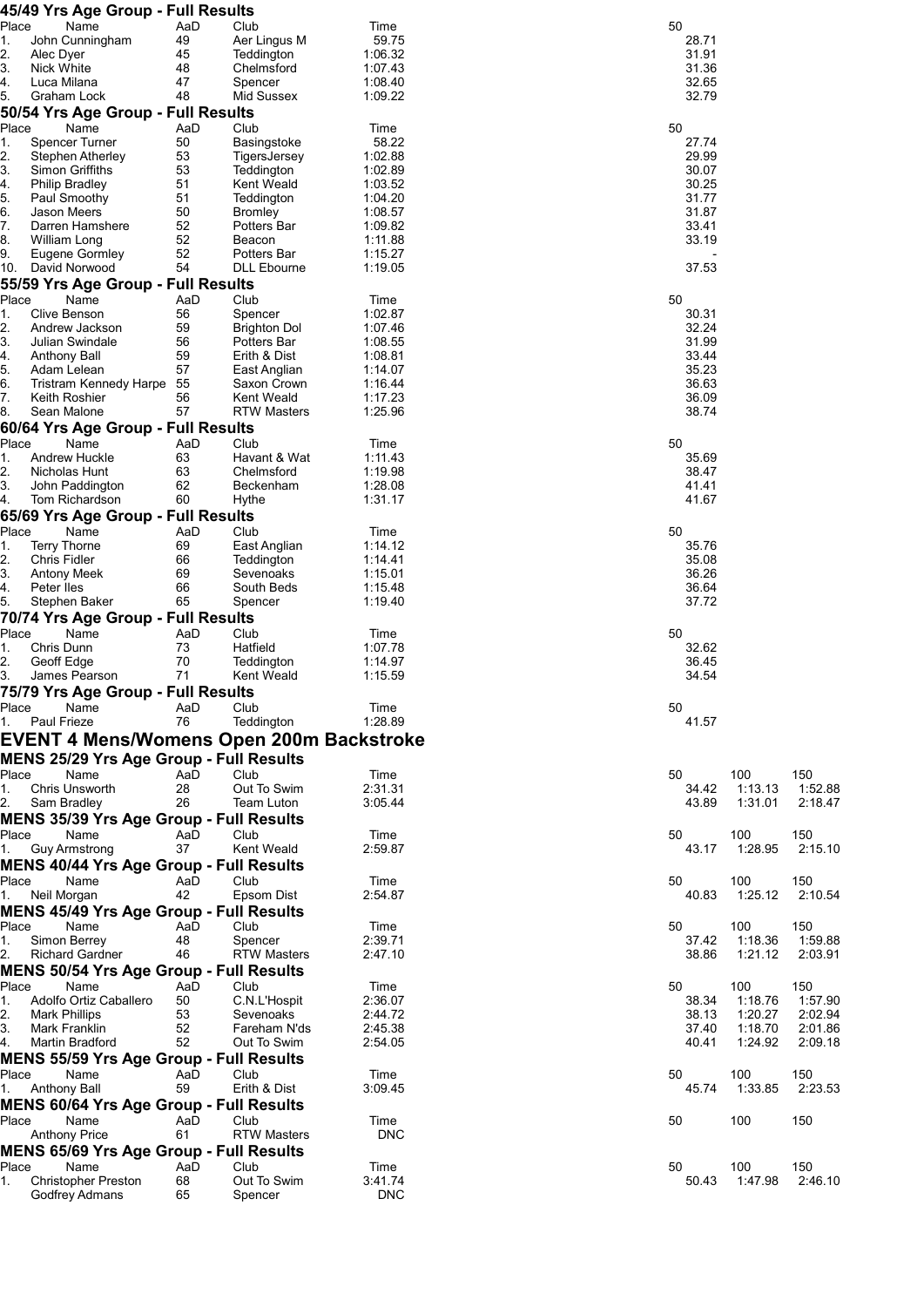| 45/49 Yrs Age Group - Full Results                              |           |                              |                       |                                      |
|-----------------------------------------------------------------|-----------|------------------------------|-----------------------|--------------------------------------|
| Place<br>Name                                                   | AaD       | Club                         | Time                  | 50                                   |
| 1.<br>John Cunningham                                           | 49        | Aer Lingus M                 | 59.75                 | 28.71                                |
| 2.<br>Alec Dyer<br>3.<br>Nick White                             | 45<br>48  | Teddington<br>Chelmsford     | 1:06.32<br>1:07.43    | 31.91<br>31.36                       |
| 4.<br>Luca Milana                                               | 47        | Spencer                      | 1:08.40               | 32.65                                |
| 5.<br>Graham Lock                                               | 48        | Mid Sussex                   | 1:09.22               | 32.79                                |
| 50/54 Yrs Age Group - Full Results                              |           |                              |                       |                                      |
| Place<br>Name                                                   | AaD       | Club                         | Time                  | 50                                   |
| 1.<br><b>Spencer Turner</b>                                     | 50        | Basingstoke                  | 58.22                 | 27.74                                |
| 2.<br>Stephen Atherley                                          | 53        | TigersJersey                 | 1:02.88               | 29.99                                |
| 3.<br>Simon Griffiths                                           | 53        | Teddington                   | 1:02.89               | 30.07                                |
| 4.<br><b>Philip Bradley</b>                                     | 51<br>51  | Kent Weald                   | 1:03.52<br>1:04.20    | 30.25<br>31.77                       |
| 5.<br>Paul Smoothy<br>Jason Meers                               | 50        | Teddington<br><b>Bromley</b> | 1:08.57               | 31.87                                |
| 6.<br>7.<br>Darren Hamshere                                     | 52        | Potters Bar                  | 1:09.82               | 33.41                                |
| 8.<br>William Long                                              | 52        | Beacon                       | 1:11.88               | 33.19                                |
| 9.<br>Eugene Gormley                                            | 52        | Potters Bar                  | 1:15.27               |                                      |
| David Norwood<br>10.                                            | 54        | <b>DLL Ebourne</b>           | 1:19.05               | 37.53                                |
| 55/59 Yrs Age Group - Full Results                              |           |                              |                       |                                      |
| Place<br>Name                                                   | AaD       | Club                         | Time                  | 50                                   |
| 1.<br>Clive Benson                                              | 56        | Spencer                      | 1:02.87               | 30.31                                |
| 2.<br>Andrew Jackson<br>3.                                      | 59        | <b>Brighton Dol</b>          | 1:07.46               | 32.24                                |
| Julian Swindale<br>4.<br><b>Anthony Ball</b>                    | 56<br>59  | Potters Bar<br>Erith & Dist  | 1:08.55<br>1:08.81    | 31.99<br>33.44                       |
| 5.<br>Adam Lelean                                               | 57        | East Anglian                 | 1:14.07               | 35.23                                |
| 6.<br>Tristram Kennedy Harpe                                    | 55        | Saxon Crown                  | 1:16.44               | 36.63                                |
| 7.<br>Keith Roshier                                             | 56        | Kent Weald                   | 1:17.23               | 36.09                                |
| 8.<br>Sean Malone                                               | 57        | <b>RTW Masters</b>           | 1:25.96               | 38.74                                |
| 60/64 Yrs Age Group - Full Results                              |           |                              |                       |                                      |
| Place<br>Name                                                   | AaD       | Club                         | Time                  | 50                                   |
| Andrew Huckle<br>1.                                             | 63        | Havant & Wat                 | 1:11.43               | 35.69                                |
| 2.<br>Nicholas Hunt                                             | 63        | Chelmsford                   | 1:19.98               | 38.47                                |
| 3.<br>John Paddington<br>4.<br>Tom Richardson                   | 62<br>60  | Beckenham<br>Hythe           | 1:28.08<br>1:31.17    | 41.41<br>41.67                       |
| 65/69 Yrs Age Group - Full Results                              |           |                              |                       |                                      |
| Place<br>Name                                                   | AaD       | Club                         | Time                  | 50                                   |
| 1.<br><b>Terry Thorne</b>                                       | 69        | East Anglian                 | 1:14.12               | 35.76                                |
| 2.<br><b>Chris Fidler</b>                                       | 66        | Teddington                   | 1:14.41               | 35.08                                |
| 3.<br><b>Antony Meek</b>                                        | 69        | Sevenoaks                    | 1:15.01               | 36.26                                |
| 4.<br>Peter lles                                                | 66        | South Beds                   | 1:15.48               | 36.64                                |
| 5.<br>Stephen Baker                                             | 65        | Spencer                      | 1:19.40               | 37.72                                |
| 70/74 Yrs Age Group - Full Results                              |           |                              |                       |                                      |
| Place<br>Name                                                   | AaD       | Club                         | Time                  | 50                                   |
| 1.<br>Chris Dunn<br>Geoff Edge                                  | 73<br>70  | Hatfield<br>Teddington       | 1:07.78<br>1:14.97    | 32.62<br>36.45                       |
| 2.<br>3.<br>James Pearson                                       | 71        | Kent Weald                   | 1:15.59               | 34.54                                |
| 75/79 Yrs Age Group - Full Results                              |           |                              |                       |                                      |
| Place<br>Name                                                   | AaD       | Club                         | Time                  | 50                                   |
| 1.<br>Paul Frieze                                               | 76        | Teddington                   | 1:28.89               | 41.57                                |
| <b>EVENT 4 Mens/Womens Open 200m Backstroke</b>                 |           |                              |                       |                                      |
|                                                                 |           |                              |                       |                                      |
| <b>MENS 25/29 Yrs Age Group - Full Results</b><br>Place<br>Name | AaD       | Club                         | Time                  | 100<br>150<br>50                     |
| 1.<br>Chris Unsworth                                            | 28        | Out To Swim                  | 2:31.31               | 34.42<br>1:13.13<br>1:52.88          |
| 2.<br>Sam Bradley                                               | 26        | Team Luton                   | 3:05.44               | 43.89<br>1:31.01<br>2:18.47          |
| <b>MENS 35/39 Yrs Age Group - Full Results</b>                  |           |                              |                       |                                      |
| Place<br>Name                                                   | AaD       | Club                         | Time                  | 150<br>50<br>100                     |
| Guy Armstrong<br>1.                                             | 37        | Kent Weald                   | 2:59.87               | 2:15.10<br>43.17<br>1:28.95          |
| <b>MENS 40/44 Yrs Age Group - Full Results</b>                  |           |                              |                       |                                      |
| Place<br>Name                                                   | AaD       | Club                         | Time                  | 100<br>50<br>150                     |
| Neil Morgan<br>1.                                               | 42        | Epsom Dist                   | 2:54.87               | 40.83<br>1:25.12<br>2:10.54          |
| <b>MENS 45/49 Yrs Age Group - Full Results</b>                  |           |                              |                       |                                      |
| Place<br>Name                                                   | AaD       | Club                         | Time                  | 100<br>150<br>50                     |
| 1.<br>Simon Berrey                                              |           |                              | 2:39.71               | 1:59.88<br>37.42<br>1:18.36          |
|                                                                 | 48        | Spencer                      |                       |                                      |
| 2.<br><b>Richard Gardner</b>                                    | 46        | <b>RTW Masters</b>           | 2:47.10               | 38.86<br>1:21.12<br>2:03.91          |
| <b>MENS 50/54 Yrs Age Group - Full Results</b>                  |           |                              |                       |                                      |
| Place<br>Name                                                   | AaD       | Club                         | Time                  | 50<br>100<br>150                     |
| 1.<br>Adolfo Ortiz Caballero                                    | 50        | C.N.L'Hospit                 | 2:36.07               | 1:57.90<br>38.34<br>1:18.76          |
| 2.<br><b>Mark Phillips</b>                                      | 53        | Sevenoaks                    | 2:44.72               | 38.13<br>1:20.27<br>2:02.94          |
| 3.<br>Mark Franklin                                             | 52        | Fareham N'ds                 | 2:45.38               | 1:18.70<br>2:01.86<br>37.40          |
| 4.<br>Martin Bradford                                           | 52        | Out To Swim                  | 2:54.05               | 40.41<br>1:24.92<br>2:09.18          |
| <b>MENS 55/59 Yrs Age Group - Full Results</b>                  |           |                              |                       |                                      |
| Place<br>Name<br>1.                                             | AaD<br>59 | Club<br>Erith & Dist         | Time<br>3:09.45       | 100<br>150<br>50<br>1:33.85<br>45.74 |
| Anthony Ball                                                    |           |                              |                       | 2:23.53                              |
| <b>MENS 60/64 Yrs Age Group - Full Results</b><br>Place<br>Name | AaD       | Club                         | Time                  | 50<br>100<br>150                     |
| <b>Anthony Price</b>                                            | 61        | <b>RTW Masters</b>           | <b>DNC</b>            |                                      |
|                                                                 |           |                              |                       |                                      |
| <b>MENS 65/69 Yrs Age Group - Full Results</b><br>Place<br>Name | AaD       | Club                         | Time                  | 100<br>50<br>150                     |
| 1.<br><b>Christopher Preston</b><br>Godfrey Admans              | 68        | Out To Swim                  | 3:41.74<br><b>DNC</b> | 1:47.98<br>2:46.10<br>50.43          |

| 50                                                                         |                                                 |                                                 |
|----------------------------------------------------------------------------|-------------------------------------------------|-------------------------------------------------|
| 28.71<br>31.91<br>31.36<br>32.65<br>32.79                                  |                                                 |                                                 |
| 50                                                                         |                                                 |                                                 |
| 27.74<br>29.99<br>30.07<br>30.25<br>31.77<br>31.87<br>33.41<br>33.19       |                                                 |                                                 |
| 37.53                                                                      |                                                 |                                                 |
|                                                                            |                                                 |                                                 |
| 50<br>30.31<br>32.24<br>31.99<br>33.44<br>35.23<br>36.63<br>36.09<br>38.74 |                                                 |                                                 |
| 50                                                                         |                                                 |                                                 |
| 35.69<br>38.47<br>41.41<br>41.67                                           |                                                 |                                                 |
| 50                                                                         |                                                 |                                                 |
| 35.76<br>35.08<br>36.26<br>36.64<br>37.72                                  |                                                 |                                                 |
| 50<br>32.62                                                                |                                                 |                                                 |
| 36.45<br>34.54                                                             |                                                 |                                                 |
| 50<br>41.57                                                                |                                                 |                                                 |
| 50<br>34.42<br>43.89                                                       | 100<br>$1:13.13$<br>$1:31.01$                   | 150<br>1:52.88<br>2:18.47                       |
| 50<br>43.17                                                                | 100<br>1:28.95                                  | 150<br>2:15.10                                  |
| 50<br>40.83                                                                | 100<br>1:25.12                                  | 150<br>2:10.54                                  |
| 50<br>37.42<br>38.86                                                       | 100<br>1:18.36<br>1:21.12                       | 150<br>1:59.88<br>2:03.91                       |
| 50<br>38.34<br>38.13<br>37.40<br>40.41                                     | 100<br>1:18.76<br>1:20.27<br>1:18.70<br>1:24.92 | 150<br>1:57.90<br>2:02.94<br>2:01.86<br>2:09.18 |
| 50<br>45.74                                                                | 100<br>1:33.85                                  | 150<br>2:23.53                                  |
| 50                                                                         | 100                                             | 150                                             |
| 50<br>50.43                                                                | 100<br>1:47.98                                  | 150<br>2:46.10                                  |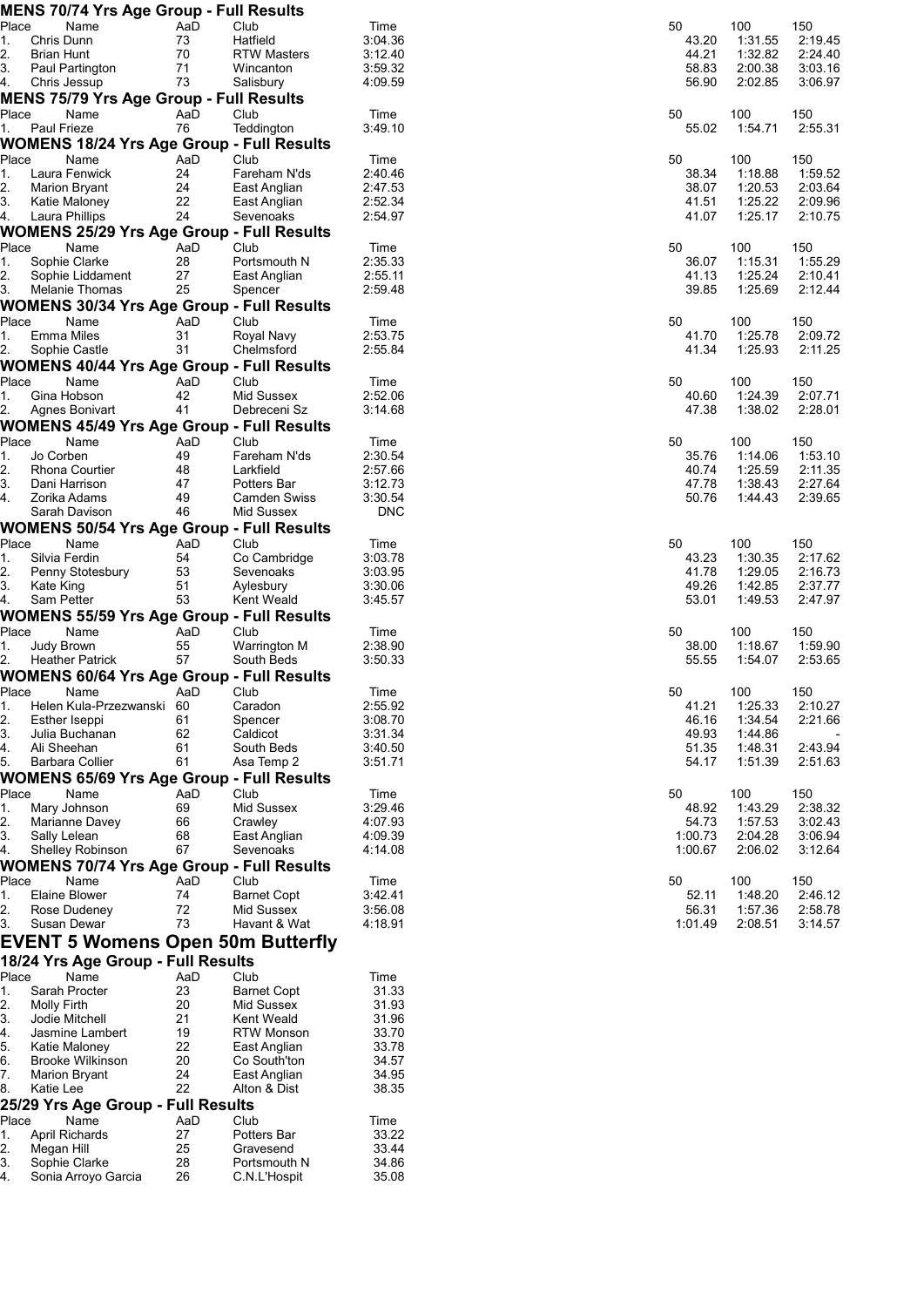|             | <b>MENS 70/74 Yrs Age Group - Full Results</b>                 |            |                            |                    |                |                    |                    |
|-------------|----------------------------------------------------------------|------------|----------------------------|--------------------|----------------|--------------------|--------------------|
| Place       | Name                                                           | AaD        | Club                       | Time               | 50             | 100                | 150                |
| 1.          | Chris Dunn                                                     | 73         | Hatfield                   | 3:04.36            | 43.20          | 1:31.55            | 2:19.45            |
| 2.          | <b>Brian Hunt</b>                                              | 70         | <b>RTW Masters</b>         | 3:12.40            | 44.21          | 1:32.82            | 2:24.40            |
| 3.          | Paul Partington                                                | 71<br>73   | Wincanton                  | 3:59.32<br>4:09.59 | 58.83<br>56.90 | 2:00.38<br>2:02.85 | 3:03.16<br>3:06.97 |
| 4.          | Chris Jessup<br><b>MENS 75/79 Yrs Age Group - Full Results</b> |            | Salisbury                  |                    |                |                    |                    |
|             | Name                                                           | AaD        |                            |                    |                | 100                | 150                |
| Place<br>1. | Paul Frieze                                                    | 76         | Club<br>Teddington         | Time<br>3:49.10    | 50<br>55.02    | 1:54.71            | 2:55.31            |
|             | <b>WOMENS 18/24 Yrs Age Group - Full Results</b>               |            |                            |                    |                |                    |                    |
| Place       | Name                                                           | AaD        | Club                       | Time               | 50             | 100                | 150                |
| 1.          | Laura Fenwick                                                  | 24         | Fareham N'ds               | 2:40.46            | 38.34          | 1:18.88            | 1:59.52            |
| 2.          | <b>Marion Bryant</b>                                           | 24         | East Anglian               | 2:47.53            | 38.07          | 1:20.53            | 2:03.64            |
| 3.          | Katie Maloney                                                  | 22         | East Anglian               | 2:52.34            | 41.51          | 1:25.22            | 2:09.96            |
| 4.          | Laura Phillips                                                 | 24         | Sevenoaks                  | 2:54.97            | 41.07          | 1:25.17            | 2:10.75            |
|             | <b>WOMENS 25/29 Yrs Age Group - Full Results</b>               |            |                            |                    |                |                    |                    |
| Place       | Name                                                           | AaD        | Club                       | Time               | 50             | 100                | 150                |
| 1.          | Sophie Clarke                                                  | 28         | Portsmouth N               | 2:35.33            | 36.07          | 1:15.31            | 1:55.29            |
| 2.          | Sophie Liddament                                               | 27         | East Anglian               | 2:55.11            | 41.13          | 1:25.24            | 2:10.41            |
| 3.          | Melanie Thomas                                                 | 25         | Spencer                    | 2:59.48            | 39.85          | 1:25.69            | 2:12.44            |
|             | <b>WOMENS 30/34 Yrs Age Group - Full Results</b>               |            |                            |                    |                |                    |                    |
| Place       | Name                                                           | AaD        | Club                       | Time               | 50             | 100                | 150                |
| 1.          | <b>Emma Miles</b>                                              | 31         | Royal Navy                 | 2:53.75            | 41.70          | 1:25.78            | 2:09.72            |
| 2.          | Sophie Castle                                                  | 31         | Chelmsford                 | 2:55.84            | 41.34          | 1:25.93            | 2:11.25            |
|             | <b>WOMENS 40/44 Yrs Age Group - Full Results</b>               |            |                            |                    |                |                    |                    |
| Place       | Name                                                           | AaD        | Club                       | Time               | 50             | 100                | 150                |
| 1.          | Gina Hobson                                                    | 42         | Mid Sussex                 | 2:52.06            | 40.60          | 1:24.39            | 2:07.71            |
| 2.          | <b>Agnes Bonivart</b>                                          | 41         | Debreceni Sz               | 3:14.68            | 47.38          | 1:38.02            | 2:28.01            |
|             | <b>WOMENS 45/49 Yrs Age Group - Full Results</b>               |            |                            |                    |                |                    |                    |
| Place       | Name                                                           | AaD        | Club                       | Time               | 50             | 100                | 150                |
| 1.          | Jo Corben                                                      | 49         | Fareham N'ds               | 2:30.54            | 35.76          | 1:14.06            | 1:53.10            |
| 2.          | Rhona Courtier                                                 | 48         | Larkfield                  | 2:57.66            | 40.74          | 1:25.59            | 2:11.35            |
| 3.          | Dani Harrison                                                  | 47         | Potters Bar                | 3:12.73            | 47.78          | 1:38.43            | 2:27.64            |
| 4.          | Zorika Adams                                                   | 49         | <b>Camden Swiss</b>        | 3:30.54            | 50.76          | 1:44.43            | 2:39.65            |
|             | Sarah Davison                                                  | 46         | Mid Sussex                 | <b>DNC</b>         |                |                    |                    |
|             | <b>WOMENS 50/54 Yrs Age Group - Full Results</b>               |            |                            |                    |                |                    |                    |
| Place       | Name                                                           | AaD        | Club                       | Time               | 50             | 100                | 150                |
| 1.          | Silvia Ferdin                                                  | 54         | Co Cambridge               | 3:03.78            | 43.23          | 1:30.35            | 2:17.62            |
| 2.          | Penny Stotesbury                                               | 53         | Sevenoaks                  | 3:03.95            | 41.78          | 1:29.05            | 2:16.73            |
| 3.<br>4.    | Kate King<br>Sam Petter                                        | 51<br>53   | Aylesbury<br>Kent Weald    | 3:30.06<br>3:45.57 | 49.26<br>53.01 | 1:42.85<br>1:49.53 | 2:37.77<br>2:47.97 |
|             |                                                                |            |                            |                    |                |                    |                    |
|             | <b>WOMENS 55/59 Yrs Age Group - Full Results</b>               |            |                            |                    |                |                    |                    |
| Place       | Name                                                           | AaD<br>55  | Club                       | Time<br>2:38.90    | 50             | 100                | 150<br>1:59.90     |
| 1.<br>2.    | Judy Brown<br><b>Heather Patrick</b>                           | 57         | Warrington M<br>South Beds | 3:50.33            | 38.00<br>55.55 | 1:18.67<br>1:54.07 | 2:53.65            |
|             |                                                                |            |                            |                    |                |                    |                    |
|             | <b>WOMENS 60/64 Yrs Age Group - Full Results</b>               |            |                            |                    |                |                    |                    |
| Place<br>1. | Name<br>Helen Kula-Przezwanski                                 | AaD<br>-60 | Club<br>Caradon            | Time<br>2:55.92    | 50<br>41.21    | 100<br>1:25.33     | 150<br>2:10.27     |
| 2.          | Esther Iseppi                                                  | 61         | Spencer                    | 3:08.70            | 46.16          | 1:34.54            | 2:21.66            |
| 3.          | Julia Buchanan                                                 | 62         | Caldicot                   | 3:31.34            | 49.93          | 1:44.86            |                    |
| 4.          | Ali Sheehan                                                    | 61         | South Beds                 | 3:40.50            | 51.35          | 1:48.31            | 2:43.94            |
| 5.          | Barbara Collier                                                | 61         | Asa Temp 2                 | 3:51.71            | 54.17          | 1:51.39            | 2:51.63            |
|             | <b>WOMENS 65/69 Yrs Age Group - Full Results</b>               |            |                            |                    |                |                    |                    |
| Place       | Name                                                           | AaD        | Club                       | Time               | 50             | 100                | 150                |
| 1.          | Mary Johnson                                                   | 69         | Mid Sussex                 | 3:29.46            | 48.92          | 1:43.29            | 2:38.32            |
| 2.          | Marianne Davey                                                 | 66         | Crawley                    | 4:07.93            | 54.73          | 1:57.53            | 3:02.43            |
| 3.          | Sally Lelean                                                   | 68         | East Anglian               | 4:09.39            | 1:00.73        | 2:04.28            | 3:06.94            |
| 4.          | Shelley Robinson                                               | 67         | Sevenoaks                  | 4:14.08            | 1:00.67        | 2:06.02            | 3:12.64            |
|             | <b>WOMENS 70/74 Yrs Age Group - Full Results</b>               |            |                            |                    |                |                    |                    |
| Place       | Name                                                           | AaD        | Club                       | Time               | 50             | 100                | 150                |
| 1.          | Elaine Blower                                                  | 74         | <b>Barnet Copt</b>         | 3:42.41            | 52.11          | 1:48.20            | 2:46.12            |
| 2.          | Rose Dudeney                                                   | 72         | Mid Sussex                 | 3:56.08            | 56.31          | 1:57.36            | 2:58.78            |
| 3.          | Susan Dewar                                                    | 73         | Havant & Wat               | 4:18.91            | 1:01.49        | 2:08.51            | 3:14.57            |
|             | <b>EVENT 5 Womens Open 50m Butterfly</b>                       |            |                            |                    |                |                    |                    |
|             | 18/24 Yrs Age Group - Full Results                             |            |                            |                    |                |                    |                    |
| Place       | Name                                                           | AaD        | Club                       | Time               |                |                    |                    |
| 1.          | Sarah Procter                                                  | 23         | <b>Barnet Copt</b>         | 31.33              |                |                    |                    |
| 2.          | <b>Molly Firth</b>                                             | 20         | Mid Sussex                 | 31.93              |                |                    |                    |
| 3.          | Jodie Mitchell                                                 | 21         | Kent Weald                 | 31.96              |                |                    |                    |
| 4.          | Jasmine Lambert                                                | 19         | RTW Monson                 | 33.70              |                |                    |                    |
| 5.          | Katie Maloney                                                  | 22         | East Anglian               | 33.78              |                |                    |                    |
| 6.          | <b>Brooke Wilkinson</b>                                        | 20         | Co South'ton               | 34.57              |                |                    |                    |
| 7.          | <b>Marion Bryant</b>                                           | 24         | East Anglian               | 34.95              |                |                    |                    |
| 8.          | Katie Lee                                                      | 22         | Alton & Dist               | 38.35              |                |                    |                    |
|             | 25/29 Yrs Age Group - Full Results                             |            |                            |                    |                |                    |                    |
| Place       | Name                                                           | AaD        | Club                       | Time               |                |                    |                    |
| 1.          | <b>April Richards</b>                                          | 27         | Potters Bar                | 33.22              |                |                    |                    |
| 2.          | Megan Hill                                                     | 25         | Gravesend                  | 33.44              |                |                    |                    |
| 3.          | Sophie Clarke                                                  | 28         | Portsmouth N               | 34.86              |                |                    |                    |
| 4.          | Sonia Arroyo Garcia                                            | 26         | C.N.L'Hospit               | 35.08              |                |                    |                    |

| 50                                              | 100                                                        | 150                                             |
|-------------------------------------------------|------------------------------------------------------------|-------------------------------------------------|
| 43.20                                           | 1:31.55                                                    | 2:19.45                                         |
| 44.21                                           | 1:32.82                                                    | 2:24.40                                         |
| 58.83                                           | 2:00.38                                                    | 3:03.16                                         |
| 56.90                                           | 2:02.85                                                    | 3:06.97                                         |
| 50                                              | 100                                                        | 150                                             |
| 55.02                                           | 1:54.71                                                    | 2:55.31                                         |
| 50                                              | 100                                                        | 150                                             |
| 38.34                                           | 1:18.88                                                    | 1:59.52                                         |
| 38.07                                           | 1:20.53                                                    | 2:03.64                                         |
| 41.51                                           | 1:25.22                                                    | 2:09.96                                         |
| 41.07                                           | 1:25.17                                                    | 2:10.75                                         |
| 50                                              | 100                                                        | 150                                             |
| 36.07                                           | 1:15.31                                                    | 1:55.29                                         |
| 41.13                                           | 1:25.24                                                    | 2:10.41                                         |
| 39.85                                           | 1:25.69                                                    | 2:12.44                                         |
| 50                                              | 100                                                        | 150                                             |
| 41.70                                           | 1:25.78                                                    | 2:09.72                                         |
| 41.34                                           | 1:25.93                                                    | 2:11.25                                         |
| 50                                              | 100                                                        | 150                                             |
| 40.60                                           | 1:24.39                                                    | 2:07.71                                         |
| 47.38                                           | 1:38.02                                                    | 2:28.01                                         |
| 50                                              | 100                                                        | 150                                             |
| 35.76                                           | 1:14.06                                                    | 1:53.10                                         |
| 40.74                                           | 1:25.59                                                    | 2:11.35                                         |
| 47.78                                           | 1:38.43                                                    | 2:27.64                                         |
| 50.76                                           | 1:44.43                                                    | 2:39.65                                         |
| 50                                              | 100                                                        | 150                                             |
| 43.23                                           | 1:30.35                                                    | 2:17.62                                         |
| 41.78                                           | 1:29.05                                                    | 2:16.73                                         |
| 49.26                                           | 1:42.85                                                    | 2:37.77                                         |
| 53.01                                           | 1:49.53                                                    | 2:47.97                                         |
| 50                                              | 100                                                        | 150                                             |
| 38.00                                           | 1:18.67                                                    | 1:59.90                                         |
| 55.55                                           | 1:54.07                                                    | 2:53.65                                         |
| 50<br>41.21<br>46.16<br>49.93<br>51.35<br>54.17 | 100<br>1:25.33<br>1:34.54<br>1:44.86<br>1:48.31<br>1:51.39 | 150<br>2:10.27<br>2:21.66<br>2:43.94<br>2:51.63 |
| 50                                              | 100                                                        | 150                                             |
| 48.92                                           | 1:43.29                                                    | 2:38.32                                         |
| 54.73                                           | 1:57.53                                                    | 3:02.43                                         |
| 1:00.73                                         | 2:04.28                                                    | 3:06.94                                         |
| 1:00.67                                         | 2:06.02                                                    | 3:12.64                                         |
| 50                                              | 100                                                        | 150                                             |
| 52.11                                           | 1:48.20                                                    | 2:46.12                                         |
| 56.31                                           | 1:57.36                                                    | 2:58.78                                         |
| 1:01.49                                         | 2:08.51                                                    | 3:14.57                                         |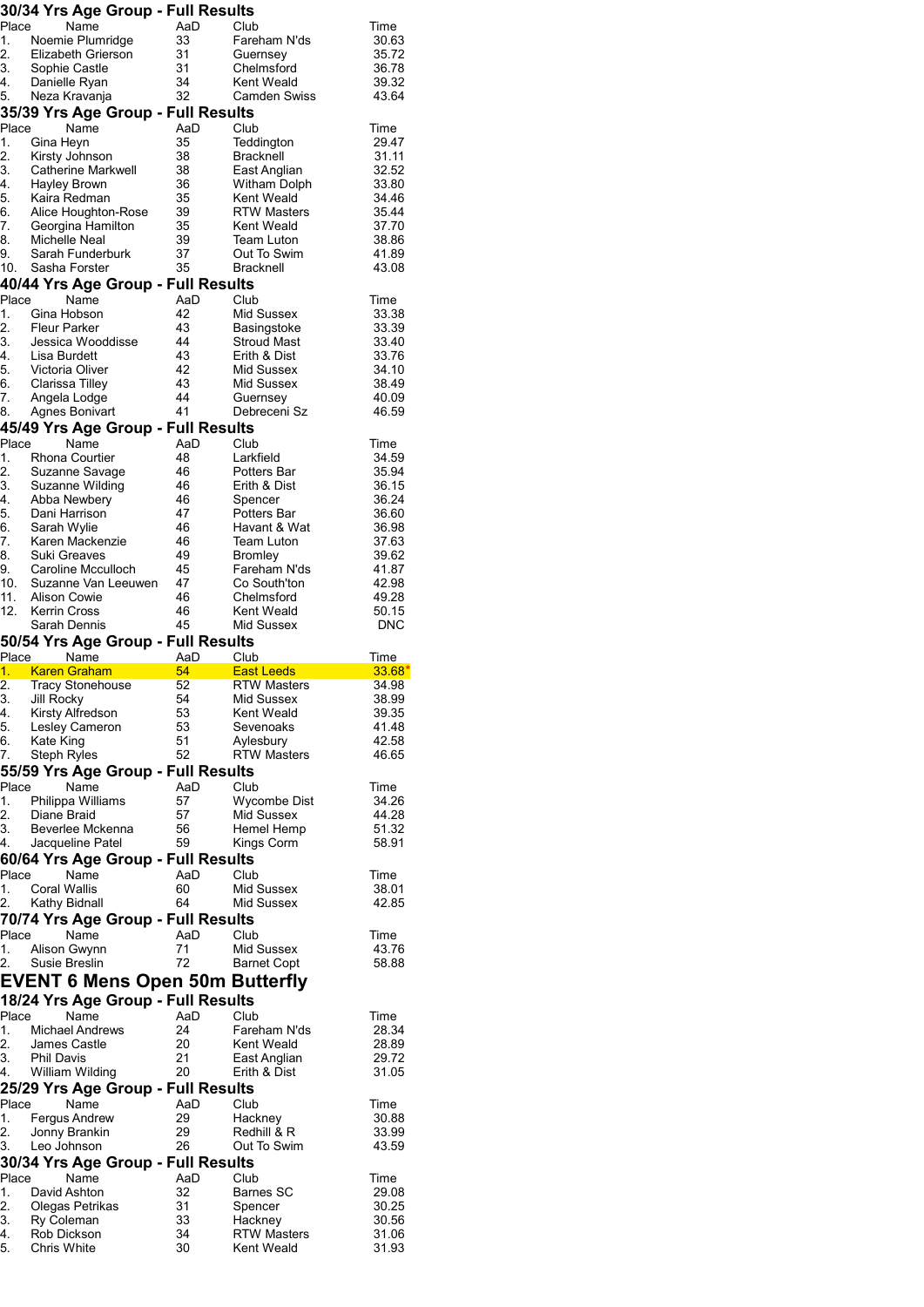|  |  | 30/34 Yrs Age Group - Full Results |  |  |
|--|--|------------------------------------|--|--|
|--|--|------------------------------------|--|--|

|                                                                | งข/ง4 TTS Age Group - Full Results<br>Name |           |                                  |                |
|----------------------------------------------------------------|--------------------------------------------|-----------|----------------------------------|----------------|
| Place<br>1.                                                    | Noemie Plumridge                           | AaD<br>33 | Club<br>Fareham N'ds             | Time<br>30.63  |
| 2.                                                             | Elizabeth Grierson                         | 31        | Guernsey                         | 35.72          |
| 3.                                                             | Sophie Castle                              | 31        | Chelmsford                       |                |
| 4.                                                             | Danielle Ryan                              | 34        | Kent Weald                       | 36.78<br>39.32 |
| 5.                                                             | Neza Kravanja                              | 32        | Camden Swiss                     | 43.64          |
|                                                                | 35/39 Yrs Age Group - Full Results         |           |                                  |                |
| Place                                                          | Name                                       | AaD       | Club                             |                |
| 1.                                                             |                                            | 35        |                                  | Time<br>29.47  |
| 2.                                                             | Gina Heyn                                  | 38        | Teddington<br><b>Bracknell</b>   |                |
| 3.                                                             | Kirsty Johnson                             |           |                                  | 31.11<br>32.52 |
| 4.                                                             | Catherine Markwell<br>Hayley Brown         | 38<br>36  | East Anglian<br>Witham Dolph     | 33.80          |
| 5.                                                             | Kaira Redman                               | 35        | Kent Weald                       | 34.46          |
| 6.                                                             | Alice Houghton-Rose                        | 39        | <b>RTW Masters</b>               | 35.44          |
| 7.                                                             | Georgina Hamilton                          | 35        | Kent Weald                       | 37.70          |
| 8.                                                             | Michelle Neal                              | 39        | Team Luton                       | 38.86          |
| 9.                                                             | Sarah Funderburk                           | 37        | Out To Swim                      | 41.89          |
| 10.                                                            | Sasha Forster                              | 35        | Bracknell                        | 43.08          |
|                                                                | 40/44 Yrs Age Group - Full Results         |           |                                  |                |
| Place                                                          | Name                                       | AaD       | Club                             | Time           |
| 1.                                                             | Gina Hobson                                | 42        | Mid Sussex                       | 33.38          |
| 2.                                                             | <b>Fleur Parker</b>                        | 43        | Basingstoke                      | 33.39          |
| 3.                                                             | Jessica Wooddisse                          | 44        | <b>Stroud Mast</b>               | 33.40          |
| 4.                                                             | Lisa Burdett                               | 43        | Erith & Dist                     | 33.76          |
| 5.                                                             | Victoria Oliver                            | 42        | Mid Sussex                       | 34.10          |
| 6.                                                             | Clarissa Tilley                            | 43        | Mid Sussex                       | 38.49          |
| 7.                                                             | Angela Lodge                               | 44        | Guernsey                         | 40.09          |
| 8.                                                             | Agnes Bonivart                             | 41        | Debreceni Sz                     | 46.59          |
|                                                                | 45/49 Yrs Age Group - Full Results         |           |                                  |                |
| Place                                                          | Name                                       | AaD       | Club                             | Time           |
| 1.                                                             | <b>Rhona Courtier</b>                      | 48        | Larkfield                        | 34.59          |
| 2.                                                             | Suzanne Savage                             | 46        | Potters Bar                      | 35.94          |
| 3.                                                             | Suzanne Wilding                            | 46        | Erith & Dist                     | 36.15          |
| 4.                                                             | Abba Newbery                               | 46        | Spencer                          | 36.24          |
| 5.                                                             | Dani Harrison                              | 47        | Potters Bar                      | 36.60          |
| 6.                                                             | Sarah Wylie                                | 46        | Havant & Wat                     | 36.98          |
| 7.                                                             | Karen Mackenzie                            | 46        | <b>Team Luton</b>                | 37.63          |
| 8.                                                             | Suki Greaves                               | 49        | <b>Bromley</b>                   | 39.62          |
| 9.                                                             | Caroline Mcculloch                         | 45        | Fareham N'ds                     | 41.87          |
| 10.                                                            | Suzanne Van Leeuwen                        | 47        | Co South'ton                     | 42.98          |
| 11.                                                            | Alison Cowie                               | 46        | Chelmsford                       | 49.28          |
| 12.                                                            | <b>Kerrin Cross</b>                        | 46        | Kent Weald                       | 50.15          |
|                                                                | Sarah Dennis                               | 45        | Mid Sussex                       | <b>DNC</b>     |
|                                                                |                                            |           |                                  |                |
|                                                                | 50/54 Yrs Age Group - Full Results         |           |                                  |                |
|                                                                | Place Name                                 | AaD       | Club                             | Time           |
| 1.                                                             | <b>Karen Graham</b>                        | 54        | <b>East Leeds</b>                | $33.68*$       |
|                                                                | <b>Tracy Stonehouse</b>                    | 52        | <b>RTW Masters</b>               | 34.98          |
|                                                                | Jill Rocky                                 | 54        | Mid Sussex                       | 38.99          |
|                                                                | Kirsty Alfredson                           | 53        | Kent Weald                       | 39.35          |
|                                                                | Lesley Cameron                             | 53        | Sevenoaks                        | 41.48          |
|                                                                | Kate King                                  | 51        | Aylesbury                        | 42.58          |
|                                                                | Steph Ryles                                | 52        | <b>RTW Masters</b>               | 46.65          |
| 2.<br>3.<br>4.<br>5.<br>6.<br>7.                               | 55/59 Yrs Age Group - Full Results         |           |                                  |                |
| Place                                                          | Name                                       | AaD       | Club                             | Time           |
| 1.                                                             | Philippa Williams                          | 57        | <b>Wycombe Dist</b>              | 34.26          |
| 2.                                                             | Diane Braid                                | 57        | Mid Sussex                       | 44.28          |
|                                                                | Beverlee Mckenna                           | 56        | Hemel Hemp                       | 51.32          |
| 3.<br>4.                                                       | Jacqueline Patel                           | 59        | Kings Corm                       | 58.91          |
|                                                                | 60/64 Yrs Age Group - Full Results         |           |                                  |                |
| Place                                                          | Name                                       | AaD       | Club                             | Time           |
| 1.                                                             | Coral Wallis                               | 60        | Mid Sussex                       | 38.01          |
| 2.                                                             | Kathy Bidnall                              | 64        | Mid Sussex                       | 42.85          |
|                                                                | 70/74 Yrs Age Group - Full Results         |           |                                  |                |
| Place                                                          | Name                                       | AaD       | Club                             | Time           |
| 1.                                                             | Alison Gwynn                               | 71        | Mid Sussex                       | 43.76          |
| 2.                                                             | Susie Breslin                              | 72        | <b>Barnet Copt</b>               | 58.88          |
|                                                                |                                            |           |                                  |                |
|                                                                | <b>EVENT 6 Mens Open 50m Butterfly</b>     |           |                                  |                |
|                                                                | 18/24 Yrs Age Group - Full Results         |           |                                  |                |
| Place                                                          | Name                                       | AaD       | Club                             | Time           |
| 1.                                                             | <b>Michael Andrews</b>                     | 24        | Fareham N'ds                     | 28.34          |
| 2.                                                             | James Castle                               | 20        | Kent Weald                       | 28.89          |
| 3.                                                             | Phil Davis                                 | 21        | East Anglian                     | 29.72          |
|                                                                | 4. William Wilding                         | 20        | Erith & Dist                     | 31.05          |
|                                                                | 25/29 Yrs Age Group - Full Results         |           |                                  |                |
|                                                                | Name                                       | AaD       | Club                             | Time           |
|                                                                | <b>Fergus Andrew</b>                       | 29        | Hackney                          | 30.88          |
|                                                                | Jonny Brankin                              | 29        | Redhill & R                      | 33.99          |
|                                                                | Leo Johnson                                | 26        | Out To Swim                      | 43.59          |
|                                                                | 30/34 Yrs Age Group - Full Results         |           |                                  |                |
|                                                                | Name                                       | AaD       | Club                             | Time           |
|                                                                | David Ashton                               | 32        | Barnes SC                        | 29.08          |
|                                                                | Olegas Petrikas                            | 31        | Spencer                          | 30.25          |
|                                                                | Ry Coleman                                 | 33        | Hackney                          | 30.56          |
| Place<br>1.<br>2.<br>3.<br>Place<br>1.<br>2.<br>3.<br>4.<br>5. | Rob Dickson<br>Chris White                 | 34<br>30  | <b>RTW Masters</b><br>Kent Weald | 31.06<br>31.93 |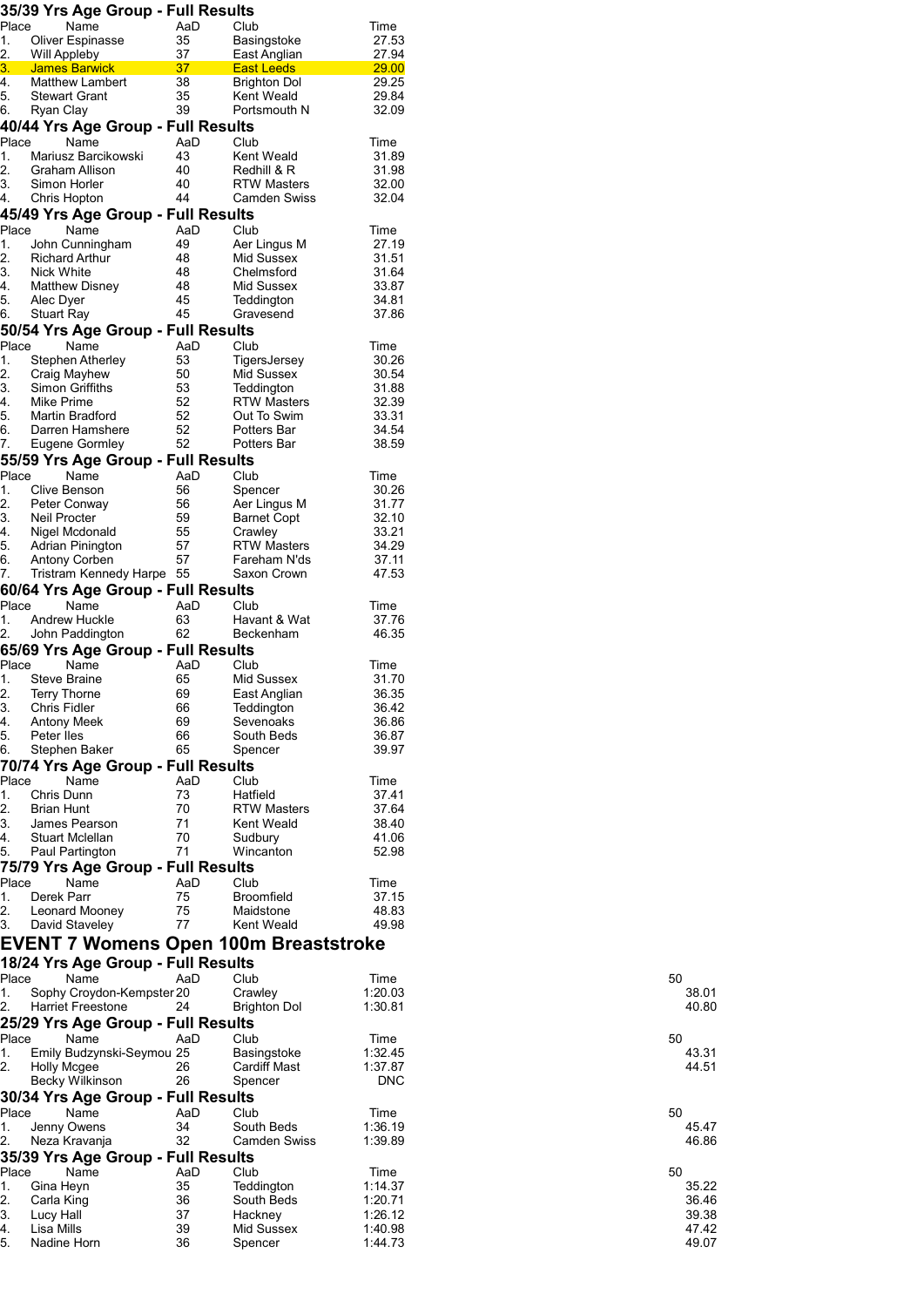**35/39 Yrs Age Group - Full Results**

Place Name AaD Club Time

3. Lucy Hall 37 Hackney 1:26.12 39.38 4. Lisa Mills 39 Mid Sussex 1:40.98 47.42 5. Nadine Horn 36 Spencer 1:44.73 49.07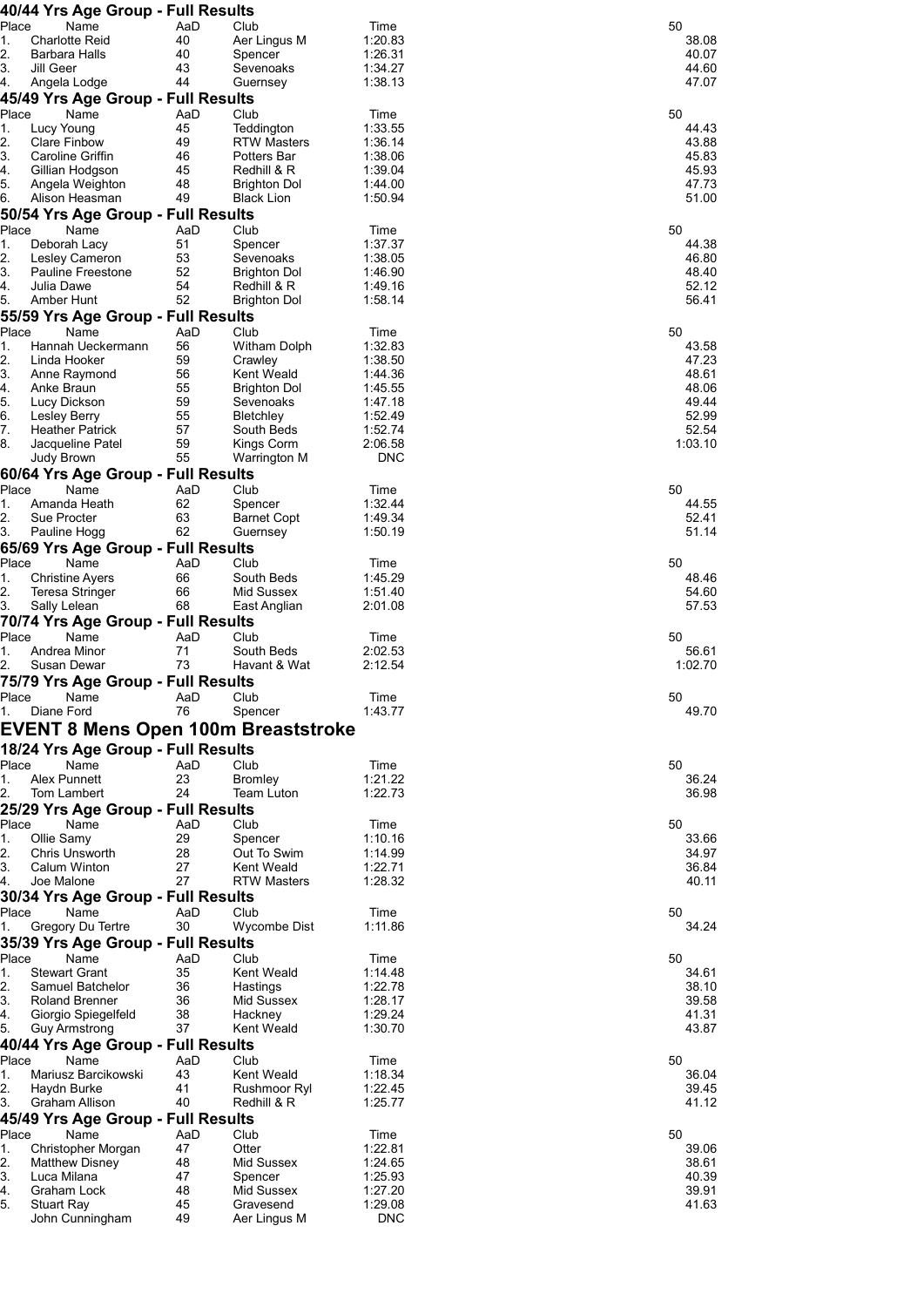|             | 40/44 Yrs Age Group - Full Results                 |           |                                  |                    |                |
|-------------|----------------------------------------------------|-----------|----------------------------------|--------------------|----------------|
| Place<br>1. | Name<br><b>Charlotte Reid</b>                      | AaD<br>40 | Club<br>Aer Lingus M             | Time<br>1:20.83    | 50<br>38.08    |
| 2.          | Barbara Halls                                      | 40        | Spencer                          | 1:26.31            | 40.07          |
| 3.          | Jill Geer                                          | 43        | Sevenoaks                        | 1:34.27            | 44.60          |
| 4.          | Angela Lodge                                       | 44        | Guernsey                         | 1:38.13            | 47.07          |
|             | 45/49 Yrs Age Group - Full Results                 |           |                                  |                    |                |
| Place       | Name                                               | AaD       | Club                             | Time               | 50             |
| 1.<br>2.    | Lucy Young<br>Clare Finbow                         | 45<br>49  | Teddington<br><b>RTW Masters</b> | 1:33.55<br>1:36.14 | 44.43<br>43.88 |
| 3.          | Caroline Griffin                                   | 46        | Potters Bar                      | 1:38.06            | 45.83          |
| 4.          | Gillian Hodgson                                    | 45        | Redhill & R                      | 1:39.04            | 45.93          |
| 5.          | Angela Weighton                                    | 48        | <b>Brighton Dol</b>              | 1:44.00            | 47.73          |
| 6.          | Alison Heasman                                     | 49        | <b>Black Lion</b>                | 1:50.94            | 51.00          |
|             | 50/54 Yrs Age Group - Full Results                 |           |                                  |                    |                |
| Place<br>1. | Name<br>Deborah Lacy                               | AaD<br>51 | Club<br>Spencer                  | Time<br>1:37.37    | 50<br>44.38    |
| 2.          | Lesley Cameron                                     | 53        | Sevenoaks                        | 1:38.05            | 46.80          |
| 3.          | Pauline Freestone                                  | 52        | Brighton Dol                     | 1:46.90            | 48.40          |
| 4.          | Julia Dawe                                         | 54        | Redhill & R                      | 1:49.16            | 52.12          |
| 5.          | Amber Hunt                                         | 52        | Brighton Dol                     | 1:58.14            | 56.41          |
|             | 55/59 Yrs Age Group - Full Results                 |           |                                  |                    |                |
| Place<br>1. | Name<br>Hannah Ueckermann                          | AaD<br>56 | Club<br>Witham Dolph             | Time<br>1:32.83    | 50<br>43.58    |
| 2.          | Linda Hooker                                       | 59        | Crawley                          | 1:38.50            | 47.23          |
| 3.          | Anne Raymond                                       | 56        | Kent Weald                       | 1:44.36            | 48.61          |
| 4.          | Anke Braun                                         | 55        | Brighton Dol                     | 1:45.55            | 48.06          |
| 5.          | Lucy Dickson                                       | 59        | Sevenoaks                        | 1:47.18            | 49.44          |
| 6.<br>7.    | Lesley Berry<br><b>Heather Patrick</b>             | 55<br>57  | <b>Bletchley</b><br>South Beds   | 1:52.49<br>1:52.74 | 52.99<br>52.54 |
| 8.          | Jacqueline Patel                                   | 59        | Kings Corm                       | 2:06.58            | 1:03.10        |
|             | Judy Brown                                         | 55        | Warrington M                     | <b>DNC</b>         |                |
|             | 60/64 Yrs Age Group - Full Results                 |           |                                  |                    |                |
| Place       | Name                                               | AaD       | Club                             | Time               | 50             |
| 1.          | Amanda Heath                                       | 62        | Spencer                          | 1:32.44            | 44.55          |
| 2.<br>3.    | Sue Procter                                        | 63<br>62  | <b>Barnet Copt</b><br>Guernsey   | 1:49.34<br>1:50.19 | 52.41<br>51.14 |
|             | Pauline Hogg<br>65/69 Yrs Age Group - Full Results |           |                                  |                    |                |
| Place       | Name                                               | AaD       | Club                             | Time               | 50             |
| 1.          | <b>Christine Ayers</b>                             | 66        | South Beds                       | 1:45.29            | 48.46          |
| 2.          | Teresa Stringer                                    | 66        | Mid Sussex                       | 1:51.40            | 54.60          |
| 3.          | Sally Lelean                                       | 68        | East Anglian                     | 2:01.08            | 57.53          |
|             | 70/74 Yrs Age Group - Full Results                 |           |                                  |                    |                |
| Place<br>1. | Name                                               | AaD<br>71 | Club                             | Time<br>2:02.53    | 50<br>56.61    |
| 2.          | Andrea Minor<br>Susan Dewar                        | 73        | South Beds<br>Havant & Wat       | 2:12.54            | 1:02.70        |
|             | 75/79 Yrs Age Group - Full Results                 |           |                                  |                    |                |
| Place       | Name                                               | AaD       | Club                             | Time               | 50             |
| 1.          | Diane Ford                                         | 76        | Spencer                          | 1:43.77            | 49.70          |
|             | <b>EVENT 8 Mens Open 100m Breaststroke</b>         |           |                                  |                    |                |
|             | 18/24 Yrs Age Group - Full Results                 |           |                                  |                    |                |
| Place       | Name                                               | AaD       | Club                             | Time               | 50             |
| 1.          | <b>Alex Punnett</b>                                | 23        | <b>Bromley</b>                   | 1:21.22            | 36.24          |
| 2.          | Tom Lambert                                        | 24        | Team Luton                       | 1:22.73            | 36.98          |
|             | 25/29 Yrs Age Group - Full Results                 |           |                                  |                    |                |
| Place       | Name                                               | AaD       | Club                             | Time               | 50             |
| 1.<br>2.    | Ollie Samy<br>Chris Unsworth                       | 29<br>28  | Spencer<br>Out To Swim           | 1:10.16<br>1:14.99 | 33.66<br>34.97 |
| 3.          | Calum Winton                                       | 27        | Kent Weald                       | 1:22.71            | 36.84          |
| 4.          | Joe Malone                                         | 27        | <b>RTW Masters</b>               | 1:28.32            | 40.11          |
|             | 30/34 Yrs Age Group - Full Results                 |           |                                  |                    |                |
| Place       | Name                                               | AaD       | Club                             | Time               | 50             |
| 1.          | Gregory Du Tertre                                  | 30        | Wycombe Dist                     | 1:11.86            | 34.24          |
|             | 35/39 Yrs Age Group - Full Results                 |           |                                  |                    |                |
| Place       | Name                                               | AaD       | Club                             | Time               | 50             |
| 1.<br>2.    | <b>Stewart Grant</b><br>Samuel Batchelor           | 35<br>36  | Kent Weald<br>Hastings           | 1:14.48<br>1:22.78 | 34.61<br>38.10 |
| 3.          | <b>Roland Brenner</b>                              | 36        | Mid Sussex                       | 1:28.17            | 39.58          |
| 4.          | Giorgio Spiegelfeld                                | 38        | Hackney                          | 1:29.24            | 41.31          |
| 5.          | <b>Guy Armstrong</b>                               | 37        | Kent Weald                       | 1:30.70            | 43.87          |
|             | 40/44 Yrs Age Group - Full Results                 |           |                                  |                    |                |
| Place       | Name                                               | AaD       | Club                             | Time               | 50             |
| 1.<br>2.    | Mariusz Barcikowski<br>Haydn Burke                 | 43<br>41  | Kent Weald<br>Rushmoor Ryl       | 1:18.34<br>1:22.45 | 36.04<br>39.45 |
| 3.          | Graham Allison                                     | 40        | Redhill & R                      | 1:25.77            | 41.12          |
|             | 45/49 Yrs Age Group - Full Results                 |           |                                  |                    |                |
| Place       | Name                                               | AaD       | Club                             | Time               | 50             |
| 1.          | Christopher Morgan                                 | 47        | Otter                            | 1:22.81            | 39.06          |
| 2.          | <b>Matthew Disney</b>                              | 48        | Mid Sussex                       | 1:24.65            | 38.61          |
| 3.          | Luca Milana                                        | 47        | Spencer                          | 1:25.93            | 40.39          |
| 4.<br>5.    | Graham Lock<br><b>Stuart Ray</b>                   | 48<br>45  | Mid Sussex<br>Gravesend          | 1:27.20<br>1:29.08 | 39.91<br>41.63 |
|             | John Cunningham                                    | 49        | Aer Lingus M                     | <b>DNC</b>         |                |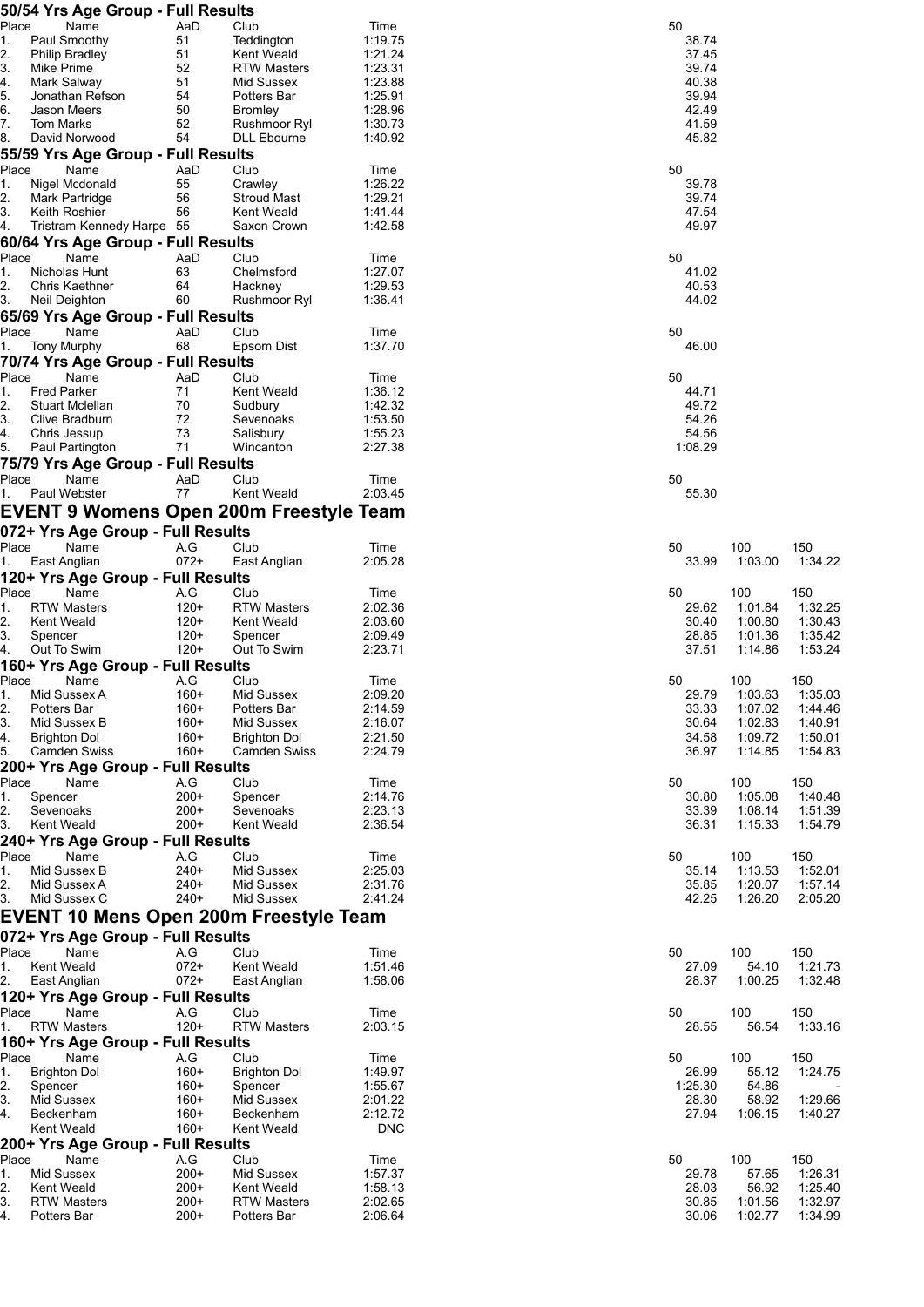|                                      | 50/54 Yrs Age Group - Full Results    |                  |                                                |                    |                  |                    |                    |
|--------------------------------------|---------------------------------------|------------------|------------------------------------------------|--------------------|------------------|--------------------|--------------------|
| Place<br>1.                          | Name                                  | AaD<br>51        | Club                                           | Time<br>1:19.75    | 50<br>38.74      |                    |                    |
| 2.                                   | Paul Smoothy<br><b>Philip Bradley</b> | 51               | Teddington<br>Kent Weald                       | 1:21.24            | 37.45            |                    |                    |
| 3.<br>Mike Prime                     |                                       | 52               | <b>RTW Masters</b>                             | 1:23.31            | 39.74            |                    |                    |
| 4.                                   | Mark Salway                           | 51               | Mid Sussex                                     | 1:23.88            | 40.38            |                    |                    |
| 5.                                   | Jonathan Refson                       | 54               | Potters Bar                                    | 1:25.91            | 39.94            |                    |                    |
| 6.                                   | Jason Meers                           | 50               | <b>Bromley</b>                                 | 1:28.96            | 42.49            |                    |                    |
| 7.<br>Tom Marks                      |                                       | 52               | Rushmoor Ryl                                   | 1:30.73            | 41.59            |                    |                    |
| 8.                                   | David Norwood                         | 54               | <b>DLL Ebourne</b>                             | 1:40.92            | 45.82            |                    |                    |
|                                      | 55/59 Yrs Age Group - Full Results    |                  |                                                |                    |                  |                    |                    |
| Place                                | Name                                  | AaD              | Club                                           | Time               | 50               |                    |                    |
| 1.                                   | Nigel Mcdonald                        | 55               | Crawley                                        | 1:26.22            | 39.78            |                    |                    |
| 2.                                   | Mark Partridge                        | 56               | <b>Stroud Mast</b>                             | 1:29.21            | 39.74            |                    |                    |
| 3.                                   | Keith Roshier                         | 56               | Kent Weald                                     | 1:41.44            | 47.54            |                    |                    |
| 4.                                   | Tristram Kennedy Harpe 55             |                  | Saxon Crown                                    | 1:42.58            | 49.97            |                    |                    |
|                                      | 60/64 Yrs Age Group - Full Results    |                  |                                                |                    |                  |                    |                    |
| Place                                | Name                                  | AaD              | Club                                           | Time               | 50               |                    |                    |
| 1.                                   | Nicholas Hunt                         | 63               | Chelmsford                                     | 1:27.07            | 41.02            |                    |                    |
| 2.                                   | Chris Kaethner                        | 64               | Hackney                                        | 1:29.53<br>1:36.41 | 40.53<br>44.02   |                    |                    |
| 3.                                   | Neil Deighton                         | 60               | Rushmoor Ryl                                   |                    |                  |                    |                    |
|                                      | 65/69 Yrs Age Group - Full Results    |                  |                                                |                    |                  |                    |                    |
| Place                                | Name                                  | AaD<br>68        | Club<br>Epsom Dist                             | Time               | 50               |                    |                    |
| 1.                                   | <b>Tony Murphy</b>                    |                  |                                                | 1:37.70            | 46.00            |                    |                    |
|                                      | 70/74 Yrs Age Group - Full Results    |                  |                                                |                    |                  |                    |                    |
| Place<br><b>Fred Parker</b>          | Name                                  | AaD<br>71        | Club<br>Kent Weald                             | Time<br>1:36.12    | 50               |                    |                    |
| 1.<br>2.                             | Stuart Mclellan                       | 70               | Sudbury                                        | 1:42.32            | 44.71<br>49.72   |                    |                    |
| 3.                                   | Clive Bradburn                        | 72               | Sevenoaks                                      | 1:53.50            | 54.26            |                    |                    |
| 4.                                   | Chris Jessup                          | 73               | Salisbury                                      | 1:55.23            | 54.56            |                    |                    |
| 5.                                   | Paul Partington                       | 71               | Wincanton                                      | 2:27.38            | 1:08.29          |                    |                    |
|                                      | 75/79 Yrs Age Group - Full Results    |                  |                                                |                    |                  |                    |                    |
| Place                                | Name                                  | AaD              | Club                                           | Time               | 50               |                    |                    |
| 1.                                   | Paul Webster                          | 77               | Kent Weald                                     | 2:03.45            | 55.30            |                    |                    |
|                                      |                                       |                  |                                                |                    |                  |                    |                    |
|                                      |                                       |                  | <b>EVENT 9 Womens Open 200m Freestyle Team</b> |                    |                  |                    |                    |
|                                      | 072+ Yrs Age Group - Full Results     |                  |                                                |                    |                  |                    |                    |
| Place                                | Name                                  | A.G              | Club                                           | Time               | 50               | 100                | 150                |
| East Anglian<br>1.                   |                                       | $072+$           | East Anglian                                   | 2:05.28            | 33.99            | 1:03.00            | 1:34.22            |
|                                      | 120+ Yrs Age Group - Full Results     |                  |                                                |                    |                  |                    |                    |
| Place                                | Name                                  | A.G              | Club                                           | Time               | 50               | 100                | 150                |
| 1.                                   | <b>RTW Masters</b>                    | $120+$           | <b>RTW Masters</b>                             | 2:02.36            | 29.62            | 1:01.84            | 1:32.25            |
| 2.<br><b>Kent Weald</b>              |                                       | $120+$           | Kent Weald                                     | 2:03.60            | 30.40            | 1:00.80            | 1:30.43            |
| 3.<br>Spencer                        |                                       | $120+$           | Spencer                                        | 2:09.49            | 28.85            | 1:01.36            | 1:35.42            |
| 4.                                   | Out To Swim                           | $120+$           | Out To Swim                                    | 2:23.71            | 37.51            | 1:14.86            | 1:53.24            |
|                                      | 160+ Yrs Age Group - Full Results     |                  |                                                |                    |                  |                    |                    |
| Place                                | Name                                  | A.G              | Club                                           | Time               | 50               | 100                | 150                |
| 1.                                   | Mid Sussex A                          | 160+             | Mid Sussex                                     | 2:09.20            | 29.79            | 1:03.63            | 1:35.03<br>1:44.46 |
| 2.<br>Potters Bar<br>3.              | Mid Sussex B                          | $160+$<br>160+   | Potters Bar<br>Mid Sussex                      | 2:14.59<br>2:16.07 | 33.33<br>30.64   | 1:07.02<br>1:02.83 | 1:40.91            |
| 4.<br>Brighton Dol                   |                                       | 160+             | <b>Brighton Dol</b>                            | 2:21.50            | 34.58            | 1:09.72            | 1:50.01            |
| 5.                                   | Camden Swiss                          | $160+$           | Camden Swiss                                   | 2:24.79            | 36.97            | 1:14.85            | 1:54.83            |
|                                      | 200+ Yrs Age Group - Full Results     |                  |                                                |                    |                  |                    |                    |
| Place                                | Name                                  | A.G              | Club                                           | Time               | 50               | 100                | 150                |
| 1.<br>Spencer                        |                                       | $200+$           | Spencer                                        | 2:14.76            | 30.80            | 1:05.08            | 1:40.48            |
| 2.<br>Sevenoaks                      |                                       | $200+$           | Sevenoaks                                      | 2:23.13            | 33.39            | 1:08.14            | 1:51.39            |
| 3.<br>Kent Weald                     |                                       | $200+$           | Kent Weald                                     | 2:36.54            | 36.31            | 1:15.33            | 1:54.79            |
|                                      | 240+ Yrs Age Group - Full Results     |                  |                                                |                    |                  |                    |                    |
| Place                                | Name                                  | A.G              | Club                                           | Time               | 50               | 100                | 150                |
| 1.                                   | Mid Sussex B                          | $240+$           | Mid Sussex                                     | 2:25.03            | 35.14            | 1:13.53            | 1:52.01            |
| 2.                                   | Mid Sussex A                          | $240+$           | Mid Sussex                                     | 2:31.76            | 35.85            | 1:20.07            | 1:57.14            |
| 3.<br>Mid Sussex C                   |                                       | $240+$           | Mid Sussex                                     | 2:41.24            | 42.25            | 1:26.20            | 2:05.20            |
|                                      |                                       |                  | <b>EVENT 10 Mens Open 200m Freestyle Team</b>  |                    |                  |                    |                    |
|                                      | 072+ Yrs Age Group - Full Results     |                  |                                                |                    |                  |                    |                    |
|                                      |                                       |                  |                                                |                    |                  |                    |                    |
| Place                                | Name                                  | A.G              | Club                                           | Time               | 50               | 100                | 150                |
| 1.<br>Kent Weald<br>2. East Anglian  |                                       | $072+$<br>$072+$ | Kent Weald<br>East Anglian                     | 1:51.46<br>1:58.06 | 27.09<br>28.37   | 54.10<br>1:00.25   | 1:21.73<br>1:32.48 |
|                                      |                                       |                  |                                                |                    |                  |                    |                    |
|                                      | 120+ Yrs Age Group - Full Results     |                  |                                                |                    |                  |                    |                    |
| Place<br>$1_{-}$                     | Name<br><b>RTW Masters</b>            | A.G<br>$120+$    | Club<br><b>RTW Masters</b>                     | Time<br>2:03.15    | 50<br>28.55      | 100<br>56.54       | 150<br>1:33.16     |
|                                      |                                       |                  |                                                |                    |                  |                    |                    |
|                                      | 160+ Yrs Age Group - Full Results     |                  |                                                |                    |                  |                    |                    |
| Place                                | Name                                  | A.G              | Club                                           | Time               | 50               | 100                | 150                |
| 1.<br><b>Brighton Dol</b><br>Spencer |                                       | 160+<br>160+     | <b>Brighton Dol</b><br>Spencer                 | 1:49.97<br>1:55.67 | 26.99<br>1:25.30 | 55.12<br>54.86     | 1:24.75            |
| 2.<br>3.<br>Mid Sussex               |                                       | 160+             | Mid Sussex                                     | 2:01.22            | 28.30            | 58.92              | 1:29.66            |
| 4.<br>Beckenham                      |                                       | $160+$           | Beckenham                                      | 2:12.72            | 27.94            | 1:06.15            | 1:40.27            |
| Kent Weald                           |                                       | $160+$           | Kent Weald                                     | <b>DNC</b>         |                  |                    |                    |
|                                      | 200+ Yrs Age Group - Full Results     |                  |                                                |                    |                  |                    |                    |
| Place                                | Name                                  | A.G              | Club                                           | Time               | 50               | 100                | 150                |
| Mid Sussex<br>1.                     |                                       | $200+$           | Mid Sussex                                     | 1:57.37            | 29.78            | 57.65              | 1:26.31            |
| 2.<br>Kent Weald                     |                                       | $200+$           | Kent Weald                                     | 1:58.13            | 28.03            | 56.92              | 1:25.40            |
| 3.                                   | RTW Masters                           | $200+$           | <b>RTW Masters</b>                             | 2:02.65            | 30.85            | 1:01.56            | 1:32.97            |
| 4.<br>Potters Bar                    |                                       | $200+$           | Potters Bar                                    | 2:06.64            | 30.06            | 1:02.77            | 1:34.99            |
|                                      |                                       |                  |                                                |                    |                  |                    |                    |

| 50<br>38.74<br>37.45<br>39.74<br>40.38<br>39.94   |                                           |                                      |
|---------------------------------------------------|-------------------------------------------|--------------------------------------|
| 42.49<br>41.59<br>45.82                           |                                           |                                      |
| 50<br>39.78<br>39.74<br>47.54<br>49.97            |                                           |                                      |
| 50<br>41.02<br>40.53<br>44.02                     |                                           |                                      |
| 50<br>46.00                                       |                                           |                                      |
| 50<br>44.71<br>49.72<br>54.26<br>54.56<br>1:08.29 |                                           |                                      |
| 50<br>55.30                                       |                                           |                                      |
| 50                                                | 100                                       | 150                                  |
| 33.99                                             | 1:03.00                                   | 1:34.22                              |
| 50                                                | 100                                       | 150                                  |
| 29.62                                             | 1:01.84                                   | 1:32.25                              |
| 30.40                                             | 1:00.80                                   | 1:30.43                              |
| 28.85                                             | 1:01.36                                   | 1:35.42                              |
| 37.51                                             | 1:14.86                                   | 1:53.24                              |
| 50                                                | 100                                       | 150                                  |
| 29.79                                             | 1:03.63                                   | 1:35.03                              |
| 33.33                                             | 1:07.02                                   | 1:44.46                              |
| 30.64                                             | 1:02.83                                   | 1:40.91                              |
| 34.58                                             | 1:09.72                                   | 1:50.01                              |
| 36.97                                             | 1:14.85                                   | 1:54.83                              |
| 50                                                | 100                                       | 150                                  |
| 30.80                                             | 1:05.08                                   | 1:40.48                              |
| 33.39                                             | 1:08.14                                   | 1:51.39                              |
| 36.31                                             | 1:15.33                                   | 1:54.79                              |
| 50                                                | 100                                       | 150                                  |
| 35.14                                             | 1:13.53                                   | 1:52.01                              |
| 35.85                                             | 1:20.07                                   | 1:57.14                              |
| 42.25                                             | 1:26.20                                   | 2:05.20                              |
| 50                                                | 100                                       | 150                                  |
| 27.09                                             | 54.10                                     | 1:21.73                              |
| 28.37                                             | 1:00.25                                   | 1:32.48                              |
| 50                                                | 100                                       | 150                                  |
| 28.55                                             | 56.54                                     | 1:33.16                              |
| 50<br>26.99<br>1:25.30<br>28.30<br>27.94          | 100<br>55.12<br>54.86<br>58.92<br>1:06.15 | 150<br>1:24.75<br>1:29.66<br>1:40.27 |
| 50                                                | 100                                       | 150                                  |
| 29.78                                             | 57.65                                     | 1:26.31                              |
| 28.03                                             | 56.92                                     | 1:25.40                              |
| 30.85                                             | 1:01.56                                   | 1:32.97                              |
| 30.06                                             | 1:02.77                                   | 1:34.99                              |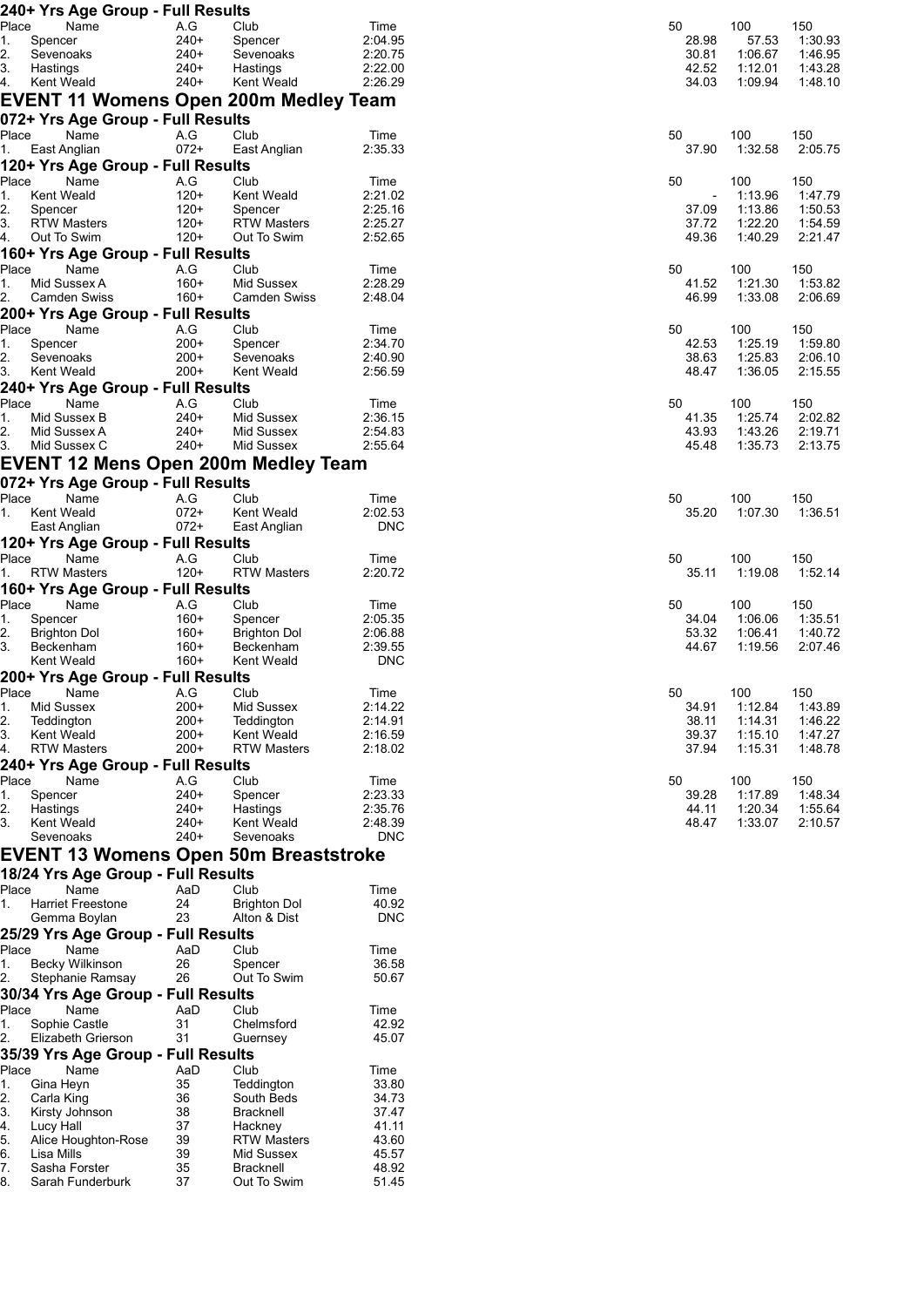|                        | 240+ Yrs Age Group - Full Results            |                  |                               |                       |                |                    |                    |
|------------------------|----------------------------------------------|------------------|-------------------------------|-----------------------|----------------|--------------------|--------------------|
| Place                  | Name                                         | A.G              | Club                          | Time                  | 50             | 100                | 150                |
| 1.<br>2.               | Spencer<br>Sevenoaks                         | $240+$<br>$240+$ | Spencer<br>Sevenoaks          | 2:04.95<br>2:20.75    | 28.98<br>30.81 | 57.53<br>1:06.67   | 1:30.93<br>1:46.95 |
| 3.                     | Hastings                                     | $240+$           | Hastings                      | 2:22.00               | 42.52          | 1:12.01            | 1:43.28            |
| 4.                     | Kent Weald                                   | $240+$           | Kent Weald                    | 2:26.29               | 34.03          | 1:09.94            | 1:48.10            |
|                        | <b>EVENT 11 Womens Open 200m Medley Team</b> |                  |                               |                       |                |                    |                    |
|                        | 072+ Yrs Age Group - Full Results            |                  |                               |                       |                |                    |                    |
| Place                  | Name                                         | A.G              | Club                          | Time                  | 50             | 100                | 150                |
| 1.                     | East Anglian                                 | $072+$           | East Anglian                  | 2:35.33               | 37.90          | 1:32.58            | 2:05.75            |
| Place                  | 120+ Yrs Age Group - Full Results<br>Name    | A.G              | Club                          |                       | 50             | 100                | 150                |
| 1.                     | Kent Weald                                   | $120+$           | Kent Weald                    | Time<br>2:21.02       |                | 1:13.96            | 1:47.79            |
| 2.                     | Spencer                                      | $120+$           | Spencer                       | 2:25.16               | 37.09          | 1:13.86            | 1:50.53            |
| 3.                     | RTW Masters                                  | $120+$           | <b>RTW Masters</b>            | 2:25.27               | 37.72          | 1:22.20            | 1:54.59            |
| 4.                     | Out To Swim                                  | $120+$           | Out To Swim                   | 2:52.65               | 49.36          | 1:40.29            | 2:21.47            |
| Place                  | 160+ Yrs Age Group - Full Results<br>Name    | A.G              | Club                          | Time                  | 50             | 100                | 150                |
| 1.                     | Mid Sussex A                                 | $160+$           | Mid Sussex                    | 2:28.29               | 41.52          | 1:21.30            | 1:53.82            |
| 2.                     | Camden Swiss                                 | $160+$           | <b>Camden Swiss</b>           | 2:48.04               | 46.99          | 1:33.08            | 2:06.69            |
|                        | 200+ Yrs Age Group - Full Results            |                  |                               |                       |                |                    |                    |
| Place                  | Name                                         | A.G              | Club                          | Time                  | 50             | 100                | 150                |
| 1.<br>2.               | Spencer<br>Sevenoaks                         | $200+$<br>$200+$ | Spencer<br>Sevenoaks          | 2:34.70<br>2:40.90    | 42.53<br>38.63 | 1:25.19<br>1:25.83 | 1:59.80<br>2:06.10 |
| 3.                     | Kent Weald                                   | $200+$           | Kent Weald                    | 2:56.59               | 48.47          | 1:36.05            | 2:15.55            |
|                        | 240+ Yrs Age Group - Full Results            |                  |                               |                       |                |                    |                    |
| Place                  | Name                                         | A.G              | Club                          | Time                  | 50             | 100                | 150                |
| 1.                     | Mid Sussex B                                 | 240+             | Mid Sussex                    | 2:36.15               | 41.35          | 1:25.74            | 2:02.82<br>2:19.71 |
| 2.<br>3.               | Mid Sussex A<br>Mid Sussex C                 | $240+$<br>$240+$ | Mid Sussex<br>Mid Sussex      | 2:54.83<br>2:55.64    | 43.93<br>45.48 | 1:43.26<br>1:35.73 | 2:13.75            |
|                        | <b>EVENT 12 Mens Open 200m Medley Team</b>   |                  |                               |                       |                |                    |                    |
|                        | 072+ Yrs Age Group - Full Results            |                  |                               |                       |                |                    |                    |
| Place                  | Name                                         | A.G              | Club                          | Time                  | 50             | 100                | 150                |
| 1.                     | Kent Weald                                   | $072+$           | Kent Weald                    | 2:02.53               | 35.20          | 1:07.30            | 1:36.51            |
|                        | East Anglian                                 | $072+$           | East Anglian                  | <b>DNC</b>            |                |                    |                    |
|                        | 120+ Yrs Age Group - Full Results            |                  |                               |                       |                |                    |                    |
| Place<br>1.            | Name<br><b>RTW Masters</b>                   | A.G<br>$120+$    | Club<br><b>RTW Masters</b>    | Time<br>2:20.72       | 50<br>35.11    | 100<br>1:19.08     | 150<br>1:52.14     |
|                        | 160+ Yrs Age Group - Full Results            |                  |                               |                       |                |                    |                    |
| Place                  | Name                                         | A.G              | Club                          | Time                  | 50             | 100                | 150                |
| 1.                     | Spencer                                      | 160+             | Spencer                       | 2:05.35               | 34.04          | 1:06.06            | 1:35.51            |
| 2.                     | <b>Brighton Dol</b>                          | 160+             | <b>Brighton Dol</b>           | 2:06.88               | 53.32          | 1:06.41            | 1:40.72            |
| З.                     | Beckenham<br>Kent Weald                      | 160+<br>$160+$   | Beckenham<br>Kent Weald       | 2:39.55<br><b>DNC</b> | 44.67          | 1:19.56            | 2:07.46            |
|                        | 200+ Yrs Age Group - Full Results            |                  |                               |                       |                |                    |                    |
| Place                  | Name A.G Club                                |                  |                               | Time                  | 50             | 100                | 150                |
| 1.                     | Mid Sussex                                   | $200+$           | Mid Sussex                    | 2:14.22               | 34.91          | 1:12.84            | 1:43.89            |
| $\overline{2}$ .<br>3. | Teddington<br>Kent Weald                     | $200+$<br>$200+$ | Teddington<br>Kent Weald      | 2:14.91<br>2:16.59    | 38.11<br>39.37 | 1:14.31<br>1:15.10 | 1:46.22            |
| 4.                     | RTW Masters                                  | $200+$           | <b>RTW Masters</b>            | 2:18.02               | 37.94          | 1:15.31            | 1:47.27<br>1:48.78 |
|                        | 240+ Yrs Age Group - Full Results            |                  |                               |                       |                |                    |                    |
| Place                  | Name                                         | A.G              | Club                          | Time                  | 50             | 100                | 150                |
| 1.                     | Spencer                                      | $240+$           | Spencer                       | 2:23.33               | 39.28          | 1:17.89            | 1:48.34            |
| 2.<br>3.               | Hastings<br>Kent Weald                       | $240+$<br>$240+$ | Hastings<br>Kent Weald        | 2:35.76<br>2:48.39    | 44.11<br>48.47 | 1:20.34<br>1:33.07 | 1:55.64<br>2:10.57 |
|                        | Sevenoaks                                    | $240+$           | Sevenoaks                     | <b>DNC</b>            |                |                    |                    |
|                        | <b>EVENT 13 Womens Open 50m Breaststroke</b> |                  |                               |                       |                |                    |                    |
|                        | 18/24 Yrs Age Group - Full Results           |                  |                               |                       |                |                    |                    |
| Place                  | Name                                         | AaD              | Club                          | Time                  |                |                    |                    |
| 1.                     | <b>Harriet Freestone</b>                     | 24               | <b>Brighton Dol</b>           | 40.92                 |                |                    |                    |
|                        | Gemma Boylan                                 | 23               | Alton & Dist                  | <b>DNC</b>            |                |                    |                    |
| Place                  | 25/29 Yrs Age Group - Full Results<br>Name   | AaD              |                               |                       |                |                    |                    |
| 1.                     | Becky Wilkinson                              | 26               | Club<br>Spencer               | Time<br>36.58         |                |                    |                    |
| 2.                     | Stephanie Ramsay                             | 26               | Out To Swim                   | 50.67                 |                |                    |                    |
|                        | 30/34 Yrs Age Group - Full Results           |                  |                               |                       |                |                    |                    |
| Place                  | Name                                         | AaD              | Club                          | Time                  |                |                    |                    |
| 1.<br>2.               | Sophie Castle<br>Elizabeth Grierson          | 31<br>31         | Chelmsford<br>Guernsey        | 42.92<br>45.07        |                |                    |                    |
|                        | 35/39 Yrs Age Group - Full Results           |                  |                               |                       |                |                    |                    |
| Place                  | Name                                         | AaD              | Club                          | Time                  |                |                    |                    |
| 1.                     | Gina Heyn                                    | 35               | Teddington                    | 33.80                 |                |                    |                    |
| 2.                     | Carla King                                   | 36               | South Beds                    | 34.73                 |                |                    |                    |
| 3.                     | Kirsty Johnson                               | 38               | <b>Bracknell</b>              | 37.47<br>41.11        |                |                    |                    |
| 4.<br>5.               | Lucy Hall<br>Alice Houghton-Rose             | 37<br>39         | Hackney<br><b>RTW Masters</b> | 43.60                 |                |                    |                    |
| 6.                     | Lisa Mills                                   | 39               | Mid Sussex                    | 45.57                 |                |                    |                    |
| 7.                     | Sasha Forster                                | 35               | <b>Bracknell</b>              | 48.92                 |                |                    |                    |
| 8.                     | Sarah Funderburk                             | 37               | Out To Swim                   | 51.45                 |                |                    |                    |
|                        |                                              |                  |                               |                       |                |                    |                    |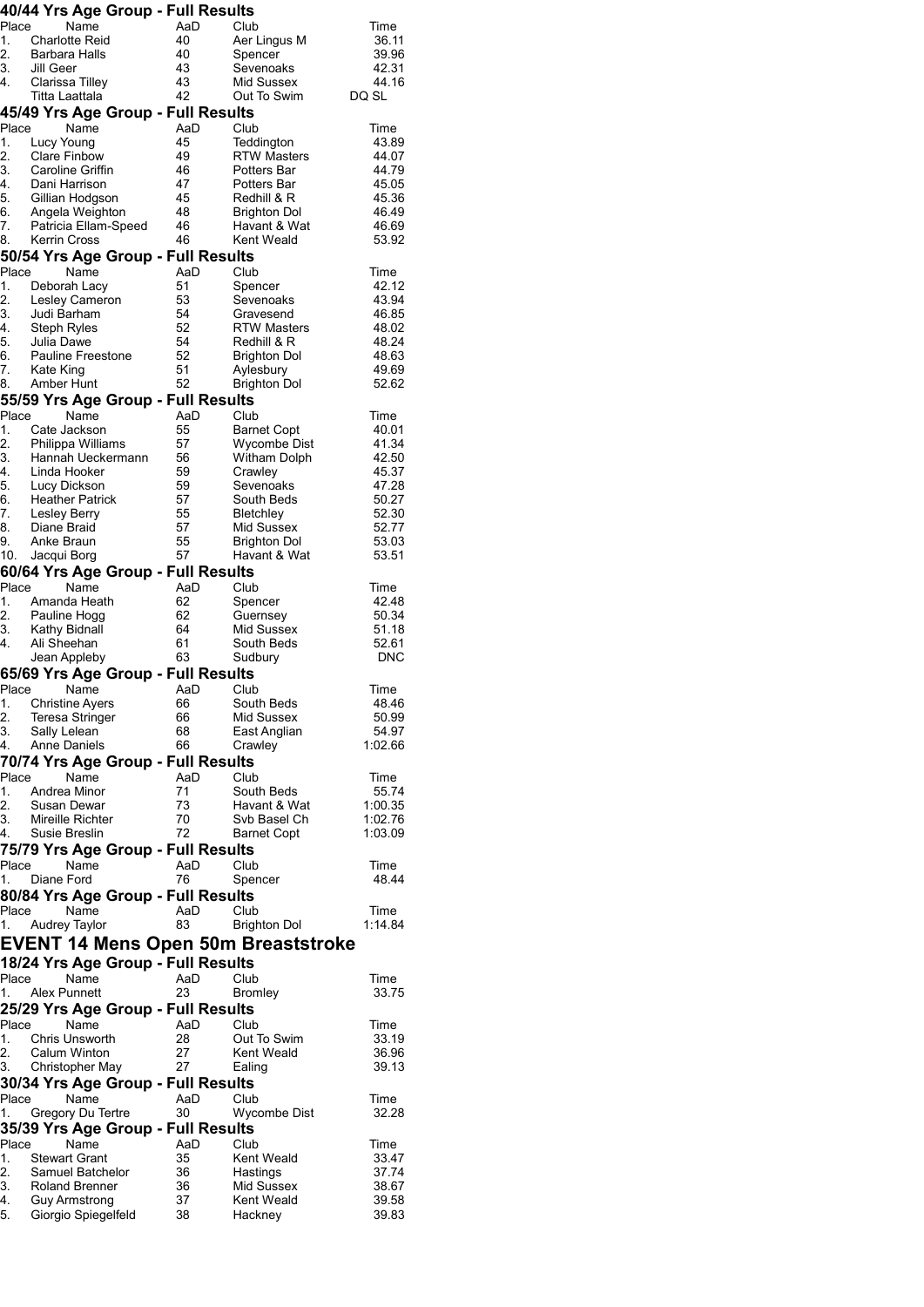|          | 40/44 Yrs Age Group - Full Results     |          |                                            |                |
|----------|----------------------------------------|----------|--------------------------------------------|----------------|
| Place    | Name                                   | AaD      | Club                                       | Time           |
| 1.       | <b>Charlotte Reid</b>                  | 40       | Aer Lingus M                               | 36.11          |
| 2.<br>3. | Barbara Halls                          | 40       | Spencer                                    | 39.96          |
| 4.       | Jill Geer<br>Clarissa Tilley           | 43<br>43 | Sevenoaks<br>Mid Sussex                    | 42.31<br>44.16 |
|          | Titta Laattala                         | 42       | Out To Swim                                | DQ SL          |
|          | 45/49 Yrs Age Group - Full Results     |          |                                            |                |
| Place    | Name                                   | AaD      | Club                                       | Time           |
| 1.       | Lucy Young                             | 45       | Teddington                                 | 43.89          |
| 2.       | <b>Clare Finbow</b>                    | 49       | <b>RTW Masters</b>                         | 44.07          |
| 3.       | Caroline Griffin                       | 46       | Potters Bar                                | 44.79          |
| 4.       | Dani Harrison                          | 47       | Potters Bar                                | 45.05          |
| 5.<br>6. | Gillian Hodgson<br>Angela Weighton     | 45<br>48 | Redhill & R<br><b>Brighton Dol</b>         | 45.36<br>46.49 |
| 7.       | Patricia Ellam-Speed                   | 46       | Havant & Wat                               | 46.69          |
| 8.       | <b>Kerrin Cross</b>                    | 46       | Kent Weald                                 | 53.92          |
|          | 50/54 Yrs Age Group - Full Results     |          |                                            |                |
| Place    | Name                                   | AaD      | Club                                       | Time           |
| 1.       | Deborah Lacy                           | 51       | Spencer                                    | 42.12          |
| 2.       | Lesley Cameron                         | 53       | Sevenoaks                                  | 43.94          |
| 3.       | Judi Barham                            | 54       | Gravesend                                  | 46.85          |
| 4.<br>5. | Steph Ryles<br>Julia Dawe              | 52<br>54 | <b>RTW Masters</b><br>Redhill & R          | 48.02<br>48.24 |
| 6.       | <b>Pauline Freestone</b>               | 52       | Brighton Dol                               | 48.63          |
| 7.       | Kate King                              | 51       | Aylesbury                                  | 49.69          |
| 8.       | Amber Hunt                             | 52       | <b>Brighton Dol</b>                        | 52.62          |
|          | 55/59 Yrs Age Group - Full Results     |          |                                            |                |
| Place    | Name                                   | AaD      | Club                                       | Time           |
| 1.       | Cate Jackson                           | 55       | <b>Barnet Copt</b>                         | 40.01          |
| 2.       | Philippa Williams                      | 57       | <b>Wycombe Dist</b>                        | 41.34          |
| 3.       | Hannah Ueckermann                      | 56       | Witham Dolph                               | 42.50          |
| 4.       | Linda Hooker                           | 59       | Crawley                                    | 45.37          |
| 5.       | Lucy Dickson                           | 59       | Sevenoaks                                  | 47.28          |
| 6.<br>7. | <b>Heather Patrick</b>                 | 57<br>55 | South Beds                                 | 50.27<br>52.30 |
| 8.       | Lesley Berry<br>Diane Braid            | 57       | Bletchley<br>Mid Sussex                    | 52.77          |
| 9.       | Anke Braun                             | 55       | <b>Brighton Dol</b>                        | 53.03          |
| 10.      | Jacqui Borg                            | 57       | Havant & Wat                               | 53.51          |
|          | 60/64 Yrs Age Group - Full Results     |          |                                            |                |
| Place    | Name                                   | AaD      | Club                                       | Time           |
| 1.       | Amanda Heath                           | 62       | Spencer                                    | 42.48          |
| 2.       | Pauline Hogg                           | 62       | Guernsey                                   | 50.34          |
| 3.       | Kathy Bidnall                          | 64       | Mid Sussex                                 | 51.18          |
| 4.       | Ali Sheehan                            | 61       | South Beds                                 | 52.61          |
|          | Jean Appleby                           | 63       | Sudbury                                    | <b>DNC</b>     |
|          | 65/69 Yrs Age Group - Full Results     |          |                                            |                |
| Place    | Name                                   | AaD      | Club                                       | Time           |
| 1.       | <b>Christine Ayers</b>                 | 66       | South Beds                                 | 48.46          |
| 2.<br>3. | <b>Teresa Stringer</b><br>Sally Lelean | 66<br>68 | Mid Sussex                                 | 50.99<br>54.97 |
| 4.       | Anne Daniels                           | 66       | East Anglian<br>Crawley                    | 1:02.66        |
|          | 70/74 Yrs Age Group - Full Results     |          |                                            |                |
| Place    | Name                                   | AaD      | Club                                       | Time           |
| 1.       | Andrea Minor                           | 71       | South Beds                                 | 55.74          |
| 2.       | Susan Dewar                            | 73       | Havant & Wat                               | 1:00.35        |
| 3.       | Mireille Richter                       | 70       | Svb Basel Ch                               | 1:02.76        |
| 4.       | Susie Breslin                          | 72       | <b>Barnet Copt</b>                         | 1:03.09        |
|          | 75/79 Yrs Age Group - Full Results     |          |                                            |                |
| Place    | Name                                   | AaD      | Club                                       | Time           |
| 1.       | Diane Ford                             | 76       | Spencer                                    | 48.44          |
|          | 80/84 Yrs Age Group - Full Results     |          |                                            |                |
| Place    | Name                                   | AaD      | Club                                       | Time           |
| 1.       | Audrey Taylor                          | 83       | <b>Brighton Dol</b>                        | 1:14.84        |
|          |                                        |          | <b>EVENT 14 Mens Open 50m Breaststroke</b> |                |
|          | 18/24 Yrs Age Group - Full Results     |          |                                            |                |
| Place    | Name                                   | AaD      | Club                                       | Time           |
| 1.       | Alex Punnett                           | 23       | <b>Bromley</b>                             | 33.75          |
|          | 25/29 Yrs Age Group - Full Results     |          |                                            |                |
| Place    | Name                                   | AaD      | Club                                       | Time           |
| 1.<br>2. | Chris Unsworth                         | 28<br>27 | Out To Swim                                | 33.19          |
| 3.       | Calum Winton<br>Christopher May        | 27       | Kent Weald<br>Ealing                       | 36.96<br>39.13 |
|          | 30/34 Yrs Age Group - Full Results     |          |                                            |                |
| Place    | Name                                   | AaD      | Club                                       | Time           |
| 1.       | Gregory Du Tertre                      | 30       | Wycombe Dist                               | 32.28          |
|          | 35/39 Yrs Age Group - Full Results     |          |                                            |                |
| Place    | Name                                   | AaD      | Club                                       | Time           |
| 1.       | <b>Stewart Grant</b>                   | 35       | Kent Weald                                 | 33.47          |
| 2.       | Samuel Batchelor                       | 36       | Hastings                                   | 37.74          |
| 3.       | <b>Roland Brenner</b>                  | 36       | Mid Sussex                                 | 38.67          |
| 4.       | <b>Guy Armstrong</b>                   | 37       | Kent Weald                                 | 39.58          |
| 5.       | Giorgio Spiegelfeld                    | 38       | Hackney                                    | 39.83          |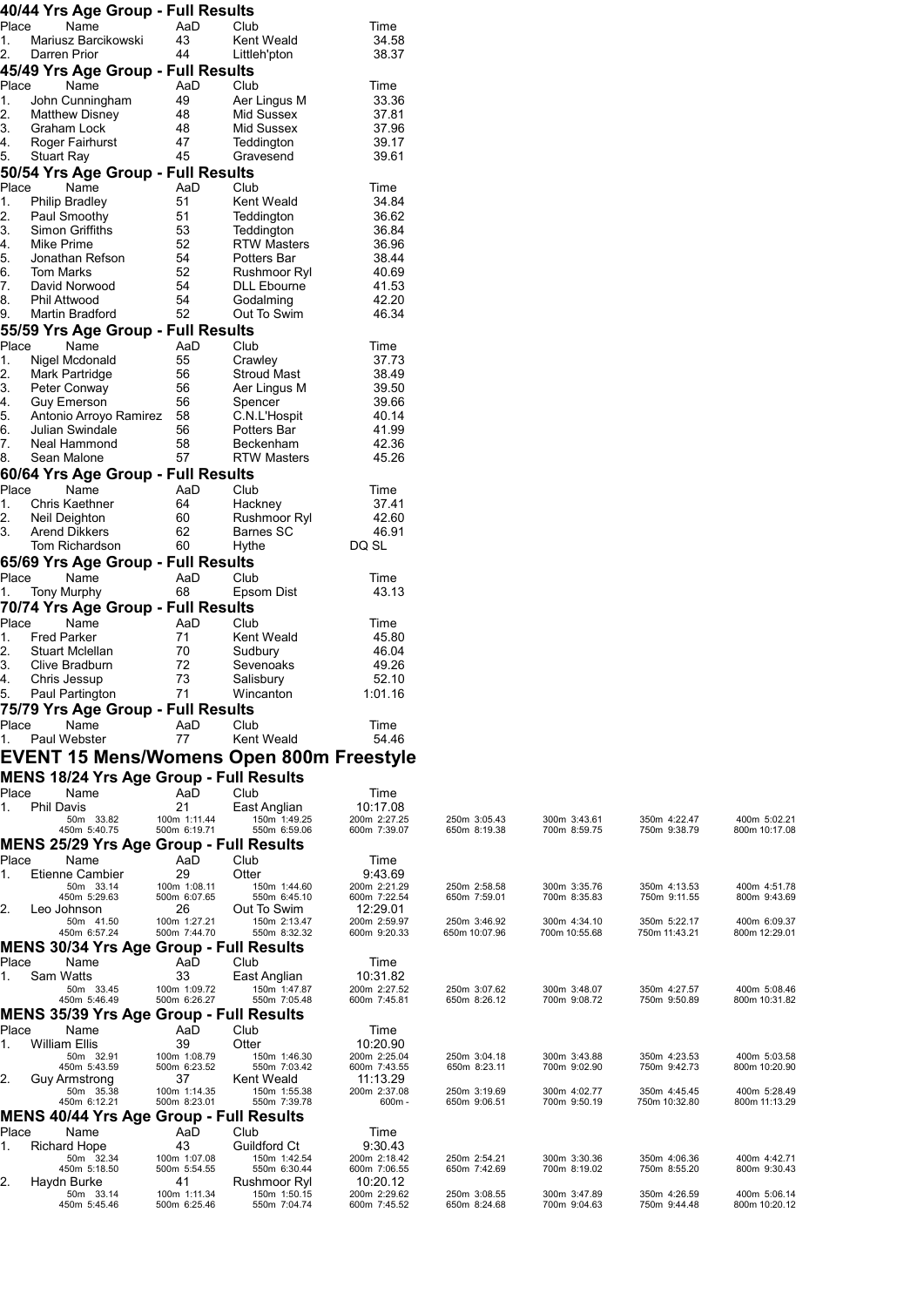|                      |                                    |                             |                        | 40/44 Yrs Age Group - Full Results       |                                                         |                              |                              |                              |                              |                               |
|----------------------|------------------------------------|-----------------------------|------------------------|------------------------------------------|---------------------------------------------------------|------------------------------|------------------------------|------------------------------|------------------------------|-------------------------------|
| Place                |                                    | Name<br>Mariusz Barcikowski |                        | AaD                                      | Club<br>Kent Weald                                      | Time                         |                              |                              |                              |                               |
| 1.<br>$\mathbf{2}$ . | Darren Prior                       |                             |                        | 43<br>44                                 | Littleh'pton                                            | 34.58<br>38.37               |                              |                              |                              |                               |
|                      |                                    |                             |                        | 45/49 Yrs Age Group - Full Results       |                                                         |                              |                              |                              |                              |                               |
| Place                |                                    | Name                        |                        | AaD                                      | Club                                                    | Time                         |                              |                              |                              |                               |
| 1.                   |                                    | John Cunningham             |                        | 49                                       | Aer Lingus M                                            | 33.36                        |                              |                              |                              |                               |
| 2.<br>3.             | Graham Lock                        | <b>Matthew Disney</b>       |                        | 48<br>48                                 | Mid Sussex<br>Mid Sussex                                | 37.81<br>37.96               |                              |                              |                              |                               |
| 4.                   |                                    | Roger Fairhurst             |                        | 47                                       | Teddington                                              | 39.17                        |                              |                              |                              |                               |
| 5.                   | <b>Stuart Ray</b>                  |                             |                        | 45                                       | Gravesend                                               | 39.61                        |                              |                              |                              |                               |
|                      |                                    |                             |                        | 50/54 Yrs Age Group - Full Results       |                                                         |                              |                              |                              |                              |                               |
| Place<br>1.          | <b>Philip Bradley</b>              | Name                        |                        | AaD<br>51                                | Club<br>Kent Weald                                      | Time<br>34.84                |                              |                              |                              |                               |
| 2.                   | Paul Smoothy                       |                             |                        | 51                                       | Teddington                                              | 36.62                        |                              |                              |                              |                               |
| 3.                   |                                    | Simon Griffiths             |                        | 53                                       | Teddington                                              | 36.84                        |                              |                              |                              |                               |
| 4.<br>5.             | Mike Prime                         | Jonathan Refson             |                        | 52<br>54                                 | <b>RTW Masters</b><br>Potters Bar                       | 36.96<br>38.44               |                              |                              |                              |                               |
| 6.                   | Tom Marks                          |                             |                        | 52                                       | Rushmoor Ryl                                            | 40.69                        |                              |                              |                              |                               |
| 7.                   |                                    | David Norwood               |                        | 54                                       | <b>DLL Ebourne</b>                                      | 41.53                        |                              |                              |                              |                               |
| 8.                   | Phil Attwood                       |                             |                        | 54                                       | Godalming                                               | 42.20                        |                              |                              |                              |                               |
| 9.                   |                                    | <b>Martin Bradford</b>      |                        | 52<br>55/59 Yrs Age Group - Full Results | Out To Swim                                             | 46.34                        |                              |                              |                              |                               |
| Place                |                                    | Name                        |                        | AaD                                      | Club                                                    | Time                         |                              |                              |                              |                               |
| 1.                   |                                    | Nigel Mcdonald              |                        | 55                                       | Crawley                                                 | 37.73                        |                              |                              |                              |                               |
| $\mathbf{2}$ .       |                                    | <b>Mark Partridge</b>       |                        | 56                                       | <b>Stroud Mast</b>                                      | 38.49                        |                              |                              |                              |                               |
| 3.<br>4.             | Peter Conway<br><b>Guy Emerson</b> |                             |                        | 56<br>56                                 | Aer Lingus M<br>Spencer                                 | 39.50<br>39.66               |                              |                              |                              |                               |
| 5.                   |                                    |                             | Antonio Arroyo Ramirez | 58                                       | C.N.L'Hospit                                            | 40.14                        |                              |                              |                              |                               |
| 6.                   |                                    | Julian Swindale             |                        | 56                                       | Potters Bar                                             | 41.99                        |                              |                              |                              |                               |
| 7.                   |                                    | Neal Hammond                |                        | 58                                       | Beckenham                                               | 42.36                        |                              |                              |                              |                               |
| 8.                   | Sean Malone                        |                             |                        | 57<br>60/64 Yrs Age Group - Full Results | <b>RTW Masters</b>                                      | 45.26                        |                              |                              |                              |                               |
| Place                |                                    | Name                        |                        | AaD                                      | Club                                                    | Time                         |                              |                              |                              |                               |
| 1.                   |                                    | Chris Kaethner              |                        | 64                                       | Hackney                                                 | 37.41                        |                              |                              |                              |                               |
| 2.                   | Neil Deighton                      |                             |                        | 60                                       | Rushmoor Ryl                                            | 42.60                        |                              |                              |                              |                               |
| 3.                   | <b>Arend Dikkers</b>               | Tom Richardson              |                        | 62<br>60                                 | Barnes SC<br>Hythe                                      | 46.91<br>DQ SL               |                              |                              |                              |                               |
|                      |                                    |                             |                        | 65/69 Yrs Age Group - Full Results       |                                                         |                              |                              |                              |                              |                               |
| Place                |                                    | Name                        |                        | AaD                                      | Club                                                    | Time                         |                              |                              |                              |                               |
| 1.                   | <b>Tony Murphy</b>                 |                             |                        | 68                                       | Epsom Dist                                              | 43.13                        |                              |                              |                              |                               |
|                      |                                    |                             |                        | 70/74 Yrs Age Group - Full Results       |                                                         |                              |                              |                              |                              |                               |
| Place<br>1.          | <b>Fred Parker</b>                 | Name                        |                        | AaD<br>71                                | Club<br>Kent Weald                                      | Time<br>45.80                |                              |                              |                              |                               |
| 2.                   |                                    | Stuart Mclellan             |                        | 70                                       | Sudbury                                                 | 46.04                        |                              |                              |                              |                               |
| 3.                   |                                    | Clive Bradburn              |                        | 72                                       | Sevenoaks                                               | 49.26                        |                              |                              |                              |                               |
| 4.                   | Chris Jessup                       | Paul Partington             |                        | 73<br>71                                 | Salisbury<br>Wincanton                                  | 52.10<br>1:01.16             |                              |                              |                              |                               |
|                      |                                    |                             |                        | 75/79 Yrs Age Group - Full Results       |                                                         |                              |                              |                              |                              |                               |
| Place                |                                    | Name                        |                        | AaD                                      | Club                                                    | Time                         |                              |                              |                              |                               |
| 1.                   | Paul Webster                       |                             |                        | 77                                       | Kent Weald                                              | 54.46                        |                              |                              |                              |                               |
|                      |                                    |                             |                        |                                          | <b>EVENT 15 Mens/Womens Open 800m Freestyle</b>         |                              |                              |                              |                              |                               |
|                      |                                    |                             |                        |                                          | <b>MENS 18/24 Yrs Age Group - Full Results</b>          |                              |                              |                              |                              |                               |
| Place                |                                    | Name                        |                        | AaD                                      | Club                                                    | Time                         |                              |                              |                              |                               |
| 1.                   | <b>Phil Davis</b>                  | 50m 33.82                   |                        | 21<br>100m 1:11.44                       | East Anglian<br>150m 1:49.25                            | 10:17.08<br>200m 2:27.25     | 250m 3:05.43                 | 300m 3:43.61                 | 350m 4:22.47                 | 400m 5:02.21                  |
|                      |                                    | 450m 5:40.75                |                        | 500m 6:19.71                             | 550m 6:59.06                                            | 600m 7:39.07                 | 650m 8:19.38                 | 700m 8:59.75                 | 750m 9:38.79                 | 800m 10:17.08                 |
| Place                |                                    |                             |                        |                                          | <b>MENS 25/29 Yrs Age Group - Full Results</b>          |                              |                              |                              |                              |                               |
| $\mathbf 1$ .        |                                    | Name<br>Etienne Cambier     |                        | AaD<br>29                                | Club<br>Otter                                           | Time<br>9:43.69              |                              |                              |                              |                               |
|                      |                                    | 50m 33.14                   |                        | 100m 1:08.11                             | 150m 1:44.60                                            | 200m 2:21.29                 | 250m 2:58.58                 | 300m 3:35.76                 | 350m 4:13.53                 | 400m 4:51.78                  |
| 2.                   | Leo Johnson                        | 450m 5:29.63                |                        | 500m 6:07.65<br>26                       | 550m 6:45.10<br>Out To Swim                             | 600m 7:22.54<br>12:29.01     | 650m 7:59.01                 | 700m 8:35.83                 | 750m 9:11.55                 | 800m 9:43.69                  |
|                      |                                    | 50m 41.50                   |                        | 100m 1:27.21                             | 150m 2:13.47                                            | 200m 2:59.97                 | 250m 3:46.92                 | 300m 4:34.10                 | 350m 5:22.17                 | 400m 6:09.37                  |
|                      |                                    | 450m 6:57.24                |                        | 500m 7:44.70                             | 550m 8:32.32<br>MENS 30/34 Yrs Age Group - Full Results | 600m 9:20.33                 | 650m 10:07.96                | 700m 10:55.68                | 750m 11:43.21                | 800m 12:29.01                 |
| Place                |                                    | Name                        |                        | AaD                                      | Club                                                    | Time                         |                              |                              |                              |                               |
| 1.                   | Sam Watts                          |                             |                        | 33                                       | East Anglian                                            | 10:31.82                     |                              |                              |                              |                               |
|                      |                                    | 50m 33.45<br>450m 5:46.49   |                        | 100m 1:09.72<br>500m 6:26.27             | 150m 1:47.87<br>550m 7:05.48                            | 200m 2:27.52<br>600m 7:45.81 | 250m 3:07.62<br>650m 8:26.12 | 300m 3:48.07<br>700m 9:08.72 | 350m 4:27.57<br>750m 9:50.89 | 400m 5:08.46<br>800m 10:31.82 |
|                      |                                    |                             |                        |                                          | MENS 35/39 Yrs Age Group - Full Results                 |                              |                              |                              |                              |                               |
| Place                |                                    | Name                        |                        | AaD                                      | Club                                                    | Time                         |                              |                              |                              |                               |
| 1.                   | <b>William Ellis</b>               | 50m 32.91                   |                        | 39<br>100m 1:08.79                       | Otter<br>150m 1:46.30                                   | 10:20.90<br>200m 2:25.04     | 250m 3:04.18                 | 300m 3:43.88                 | 350m 4:23.53                 | 400m 5:03.58                  |
|                      |                                    | 450m 5:43.59                |                        | 500m 6:23.52                             | 550m 7:03.42                                            | 600m 7:43.55                 | 650m 8:23.11                 | 700m 9:02.90                 | 750m 9:42.73                 | 800m 10:20.90                 |
| 2.                   |                                    | Guy Armstrong<br>50m 35.38  |                        | 37<br>100m 1:14.35                       | Kent Weald<br>150m 1:55.38                              | 11:13.29<br>200m 2:37.08     | 250m 3:19.69                 | 300m 4:02.77                 | 350m 4:45.45                 | 400m 5:28.49                  |
|                      |                                    | 450m 6:12.21                |                        | 500m 8:23.01                             | 550m 7:39.78                                            | $600m -$                     | 650m 9:06.51                 | 700m 9:50.19                 | 750m 10:32.80                | 800m 11:13.29                 |
|                      |                                    |                             |                        |                                          | <b>MENS 40/44 Yrs Age Group - Full Results</b>          |                              |                              |                              |                              |                               |
| Place<br>1.          | Richard Hope                       | Name                        |                        | AaD<br>43                                | Club<br>Guildford Ct                                    | Time<br>9:30.43              |                              |                              |                              |                               |
|                      |                                    | 50m 32.34                   |                        | 100m 1:07.08                             | 150m 1:42.54                                            | 200m 2:18.42                 | 250m 2:54.21                 | 300m 3:30.36                 | 350m 4:06.36                 | 400m 4:42.71                  |
| 2.                   | Haydn Burke                        | 450m 5:18.50                |                        | 500m 5:54.55<br>41                       | 550m 6:30.44<br>Rushmoor Ryl                            | 600m 7:06.55<br>10:20.12     | 650m 7:42.69                 | 700m 8:19.02                 | 750m 8:55.20                 | 800m 9:30.43                  |
|                      |                                    | 50m 33.14                   |                        | 100m 1:11.34                             | 150m 1:50.15                                            | 200m 2:29.62                 | 250m 3:08.55                 | 300m 3:47.89                 | 350m 4:26.59                 | 400m 5:06.14                  |
|                      |                                    | 450m 5:45.46                |                        | 500m 6:25.46                             | 550m 7:04.74                                            | 600m 7:45.52                 | 650m 8:24.68                 | 700m 9:04.63                 | 750m 9:44.48                 | 800m 10:20.12                 |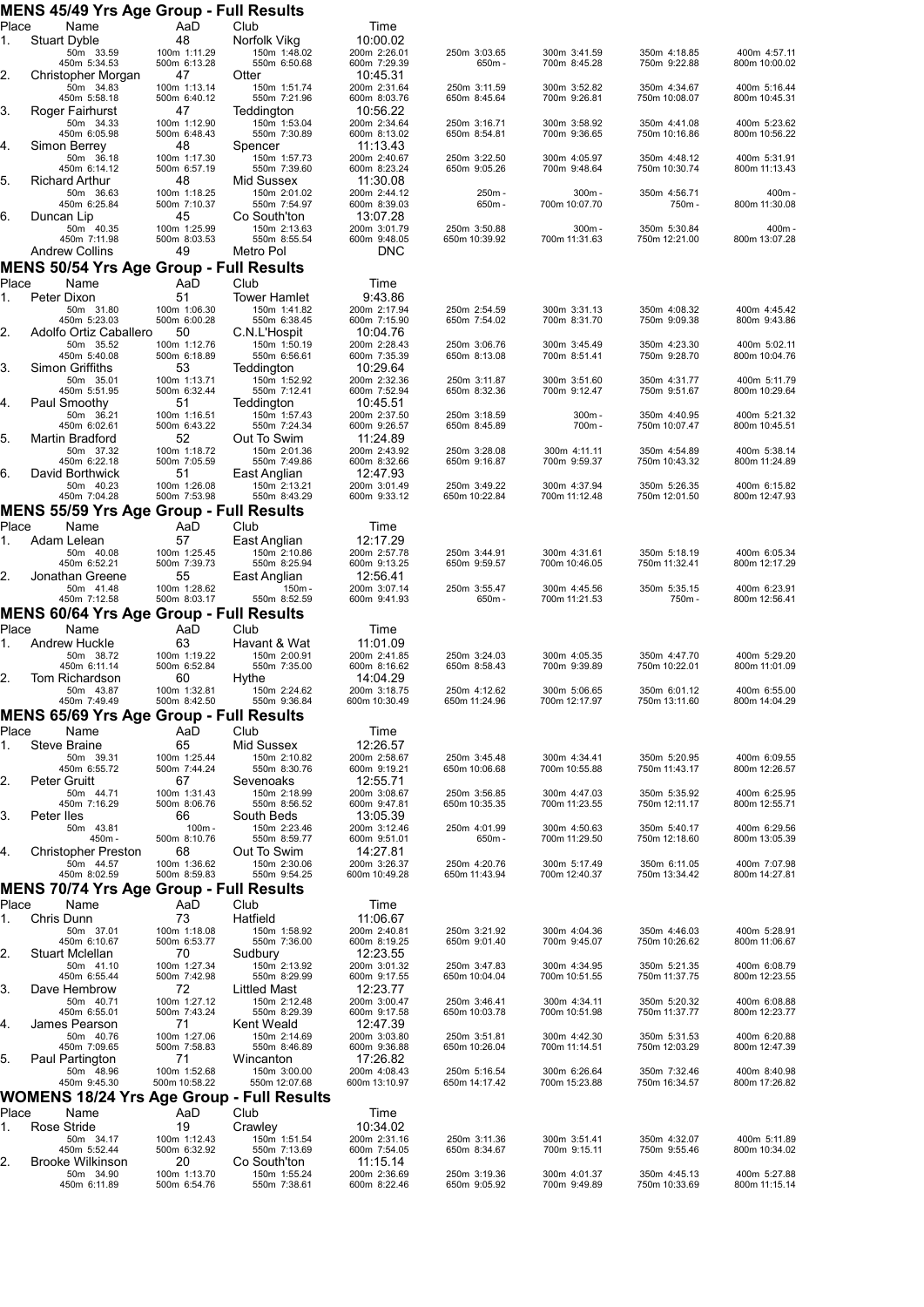|             | MENS 45/49 Yrs Age Group - Full Results                 |                               |                               |                               |                               |                               |                               |                               |
|-------------|---------------------------------------------------------|-------------------------------|-------------------------------|-------------------------------|-------------------------------|-------------------------------|-------------------------------|-------------------------------|
| Place<br>1. | Name<br><b>Stuart Dyble</b>                             | AaD<br>48                     | Club<br>Norfolk Vikg          | Time<br>10:00.02              |                               |                               |                               |                               |
|             | 50m 33.59<br>450m 5:34.53                               | 100m 1:11.29<br>500m 6:13.28  | 150m 1:48.02<br>550m 6:50.68  | 200m 2:26.01<br>600m 7:29.39  | 250m 3:03.65<br>650m-         | 300m 3:41.59<br>700m 8:45.28  | 350m 4:18.85<br>750m 9:22.88  | 400m 4:57.11<br>800m 10:00.02 |
| 2.          | Christopher Morgan                                      | 47                            | Otter                         | 10:45.31                      |                               |                               |                               |                               |
|             | 50m 34.83<br>450m 5:58.18                               | 100m 1:13.14<br>500m 6:40.12  | 150m 1:51.74<br>550m 7:21.96  | 200m 2:31.64<br>600m 8:03.76  | 250m 3:11.59<br>650m 8:45.64  | 300m 3:52.82<br>700m 9:26.81  | 350m 4:34.67<br>750m 10:08.07 | 400m 5:16.44<br>800m 10:45.31 |
| 3.          | Roger Fairhurst<br>50m 34.33                            | 47<br>100m 1:12.90            | Teddington<br>150m 1:53.04    | 10:56.22<br>200m 2:34.64      | 250m 3:16.71                  | 300m 3:58.92                  | 350m 4:41.08                  | 400m 5:23.62                  |
| 4.          | 450m 6:05.98<br>Simon Berrey                            | 500m 6:48.43<br>48            | 550m 7:30.89<br>Spencer       | 600m 8:13.02<br>11:13.43      | 650m 8:54.81                  | 700m 9:36.65                  | 750m 10:16.86                 | 800m 10:56.22                 |
|             | 50m 36.18<br>450m 6:14.12                               | 100m 1:17.30<br>500m 6:57.19  | 150m 1:57.73<br>550m 7:39.60  | 200m 2:40.67<br>600m 8:23.24  | 250m 3:22.50<br>650m 9:05.26  | 300m 4:05.97<br>700m 9:48.64  | 350m 4:48.12<br>750m 10:30.74 | 400m 5:31.91<br>800m 11:13.43 |
| 5.          | Richard Arthur<br>50m 36.63                             | 48<br>100m 1:18.25            | Mid Sussex<br>150m 2:01.02    | 11:30.08<br>200m 2:44.12      | 250m-                         | 300m-                         | 350m 4:56.71                  | 400m -                        |
| 6.          | 450m 6:25.84<br>Duncan Lip                              | 500m 7:10.37<br>45            | 550m 7:54.97<br>Co South'ton  | 600m 8:39.03<br>13:07.28      | 650m -                        | 700m 10:07.70                 | 750m-                         | 800m 11:30.08                 |
|             | 50m 40.35<br>450m 7:11.98                               | 100m 1:25.99<br>500m 8:03.53  | 150m 2:13.63<br>550m 8:55.54  | 200m 3:01.79<br>600m 9:48.05  | 250m 3:50.88<br>650m 10:39.92 | 300m-<br>700m 11:31.63        | 350m 5:30.84<br>750m 12:21.00 | 400m-<br>800m 13:07.28        |
|             | <b>Andrew Collins</b>                                   | 49                            | Metro Pol                     | <b>DNC</b>                    |                               |                               |                               |                               |
| Place       | MENS 50/54 Yrs Age Group - Full Results<br>Name         | AaD                           | Club                          | Time                          |                               |                               |                               |                               |
| 1.          | Peter Dixon                                             | 51                            | <b>Tower Hamlet</b>           | 9:43.86                       |                               |                               |                               |                               |
|             | 50m 31.80<br>450m 5:23.03                               | 100m 1:06.30<br>500m 6:00.28  | 150m 1:41.82<br>550m 6:38.45  | 200m 2:17.94<br>600m 7:15.90  | 250m 2:54.59<br>650m 7:54.02  | 300m 3:31.13<br>700m 8:31.70  | 350m 4:08.32<br>750m 9:09.38  | 400m 4:45.42<br>800m 9:43.86  |
| 2.          | Adolfo Ortiz Caballero<br>50m 35.52                     | 50<br>100m 1:12.76            | C.N.L'Hospit<br>150m 1:50.19  | 10:04.76<br>200m 2:28.43      | 250m 3:06.76                  | 300m 3:45.49                  | 350m 4:23.30                  | 400m 5:02.11                  |
| 3.          | 450m 5:40.08<br><b>Simon Griffiths</b>                  | 500m 6:18.89<br>53            | 550m 6:56.61<br>Teddington    | 600m 7:35.39<br>10:29.64      | 650m 8:13.08                  | 700m 8:51.41                  | 750m 9:28.70                  | 800m 10:04.76                 |
|             | 50m 35.01<br>450m 5:51.95                               | 100m 1:13.71<br>500m 6:32.44  | 150m 1:52.92<br>550m 7:12.41  | 200m 2:32.36<br>600m 7:52.94  | 250m 3:11.87<br>650m 8:32.36  | 300m 3:51.60<br>700m 9:12.47  | 350m 4:31.77<br>750m 9:51.67  | 400m 5:11.79<br>800m 10:29.64 |
| 4.          | Paul Smoothy<br>50m 36.21                               | 51<br>100m 1:16.51            | Teddington<br>150m 1:57.43    | 10:45.51<br>200m 2:37.50      | 250m 3:18.59                  | 300m-                         | 350m 4:40.95                  | 400m 5:21.32                  |
| 5.          | 450m 6:02.61<br>Martin Bradford                         | 500m 6:43.22<br>52            | 550m 7:24.34<br>Out To Swim   | 600m 9:26.57<br>11:24.89      | 650m 8:45.89                  | 700m-                         | 750m 10:07.47                 | 800m 10:45.51                 |
|             | 50m 37.32<br>450m 6:22.18                               | 100m 1:18.72<br>500m 7:05.59  | 150m 2:01.36<br>550m 7:49.86  | 200m 2:43.92<br>600m 8:32.66  | 250m 3:28.08<br>650m 9:16.87  | 300m 4:11.11<br>700m 9:59.37  | 350m 4:54.89<br>750m 10:43.32 | 400m 5:38.14<br>800m 11:24.89 |
| 6.          | David Borthwick                                         | 51                            | East Anglian                  | 12:47.93                      |                               |                               |                               |                               |
|             | 50m 40.23<br>450m 7:04.28                               | 100m 1:26.08<br>500m 7:53.98  | 150m 2:13.21<br>550m 8:43.29  | 200m 3:01.49<br>600m 9:33.12  | 250m 3:49.22<br>650m 10:22.84 | 300m 4:37.94<br>700m 11:12.48 | 350m 5:26.35<br>750m 12:01.50 | 400m 6:15.82<br>800m 12:47.93 |
| Place       | <b>MENS 55/59 Yrs Age Group - Full Results</b><br>Name  | AaD                           | Club                          | Time                          |                               |                               |                               |                               |
| 1.          | Adam Lelean                                             | 57                            | East Anglian                  | 12:17.29                      |                               |                               |                               |                               |
|             | 50m 40.08<br>450m 6:52.21                               | 100m 1:25.45<br>500m 7:39.73  | 150m 2:10.86<br>550m 8:25.94  | 200m 2:57.78<br>600m 9:13.25  | 250m 3:44.91<br>650m 9:59.57  | 300m 4:31.61<br>700m 10:46.05 | 350m 5:18.19<br>750m 11:32.41 | 400m 6:05.34<br>800m 12:17.29 |
| 2.          | Jonathan Greene<br>50m 41.48                            | 55<br>100m 1:28.62            | East Anglian<br>150m -        | 12:56.41<br>200m 3:07.14      | 250m 3:55.47                  | 300m 4:45.56                  | 350m 5:35.15                  | 400m 6:23.91                  |
|             | 450m 7:12.58<br>MENS 60/64 Yrs Age Group - Full Results | 500m 8:03.17                  | 550m 8:52.59                  | 600m 9:41.93                  | 650m -                        | 700m 11:21.53                 | 750m-                         | 800m 12:56.41                 |
| Place       | Name                                                    | AaD                           | Club                          | Time                          |                               |                               |                               |                               |
| 1.          | Andrew Huckle<br>50m 38.72                              | 63<br>100m 1:19.22            | Havant & Wat<br>150m 2:00.91  | 11:01.09<br>200m 2:41.85      | 250m 3:24.03                  | 300m 4:05.35                  | 350m 4:47.70                  | 400m 5:29.20                  |
| 2.          | 450m 6:11.14<br>Tom Richardson                          | 500m 6:52.84<br>60            | 550m 7:35.00<br>Hythe         | 600m 8:16.62<br>14:04.29      | 650m 8:58.43                  | 700m 9:39.89                  | 750m 10:22.01                 | 800m 11:01.09                 |
|             | 50m 43.87<br>450m 7:49.49                               | 100m 1:32.81<br>500m 8:42.50  | 150m 2:24.62<br>550m 9:36.84  | 200m 3:18.75<br>600m 10:30.49 | 250m 4:12.62<br>650m 11:24.96 | 300m 5:06.65<br>700m 12:17.97 | 350m 6:01.12<br>750m 13:11.60 | 400m 6:55.00<br>800m 14:04.29 |
| Place       | <b>MENS 65/69 Yrs Age Group - Full Results</b><br>Name  |                               |                               |                               |                               |                               |                               |                               |
| 1.          | <b>Steve Braine</b>                                     | AaD<br>65                     | Club<br>Mid Sussex            | Time<br>12:26.57              |                               |                               |                               |                               |
|             | 50m 39.31<br>450m 6:55.72                               | 100m 1:25.44<br>500m 7:44.24  | 150m 2:10.82<br>550m 8:30.76  | 200m 2:58.67<br>600m 9:19.21  | 250m 3:45.48<br>650m 10:06.68 | 300m 4:34.41<br>700m 10:55.88 | 350m 5:20.95<br>750m 11:43.17 | 400m 6:09.55<br>800m 12:26.57 |
| 2.          | Peter Gruitt<br>50m 44.71                               | 67<br>100m 1:31.43            | Sevenoaks<br>150m 2:18.99     | 12:55.71<br>200m 3:08.67      | 250m 3:56.85                  | 300m 4:47.03                  | 350m 5:35.92                  | 400m 6:25.95                  |
| 3.          | 450m 7:16.29<br>Peter Iles                              | 500m 8:06.76<br>66            | 550m 8:56.52<br>South Beds    | 600m 9:47.81<br>13:05.39      | 650m 10:35.35                 | 700m 11:23.55                 | 750m 12:11.17                 | 800m 12:55.71                 |
|             | 50m 43.81<br>450m-                                      | 100m-<br>500m 8:10.76         | 150m 2:23.46<br>550m 8:59.77  | 200m 3:12.46<br>600m 9:51.01  | 250m 4:01.99<br>650m -        | 300m 4:50.63<br>700m 11:29.50 | 350m 5:40.17<br>750m 12:18.60 | 400m 6:29.56<br>800m 13:05.39 |
| 4.          | Christopher Preston<br>50m 44.57                        | 68<br>100m 1:36.62            | Out To Swim<br>150m 2:30.06   | 14:27.81<br>200m 3:26.37      | 250m 4:20.76                  | 300m 5:17.49                  | 350m 6:11.05                  | 400m 7:07.98                  |
|             | 450m 8:02.59                                            | 500m 8:59.83                  | 550m 9:54.25                  | 600m 10:49.28                 | 650m 11:43.94                 | 700m 12:40.37                 | 750m 13:34.42                 | 800m 14:27.81                 |
| Place       | MENS 70/74 Yrs Age Group - Full Results<br>Name         | AaD                           | Club                          | Time                          |                               |                               |                               |                               |
| 1.          | Chris Dunn<br>50m 37.01                                 | 73<br>100m 1:18.08            | Hatfield<br>150m 1:58.92      | 11:06.67<br>200m 2:40.81      | 250m 3:21.92                  | 300m 4:04.36                  | 350m 4:46.03                  | 400m 5:28.91                  |
| 2.          | 450m 6:10.67<br>Stuart Mclellan                         | 500m 6:53.77<br>70            | 550m 7:36.00<br>Sudbury       | 600m 8:19.25<br>12:23.55      | 650m 9:01.40                  | 700m 9:45.07                  | 750m 10:26.62                 | 800m 11:06.67                 |
|             | 50m 41.10<br>450m 6:55.44                               | 100m 1:27.34<br>500m 7:42.98  | 150m 2:13.92<br>550m 8:29.99  | 200m 3:01.32<br>600m 9:17.55  | 250m 3:47.83<br>650m 10:04.04 | 300m 4:34.95<br>700m 10:51.55 | 350m 5:21.35<br>750m 11:37.75 | 400m 6:08.79<br>800m 12:23.55 |
| 3.          | Dave Hembrow                                            | 72                            | Littled Mast<br>150m 2:12.48  | 12:23.77                      |                               |                               |                               |                               |
|             | 50m 40.71<br>450m 6:55.01                               | 100m 1:27.12<br>500m 7:43.24  | 550m 8:29.39                  | 200m 3:00.47<br>600m 9:17.58  | 250m 3:46.41<br>650m 10:03.78 | 300m 4:34.11<br>700m 10:51.98 | 350m 5:20.32<br>750m 11:37.77 | 400m 6:08.88<br>800m 12:23.77 |
| 4.          | James Pearson<br>50m 40.76                              | 71<br>100m 1:27.06            | Kent Weald<br>150m 2:14.69    | 12:47.39<br>200m 3:03.80      | 250m 3:51.81                  | 300m 4:42.30                  | 350m 5:31.53                  | 400m 6:20.88                  |
| 5.          | 450m 7:09.65<br>Paul Partington                         | 500m 7:58.83<br>71            | 550m 8:46.89<br>Wincanton     | 600m 9:36.88<br>17:26.82      | 650m 10:26.04                 | 700m 11:14.51                 | 750m 12:03.29                 | 800m 12:47.39                 |
|             | 50m 48.96<br>450m 9:45.30                               | 100m 1:52.68<br>500m 10:58.22 | 150m 3:00.00<br>550m 12:07.68 | 200m 4:08.43<br>600m 13:10.97 | 250m 5:16.54<br>650m 14:17.42 | 300m 6:26.64<br>700m 15:23.88 | 350m 7:32.46<br>750m 16:34.57 | 400m 8:40.98<br>800m 17:26.82 |
| Place       | WOMENS 18/24 Yrs Age Group - Full Results<br>Name       | AaD                           | Club                          | Time                          |                               |                               |                               |                               |
| 1.          | Rose Stride                                             | 19                            | Crawley                       | 10:34.02                      |                               |                               |                               |                               |
|             | 50m 34.17<br>450m 5:52.44                               | 100m 1:12.43<br>500m 6:32.92  | 150m 1:51.54<br>550m 7:13.69  | 200m 2:31.16<br>600m 7:54.05  | 250m 3:11.36<br>650m 8:34.67  | 300m 3:51.41<br>700m 9:15.11  | 350m 4:32.07<br>750m 9:55.46  | 400m 5:11.89<br>800m 10:34.02 |
| 2.          | <b>Brooke Wilkinson</b><br>50m 34.90                    | 20<br>100m 1:13.70            | Co South'ton<br>150m 1:55.24  | 11:15.14<br>200m 2:36.69      | 250m 3:19.36                  | 300m 4:01.37                  | 350m 4:45.13                  | 400m 5:27.88                  |
|             | 450m 6:11.89                                            | 500m 6:54.76                  | 550m 7:38.61                  | 600m 8:22.46                  | 650m 9:05.92                  | 700m 9:49.89                  | 750m 10:33.69                 | 800m 11:15.14                 |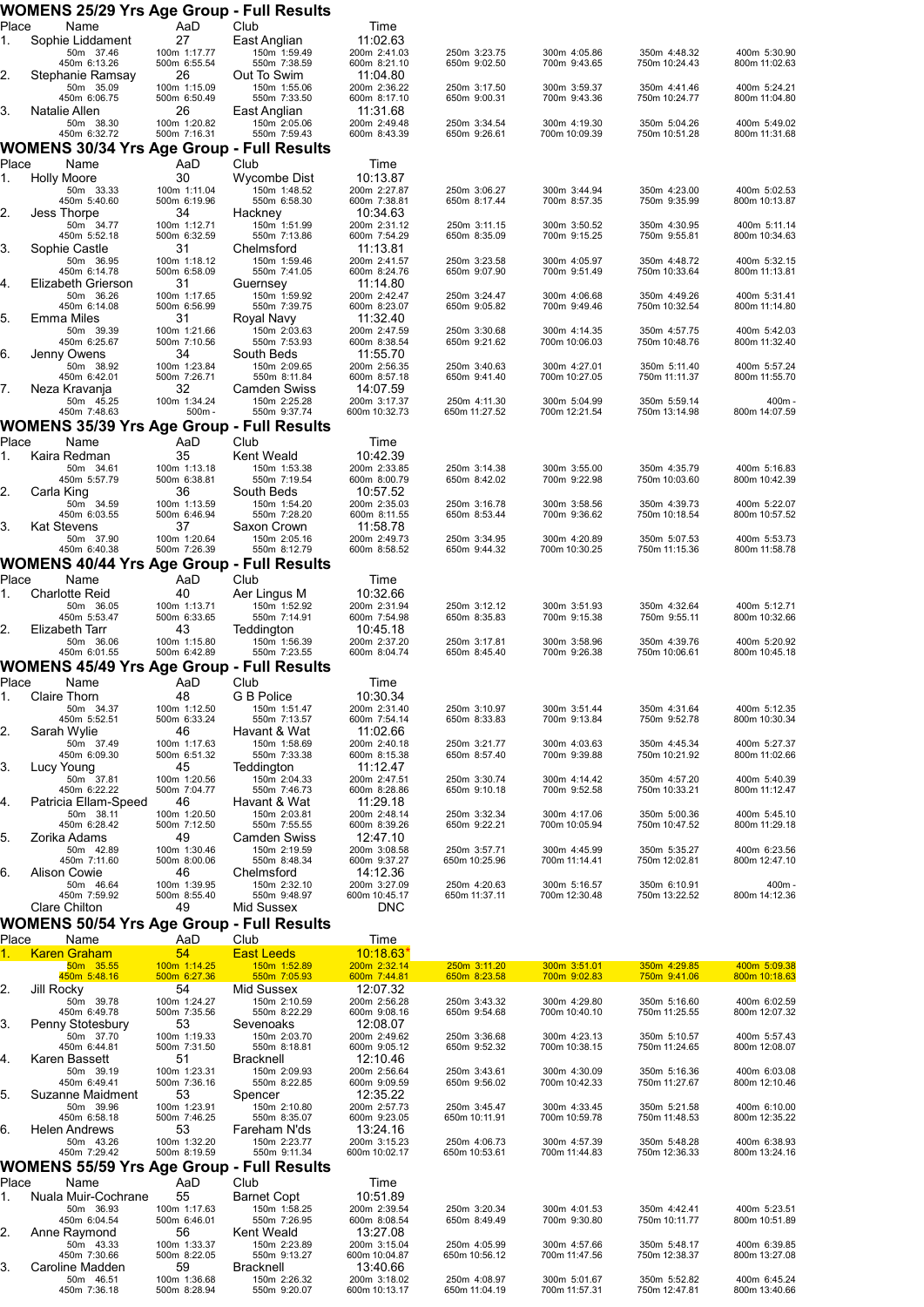|             | WOMENS 25/29 Yrs Age Group - Full Results                 |                              |                                  |                               |                               |                               |                               |                               |
|-------------|-----------------------------------------------------------|------------------------------|----------------------------------|-------------------------------|-------------------------------|-------------------------------|-------------------------------|-------------------------------|
| Place<br>1. | Name<br>Sophie Liddament                                  | AaD<br>27                    | Club<br>East Anglian             | Time<br>11:02.63              |                               |                               |                               |                               |
|             | 50m 37.46<br>450m 6:13.26                                 | 100m 1:17.77<br>500m 6:55.54 | 150m 1:59.49<br>550m 7:38.59     | 200m 2:41.03<br>600m 8:21.10  | 250m 3:23.75<br>650m 9:02.50  | 300m 4:05.86<br>700m 9:43.65  | 350m 4:48.32<br>750m 10:24.43 | 400m 5:30.90<br>800m 11:02.63 |
| 2.          | Stephanie Ramsay<br>50m 35.09                             | 26<br>100m 1:15.09           | Out To Swim<br>150m 1:55.06      | 11:04.80<br>200m 2:36.22      | 250m 3:17.50                  | 300m 3:59.37                  | 350m 4:41.46                  | 400m 5:24.21                  |
| 3.          | 450m 6:06.75<br>Natalie Allen                             | 500m 6:50.49<br>26           | 550m 7:33.50<br>East Anglian     | 600m 8:17.10<br>11:31.68      | 650m 9:00.31                  | 700m 9:43.36                  | 750m 10:24.77                 | 800m 11:04.80                 |
|             | 50m 38.30<br>450m 6:32.72                                 | 100m 1:20.82<br>500m 7:16.31 | 150m 2:05.06<br>550m 7:59.43     | 200m 2:49.48<br>600m 8:43.39  | 250m 3:34.54<br>650m 9:26.61  | 300m 4:19.30<br>700m 10:09.39 | 350m 5:04.26<br>750m 10:51.28 | 400m 5:49.02<br>800m 11:31.68 |
|             | <b>WOMENS 30/34 Yrs Age Group - Full Results</b>          |                              |                                  |                               |                               |                               |                               |                               |
| Place<br>1. | Name<br><b>Holly Moore</b>                                | AaD<br>30                    | Club<br>Wycombe Dist             | Time<br>10:13.87              |                               |                               |                               |                               |
|             | 50m 33.33                                                 | 100m 1:11.04                 | 150m 1:48.52                     | 200m 2:27.87                  | 250m 3:06.27                  | 300m 3:44.94<br>700m 8:57.35  | 350m 4:23.00                  | 400m 5:02.53                  |
| 2.          | 450m 5:40.60<br>Jess Thorpe                               | 500m 6:19.96<br>34           | 550m 6:58.30<br>Hackney          | 600m 7:38.81<br>10:34.63      | 650m 8:17.44                  |                               | 750m 9:35.99                  | 800m 10:13.87                 |
|             | 50m 34.77<br>450m 5:52.18                                 | 100m 1:12.71<br>500m 6:32.59 | 150m 1:51.99<br>550m 7:13.86     | 200m 2:31.12<br>600m 7:54.29  | 250m 3:11.15<br>650m 8:35.09  | 300m 3:50.52<br>700m 9:15.25  | 350m 4:30.95<br>750m 9:55.81  | 400m 5:11.14<br>800m 10:34.63 |
| З.          | Sophie Castle<br>50m 36.95                                | 31<br>100m 1:18.12           | Chelmsford<br>150m 1:59.46       | 11:13.81<br>200m 2:41.57      | 250m 3:23.58                  | 300m 4:05.97                  | 350m 4:48.72                  | 400m 5:32.15                  |
| 4.          | 450m 6:14.78<br>Elizabeth Grierson                        | 500m 6:58.09<br>31           | 550m 7:41.05<br>Guernsey         | 600m 8:24.76<br>11:14.80      | 650m 9:07.90                  | 700m 9:51.49                  | 750m 10:33.64                 | 800m 11:13.81                 |
|             | 50m 36.26<br>450m 6:14.08                                 | 100m 1:17.65<br>500m 6:56.99 | 150m 1:59.92<br>550m 7:39.75     | 200m 2:42.47<br>600m 8:23.07  | 250m 3:24.47<br>650m 9:05.82  | 300m 4:06.68<br>700m 9:49.46  | 350m 4:49.26<br>750m 10:32.54 | 400m 5:31.41<br>800m 11:14.80 |
| 5.          | Emma Miles                                                | 31                           | Royal Navy                       | 11:32.40                      |                               |                               |                               |                               |
|             | 50m 39.39<br>450m 6:25.67                                 | 100m 1:21.66<br>500m 7:10.56 | 150m 2:03.63<br>550m 7:53.93     | 200m 2:47.59<br>600m 8:38.54  | 250m 3:30.68<br>650m 9:21.62  | 300m 4:14.35<br>700m 10:06.03 | 350m 4:57.75<br>750m 10:48.76 | 400m 5:42.03<br>800m 11:32.40 |
| 6.          | Jenny Owens<br>50m 38.92                                  | 34<br>100m 1:23.84           | South Beds<br>150m 2:09.65       | 11:55.70<br>200m 2:56.35      | 250m 3:40.63                  | 300m 4:27.01                  | 350m 5:11.40                  | 400m 5:57.24                  |
| 7.          | 450m 6:42.01<br>Neza Kravanja                             | 500m 7:26.71<br>32           | 550m 8:11.84<br>Camden Swiss     | 600m 8:57.18<br>14:07.59      | 650m 9:41.40                  | 700m 10:27.05                 | 750m 11:11.37                 | 800m 11:55.70                 |
|             | 50m 45.25<br>450m 7:48.63                                 | 100m 1:34.24<br>$500m -$     | 150m 2:25.28<br>550m 9:37.74     | 200m 3:17.37<br>600m 10:32.73 | 250m 4:11.30<br>650m 11:27.52 | 300m 5:04.99<br>700m 12:21.54 | 350m 5:59.14<br>750m 13:14.98 | $400m \cdot$<br>800m 14:07.59 |
|             | <b>WOMENS 35/39 Yrs Age Group - Full Results</b>          |                              |                                  |                               |                               |                               |                               |                               |
| Place<br>1. | Name<br>Kaira Redman                                      | AaD<br>35                    | Club<br>Kent Weald               | Time<br>10:42.39              |                               |                               |                               |                               |
|             | 50m 34.61<br>450m 5:57.79                                 | 100m 1:13.18<br>500m 6:38.81 | 150m 1:53.38<br>550m 7:19.54     | 200m 2:33.85<br>600m 8:00.79  | 250m 3:14.38<br>650m 8:42.02  | 300m 3:55.00<br>700m 9:22.98  | 350m 4:35.79<br>750m 10:03.60 | 400m 5:16.83<br>800m 10:42.39 |
| 2.          | Carla King                                                | 36                           | South Beds                       | 10:57.52                      |                               |                               |                               |                               |
|             | 50m 34.59<br>450m 6:03.55                                 | 100m 1:13.59<br>500m 6:46.94 | 150m 1:54.20<br>550m 7:28.20     | 200m 2:35.03<br>600m 8:11.55  | 250m 3:16.78<br>650m 8:53.44  | 300m 3:58.56<br>700m 9:36.62  | 350m 4:39.73<br>750m 10:18.54 | 400m 5:22.07<br>800m 10:57.52 |
| З.          | <b>Kat Stevens</b><br>50m 37.90                           | 37<br>100m 1:20.64           | Saxon Crown<br>150m 2:05.16      | 11:58.78<br>200m 2:49.73      | 250m 3:34.95                  | 300m 4:20.89                  | 350m 5:07.53                  | 400m 5:53.73                  |
|             | 450m 6:40.38<br>WOMENS 40/44 Yrs Age Group - Full Results | 500m 7:26.39                 | 550m 8:12.79                     | 600m 8:58.52                  | 650m 9:44.32                  | 700m 10:30.25                 | 750m 11:15.36                 | 800m 11:58.78                 |
| Place       | Name                                                      | AaD                          | Club                             | Time                          |                               |                               |                               |                               |
| 1.          | <b>Charlotte Reid</b><br>50m 36.05                        | 40<br>100m 1:13.71           | Aer Lingus M<br>150m 1:52.92     | 10:32.66<br>200m 2:31.94      | 250m 3:12.12                  | 300m 3:51.93                  | 350m 4:32.64                  | 400m 5:12.71                  |
|             | 450m 5:53.47<br>Elizabeth Tarr                            | 500m 6:33.65<br>43           | 550m 7:14.91<br>Teddington       | 600m 7:54.98<br>10:45.18      | 650m 8:35.83                  | 700m 9:15.38                  | 750m 9:55.11                  | 800m 10:32.66                 |
|             | 50m 36.06<br>450m 6:01.55                                 | 100m 1:15.80<br>500m 6:42.89 | 150m 1:56.39<br>550m 7:23.55     | 200m 2:37.20<br>600m 8:04.74  | 250m 3:17.81<br>650m 8:45.40  | 300m 3:58.96<br>700m 9:26.38  | 350m 4:39.76<br>750m 10:06.61 | 400m 5:20.92<br>800m 10:45.18 |
|             | WOMENS 45/49 Yrs Age Group - Full Results                 |                              |                                  |                               |                               |                               |                               |                               |
| Place       | Name<br>Claire Thorn                                      | AaD<br>48                    | Club<br>G B Police               | Time<br>10:30.34              |                               |                               |                               |                               |
|             | 50m 34.37<br>450m 5:52.51                                 | 100m 1:12.50<br>500m 6:33.24 | 150m 1:51.47<br>550m 7:13.57     | 200m 2:31.40<br>600m 7:54.14  | 250m 3:10.97<br>650m 8:33.83  | 300m 3:51.44<br>700m 9:13.84  | 350m 4:31.64<br>750m 9:52.78  | 400m 5:12.35<br>800m 10:30.34 |
|             | Sarah Wylie                                               | 46                           | Havant & Wat                     | 11:02.66                      |                               |                               |                               |                               |
|             | 50m 37.49<br>450m 6:09.30                                 | 100m 1:17.63<br>500m 6:51.32 | 150m 1:58.69<br>550m 7:33.38     | 200m 2:40.18<br>600m 8:15.38  | 250m 3:21.77<br>650m 8:57.40  | 300m 4:03.63<br>700m 9:39.88  | 350m 4:45.34<br>750m 10:21.92 | 400m 5:27.37<br>800m 11:02.66 |
| З.          | Lucy Young<br>50m 37.81                                   | 45<br>100m 1:20.56           | Teddington<br>150m 2:04.33       | 11:12.47<br>200m 2:47.51      | 250m 3:30.74                  | 300m 4:14.42                  | 350m 4:57.20                  | 400m 5:40.39                  |
| 4.          | 450m 6:22.22<br>Patricia Ellam-Speed                      | 500m 7:04.77<br>46           | 550m 7:46.73<br>Havant & Wat     | 600m 8:28.86<br>11:29.18      | 650m 9:10.18                  | 700m 9:52.58                  | 750m 10:33.21                 | 800m 11:12.47                 |
|             | 50m 38.11<br>450m 6:28.42                                 | 100m 1:20.50<br>500m 7:12.50 | 150m 2:03.81<br>550m 7:55.55     | 200m 2:48.14<br>600m 8:39.26  | 250m 3:32.34<br>650m 9:22.21  | 300m 4:17.06<br>700m 10:05.94 | 350m 5:00.36<br>750m 10:47.52 | 400m 5:45.10<br>800m 11:29.18 |
| 5.          | Zorika Adams<br>50m 42.89                                 | 49<br>100m 1:30.46           | Camden Swiss<br>150m 2:19.59     | 12:47.10<br>200m 3:08.58      | 250m 3:57.71                  | 300m 4:45.99                  | 350m 5:35.27                  | 400m 6:23.56                  |
| 6.          | 450m 7:11.60<br>Alison Cowie                              | 500m 8:00.06<br>46           | 550m 8:48.34<br>Chelmsford       | 600m 9:37.27<br>14:12.36      | 650m 10:25.96                 | 700m 11:14.41                 | 750m 12:02.81                 | 800m 12:47.10                 |
|             | 50m 46.64<br>450m 7:59.92                                 | 100m 1:39.95<br>500m 8:55.40 | 150m 2:32.10<br>550m 9:48.97     | 200m 3:27.09<br>600m 10:45.17 | 250m 4:20.63                  | 300m 5:16.57                  | 350m 6:10.91<br>750m 13:22.52 | 400m<br>800m 14:12.36         |
|             | Clare Chilton                                             | 49                           | Mid Sussex                       | <b>DNC</b>                    | 650m 11:37.11                 | 700m 12:30.48                 |                               |                               |
|             | <b>WOMENS 50/54 Yrs Age Group - Full Results</b>          |                              |                                  |                               |                               |                               |                               |                               |
| Place       | Name<br><b>Karen Graham</b>                               | AaD<br>54                    | Club<br><b>East Leeds</b>        | Time<br>10:18.63              |                               |                               |                               |                               |
|             | 50m 35.55<br>450m 5:48.16                                 | 100m 1:14.25<br>500m 6:27.36 | 150m 1:52.89<br>550m 7:05.93     | 200m 2:32.14<br>600m 7:44.81  | 250m 3:11.20<br>650m 8:23.58  | 300m 3:51.01<br>700m 9:02.83  | 350m 4:29.85<br>750m 9:41.06  | 400m 5:09.38<br>800m 10:18.63 |
| 2.          | Jill Rocky<br>50m 39.78                                   | 54<br>100m 1:24.27           | Mid Sussex<br>150m 2:10.59       | 12:07.32<br>200m 2:56.28      | 250m 3:43.32                  | 300m 4:29.80                  | 350m 5:16.60                  | 400m 6:02.59                  |
| З.          | 450m 6:49.78<br>Penny Stotesbury                          | 500m 7:35.56<br>53           | 550m 8:22.29<br>Sevenoaks        | 600m 9:08.16<br>12:08.07      | 650m 9:54.68                  | 700m 10:40.10                 | 750m 11:25.55                 | 800m 12:07.32                 |
|             | 50m 37.70<br>450m 6:44.81                                 | 100m 1:19.33<br>500m 7:31.50 | 150m 2:03.70<br>550m 8:18.81     | 200m 2:49.62<br>600m 9:05.12  | 250m 3:36.68<br>650m 9:52.32  | 300m 4:23.13<br>700m 10:38.15 | 350m 5:10.57<br>750m 11:24.65 | 400m 5:57.43<br>800m 12:08.07 |
| 4.          | Karen Bassett                                             | 51                           | <b>Bracknell</b>                 | 12:10.46                      |                               |                               |                               |                               |
|             | 50m 39.19<br>450m 6:49.41                                 | 100m 1:23.31<br>500m 7:36.16 | 150m 2:09.93<br>550m 8:22.85     | 200m 2:56.64<br>600m 9:09.59  | 250m 3:43.61<br>650m 9:56.02  | 300m 4:30.09<br>700m 10:42.33 | 350m 5:16.36<br>750m 11:27.67 | 400m 6:03.08<br>800m 12:10.46 |
| 5.          | Suzanne Maidment<br>50m 39.96                             | 53<br>100m 1:23.91           | Spencer<br>150m 2:10.80          | 12:35.22<br>200m 2:57.73      | 250m 3:45.47                  | 300m 4:33.45                  | 350m 5:21.58                  | 400m 6:10.00                  |
| 6.          | 450m 6:58.18<br><b>Helen Andrews</b>                      | 500m 7:46.25<br>53           | 550m 8:35.07<br>Fareham N'ds     | 600m 9:23.05<br>13:24.16      | 650m 10:11.91                 | 700m 10:59.78                 | 750m 11:48.53                 | 800m 12:35.22                 |
|             | 50m 43.26<br>450m 7:29.42                                 | 100m 1:32.20<br>500m 8:19.59 | 150m 2:23.77<br>550m 9:11.34     | 200m 3:15.23<br>600m 10:02.17 | 250m 4:06.73<br>650m 10:53.61 | 300m 4:57.39<br>700m 11:44.83 | 350m 5:48.28<br>750m 12:36.33 | 400m 6:38.93<br>800m 13:24.16 |
|             | WOMENS 55/59 Yrs Age Group - Full Results                 |                              |                                  |                               |                               |                               |                               |                               |
| Place<br>1. | Name<br>Nuala Muir-Cochrane                               | AaD<br>55                    | Club<br><b>Barnet Copt</b>       | Time<br>10:51.89              |                               |                               |                               |                               |
|             | 50m 36.93<br>450m 6:04.54                                 | 100m 1:17.63<br>500m 6:46.01 | 150m 1:58.25<br>550m 7:26.95     | 200m 2:39.54<br>600m 8:08.54  | 250m 3:20.34<br>650m 8:49.49  | 300m 4:01.53<br>700m 9:30.80  | 350m 4:42.41<br>750m 10:11.77 | 400m 5:23.51<br>800m 10:51.89 |
| 2.          | Anne Raymond                                              | 56                           | Kent Weald                       | 13:27.08                      |                               |                               |                               |                               |
|             | 50m 43.33<br>450m 7:30.66                                 | 100m 1:33.37<br>500m 8:22.05 | 150m 2:23.89<br>550m 9:13.27     | 200m 3:15.04<br>600m 10:04.87 | 250m 4:05.99<br>650m 10:56.12 | 300m 4:57.66<br>700m 11:47.56 | 350m 5:48.17<br>750m 12:38.37 | 400m 6:39.85<br>800m 13:27.08 |
| З.          | Caroline Madden<br>50m 46.51                              | 59<br>100m 1:36.68           | <b>Bracknell</b><br>150m 2:26.32 | 13:40.66<br>200m 3:18.02      | 250m 4:08.97                  | 300m 5:01.67                  | 350m 5:52.82                  | 400m 6:45.24                  |
|             | 450m 7:36.18                                              | 500m 8:28.94                 | 550m 9:20.07                     | 600m 10:13.17                 | 650m 11:04.19                 | 700m 11:57.31                 | 750m 12:47.81                 | 800m 13:40.66                 |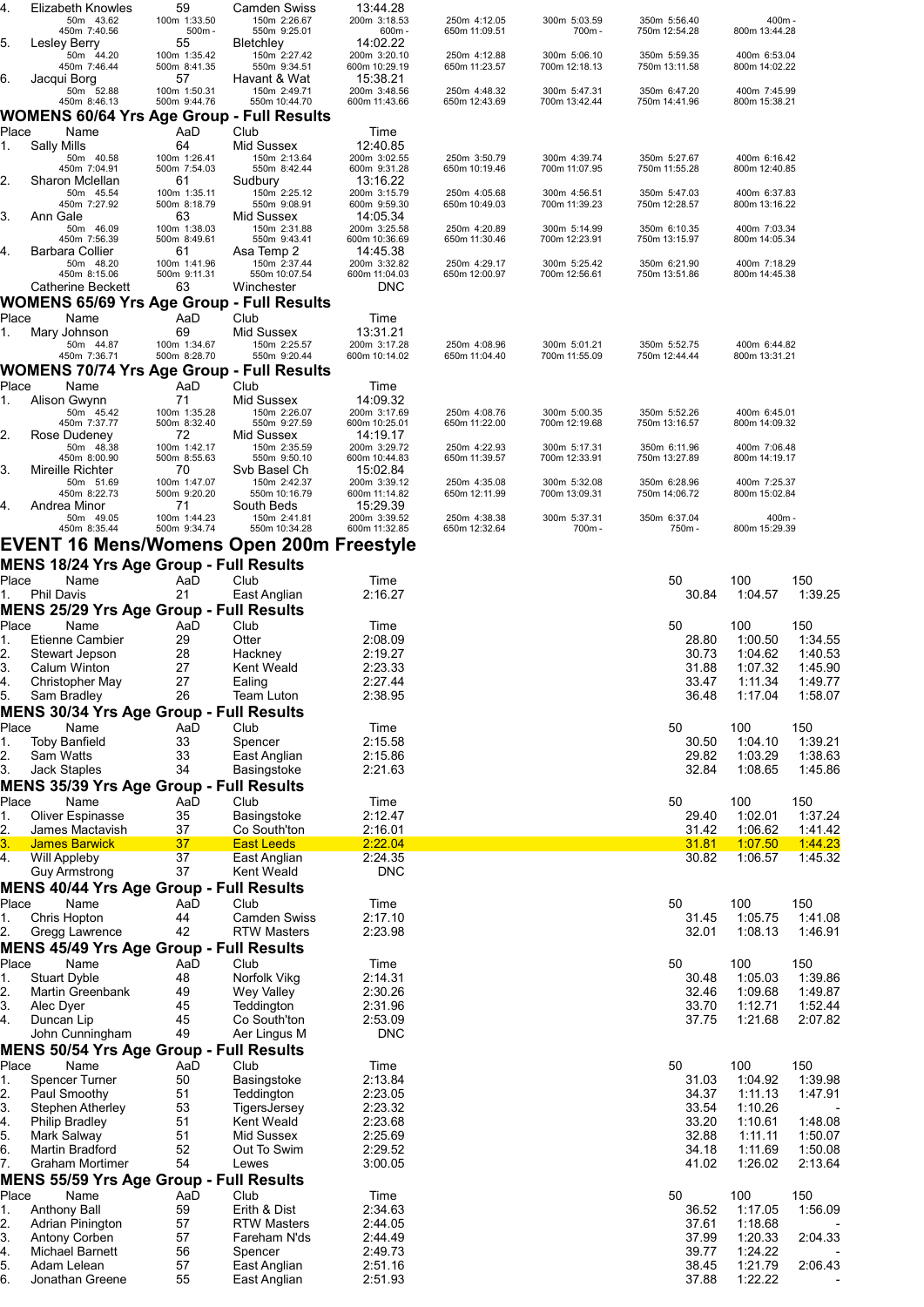| 4.          | Elizabeth Knowles<br>50m 43.62                                         | 59<br>100m 1:33.50           | Camden Swiss<br>150m 2:26.67      | 13:44.28<br>200m 3:18.53      | 250m 4:12.05                  | 300m 5:03.59                  | 350m 5:56.40                  | 400m -                        |                    |
|-------------|------------------------------------------------------------------------|------------------------------|-----------------------------------|-------------------------------|-------------------------------|-------------------------------|-------------------------------|-------------------------------|--------------------|
| 5.          | 450m 7:40.56<br>Lesley Berry                                           | $500m -$<br>55               | 550m 9:25.01<br>Bletchley         | 600m-<br>14:02.22             | 650m 11:09.51                 | 700m-                         | 750m 12:54.28                 | 800m 13:44.28                 |                    |
|             | 50m 44.20                                                              | 100m 1:35.42                 | 150m 2:27.42                      | 200m 3:20.10                  | 250m 4:12.88                  | 300m 5:06.10                  | 350m 5:59.35                  | 400m 6:53.04                  |                    |
| 6.          | 450m 7:46.44<br>Jacqui Borg                                            | 500m 8:41.35<br>57           | 550m 9:34.51<br>Havant & Wat      | 600m 10:29.19<br>15:38.21     | 650m 11:23.57                 | 700m 12:18.13                 | 750m 13:11.58                 | 800m 14:02.22                 |                    |
|             | 50m 52.88<br>450m 8:46.13                                              | 100m 1:50.31<br>500m 9:44.76 | 150m 2:49.71<br>550m 10:44.70     | 200m 3:48.56<br>600m 11:43.66 | 250m 4:48.32<br>650m 12:43.69 | 300m 5:47.31<br>700m 13:42.44 | 350m 6:47.20<br>750m 14:41.96 | 400m 7:45.99<br>800m 15:38.21 |                    |
|             | WOMENS 60/64 Yrs Age Group - Full Results                              |                              |                                   |                               |                               |                               |                               |                               |                    |
| Place       | Name                                                                   | AaD<br>64                    | Club<br>Mid Sussex                | Time<br>12:40.85              |                               |                               |                               |                               |                    |
| 1.          | <b>Sally Mills</b><br>50m 40.58                                        | 100m 1:26.41                 | 150m 2:13.64                      | 200m 3:02.55                  | 250m 3:50.79                  | 300m 4:39.74                  | 350m 5:27.67                  | 400m 6:16.42                  |                    |
| 2.          | 450m 7:04.91<br>Sharon Mclellan                                        | 500m 7:54.03<br>61           | 550m 8:42.44<br>Sudbury           | 600m 9:31.28<br>13:16.22      | 650m 10:19.46                 | 700m 11:07.95                 | 750m 11:55.28                 | 800m 12:40.85                 |                    |
|             | 50m 45.54<br>450m 7:27.92                                              | 100m 1:35.11<br>500m 8:18.79 | 150m 2:25.12<br>550m 9:08.91      | 200m 3:15.79<br>600m 9:59.30  | 250m 4:05.68<br>650m 10:49.03 | 300m 4:56.51<br>700m 11:39.23 | 350m 5:47.03<br>750m 12:28.57 | 400m 6:37.83<br>800m 13:16.22 |                    |
| З.          | Ann Gale                                                               | 63                           | Mid Sussex                        | 14:05.34                      |                               |                               |                               |                               |                    |
|             | 50m 46.09<br>450m 7:56.39                                              | 100m 1:38.03<br>500m 8:49.61 | 150m 2:31.88<br>550m 9:43.41      | 200m 3:25.58<br>600m 10:36.69 | 250m 4:20.89<br>650m 11:30.46 | 300m 5:14.99<br>700m 12:23.91 | 350m 6:10.35<br>750m 13:15.97 | 400m 7:03.34<br>800m 14:05.34 |                    |
| 4.          | Barbara Collier<br>50m 48.20                                           | 61<br>100m 1:41.96           | Asa Temp 2<br>150m 2:37.44        | 14:45.38<br>200m 3:32.82      | 250m 4:29.17                  | 300m 5:25.42                  | 350m 6:21.90                  | 400m 7:18.29                  |                    |
|             | 450m 8:15.06                                                           | 500m 9:11.31                 | 550m 10:07.54                     | 600m 11:04.03                 | 650m 12:00.97                 | 700m 12:56.61                 | 750m 13:51.86                 | 800m 14:45.38                 |                    |
|             | Catherine Beckett<br><b>WOMENS 65/69 Yrs Age Group - Full Results</b>  | 63                           | Winchester                        | <b>DNC</b>                    |                               |                               |                               |                               |                    |
| Place       | Name                                                                   | AaD                          | Club                              | Time                          |                               |                               |                               |                               |                    |
|             | Mary Johnson                                                           | 69                           | Mid Sussex                        | 13:31.21                      |                               |                               |                               |                               |                    |
|             | 50m 44.87<br>450m 7:36.71                                              | 100m 1:34.67<br>500m 8:28.70 | 150m 2:25.57<br>550m 9:20.44      | 200m 3:17.28<br>600m 10:14.02 | 250m 4:08.96<br>650m 11:04.40 | 300m 5:01.21<br>700m 11:55.09 | 350m 5:52.75<br>750m 12:44.44 | 400m 6:44.82<br>800m 13:31.21 |                    |
|             | <b>WOMENS 70/74 Yrs Age Group - Full Results</b>                       |                              |                                   |                               |                               |                               |                               |                               |                    |
| Place<br>Ι. | Name<br>Alison Gwynn                                                   | AaD<br>71                    | Club<br>Mid Sussex                | Time<br>14:09.32              |                               |                               |                               |                               |                    |
|             | 50m 45.42<br>450m 7:37.77                                              | 100m 1:35.28<br>500m 8:32.40 | 150m 2:26.07<br>550m 9:27.59      | 200m 3:17.69<br>600m 10:25.01 | 250m 4:08.76<br>650m 11:22.00 | 300m 5:00.35<br>700m 12:19.68 | 350m 5:52.26<br>750m 13:16.57 | 400m 6:45.01<br>800m 14:09.32 |                    |
| 2.          | Rose Dudeney                                                           | 72                           | Mid Sussex                        | 14:19.17                      |                               |                               |                               |                               |                    |
|             | 50m 48.38<br>450m 8:00.90                                              | 100m 1:42.17<br>500m 8:55.63 | 150m 2:35.59<br>550m 9:50.10      | 200m 3:29.72<br>600m 10:44.83 | 250m 4:22.93<br>650m 11:39.57 | 300m 5:17.31<br>700m 12:33.91 | 350m 6:11.96<br>750m 13:27.89 | 400m 7:06.48<br>800m 14:19.17 |                    |
| 3.          | Mireille Richter<br>50m 51.69                                          | 70<br>100m 1:47.07           | Svb Basel Ch<br>150m 2:42.37      | 15:02.84<br>200m 3:39.12      | 250m 4:35.08                  | 300m 5:32.08                  | 350m 6:28.96                  | 400m 7:25.37                  |                    |
| 4.          | 450m 8:22.73<br>Andrea Minor                                           | 500m 9:20.20<br>71           | 550m 10:16.79<br>South Beds       | 600m 11:14.82<br>15:29.39     | 650m 12:11.99                 | 700m 13:09.31                 | 750m 14:06.72                 | 800m 15:02.84                 |                    |
|             | 50m 49.05                                                              | 100m 1:44.23                 | 150m 2:41.81                      | 200m 3:39.52                  | 250m 4:38.38                  | 300m 5:37.31                  | 350m 6:37.04                  | 400m -                        |                    |
|             | 450m 8:35.44<br><b>EVENT 16 Mens/Womens Open 200m Freestyle</b>        | 500m 9:34.74                 | 550m 10:34.28                     | 600m 11:32.85                 | 650m 12:32.64                 | 700m-                         | 750m-                         | 800m 15:29.39                 |                    |
|             | <b>MENS 18/24 Yrs Age Group - Full Results</b>                         |                              |                                   |                               |                               |                               |                               |                               |                    |
| Place       | Name                                                                   | AaD                          | Club                              | Time                          |                               |                               | 50                            | 100                           | 150                |
|             | Phil Davis                                                             | 21                           | East Anglian                      | 2:16.27                       |                               |                               | 30.84                         | 1:04.57                       | 1:39.25            |
| Place       | MENS 25/29 Yrs Age Group - Full Results<br>Name                        | AaD                          | Club                              | Time                          |                               |                               | 50                            | 100                           | 150                |
|             | Etienne Cambier                                                        | 29                           | Otter                             | 2:08.09                       |                               |                               | 28.80                         | 1:00.50                       | 1:34.55            |
| 2.          | Stewart Jepson                                                         | 28                           | Hackney                           | 2:19.27                       |                               |                               | 30.73                         | 1:04.62                       | 1:40.53            |
| 3.<br>4.    | Calum Winton<br>Christopher May                                        | 27<br>27                     | Kent Weald<br>Ealing              | 2:23.33<br>2:27.44            |                               |                               | 31.88<br>33.47                | 1:07.32<br>1:11.34            | 1:45.90<br>1:49.77 |
| 15          | Sam Bradley                                                            | 26                           | Team Luton                        | 2:38.95                       |                               |                               | 36.48                         | 1:17.04                       | 1:58.07            |
| Place       | MENS 30/34 Yrs Age Group - Full Results<br>Name                        | AaD                          | Club                              | Time                          |                               |                               | 50                            | 100                           | 150                |
| 1.          | <b>Toby Banfield</b>                                                   | 33                           | Spencer                           | 2:15.58                       |                               |                               | 30.50                         | 1:04.10                       | 1:39.21            |
| 2.          | Sam Watts                                                              | 33                           | East Anglian                      | 2:15.86                       |                               |                               | 29.82                         | 1:03.29                       | 1:38.63            |
| 3.          | Jack Staples<br><b>MENS 35/39 Yrs Age Group - Full Results</b>         | 34                           | Basingstoke                       | 2:21.63                       |                               |                               | 32.84                         | 1:08.65                       | 1:45.86            |
| Place       | Name                                                                   | AaD                          | Club                              | Time                          |                               |                               | 50                            | 100                           | 150                |
| 1.          | <b>Oliver Espinasse</b>                                                | 35                           | Basingstoke                       | 2:12.47                       |                               |                               | 29.40                         | 1:02.01                       | 1:37.24            |
| 2.<br>3.    | James Mactavish<br><b>James Barwick</b>                                | $37\,$<br>37                 | Co South'ton<br><b>East Leeds</b> | 2:16.01<br>2:22.04            |                               |                               | 31.42<br><u>31.81</u>         | 1:06.62<br>1:07.50            | 1:41.42<br>1:44.23 |
| 4.          | Will Appleby                                                           | 37                           | East Anglian                      | 2:24.35                       |                               |                               | 30.82                         | 1:06.57                       | 1:45.32            |
|             | <b>Guy Armstrong</b><br><b>MENS 40/44 Yrs Age Group - Full Results</b> | 37                           | Kent Weald                        | <b>DNC</b>                    |                               |                               |                               |                               |                    |
| Place       | Name                                                                   | AaD                          | Club                              | Time                          |                               |                               | 50                            | 100                           | 150                |
| 1.          | Chris Hopton                                                           | 44                           | <b>Camden Swiss</b>               | 2:17.10                       |                               |                               | 31.45                         | 1:05.75                       | 1:41.08            |
| 2.          | Gregg Lawrence<br><b>MENS 45/49 Yrs Age Group - Full Results</b>       | 42                           | <b>RTW Masters</b>                | 2:23.98                       |                               |                               | 32.01                         | 1:08.13                       | 1:46.91            |
| Place       | Name                                                                   | AaD                          | Club                              | Time                          |                               |                               | 50                            | 100                           | 150                |
| 1.          | <b>Stuart Dyble</b>                                                    | 48                           | Norfolk Vikg                      | 2:14.31                       |                               |                               | 30.48                         | 1:05.03                       | 1:39.86            |
| 2.<br>3.    | Martin Greenbank<br>Alec Dyer                                          | 49<br>45                     | Wey Valley<br>Teddington          | 2:30.26<br>2:31.96            |                               |                               | 32.46<br>33.70                | 1:09.68<br>1:12.71            | 1:49.87<br>1:52.44 |
| 4.          | Duncan Lip                                                             | 45                           | Co South'ton                      | 2:53.09                       |                               |                               | 37.75                         | 1:21.68                       | 2:07.82            |
|             | John Cunningham<br>MENS 50/54 Yrs Age Group - Full Results             | 49                           | Aer Lingus M                      | <b>DNC</b>                    |                               |                               |                               |                               |                    |
| Place       | Name                                                                   | AaD                          | Club                              | Time                          |                               |                               | 50                            | 100                           | 150                |
| 1.          | <b>Spencer Turner</b>                                                  | 50                           | Basingstoke                       | 2:13.84                       |                               |                               | 31.03                         | 1:04.92                       | 1:39.98            |
| 2.<br>3.    | Paul Smoothy<br>Stephen Atherley                                       | 51<br>53                     | Teddington<br>TigersJersey        | 2:23.05<br>2:23.32            |                               |                               | 34.37<br>33.54                | 1:11.13<br>1:10.26            | 1:47.91            |
| 4.          | <b>Philip Bradley</b>                                                  | 51                           | Kent Weald                        | 2:23.68                       |                               |                               | 33.20                         | 1:10.61                       | 1:48.08            |
| 5.<br>6.    | Mark Salway<br>Martin Bradford                                         | 51<br>52                     | Mid Sussex<br>Out To Swim         | 2:25.69<br>2:29.52            |                               |                               | 32.88<br>34.18                | 1:11.11<br>1:11.69            | 1:50.07<br>1:50.08 |
| 7.          | Graham Mortimer                                                        | 54                           | Lewes                             | 3:00.05                       |                               |                               | 41.02                         | 1:26.02                       | 2:13.64            |
|             | <b>MENS 55/59 Yrs Age Group - Full Results</b>                         |                              |                                   |                               |                               |                               |                               |                               |                    |
| Place       | Name<br><b>Anthony Ball</b>                                            | AaD<br>59                    | Club<br>Erith & Dist              | Time<br>2:34.63               |                               |                               | 50<br>36.52                   | 100<br>1:17.05                | 150<br>1:56.09     |
| 1.<br>2.    | Adrian Pinington                                                       | 57                           | <b>RTW Masters</b>                | 2:44.05                       |                               |                               | 37.61                         | 1:18.68                       |                    |
| 3.          | Antony Corben                                                          | 57                           | Fareham N'ds                      | 2:44.49                       |                               |                               | 37.99                         | 1:20.33                       | 2:04.33            |
| 4.<br>5.    | Michael Barnett<br>Adam Lelean                                         | 56<br>57                     | Spencer<br>East Anglian           | 2:49.73<br>2:51.16            |                               |                               | 39.77<br>38.45                | 1:24.22<br>1:21.79            | 2:06.43            |
| 6.          | Jonathan Greene                                                        | 55                           | East Anglian                      | 2:51.93                       |                               |                               | 37.88                         | 1:22.22                       |                    |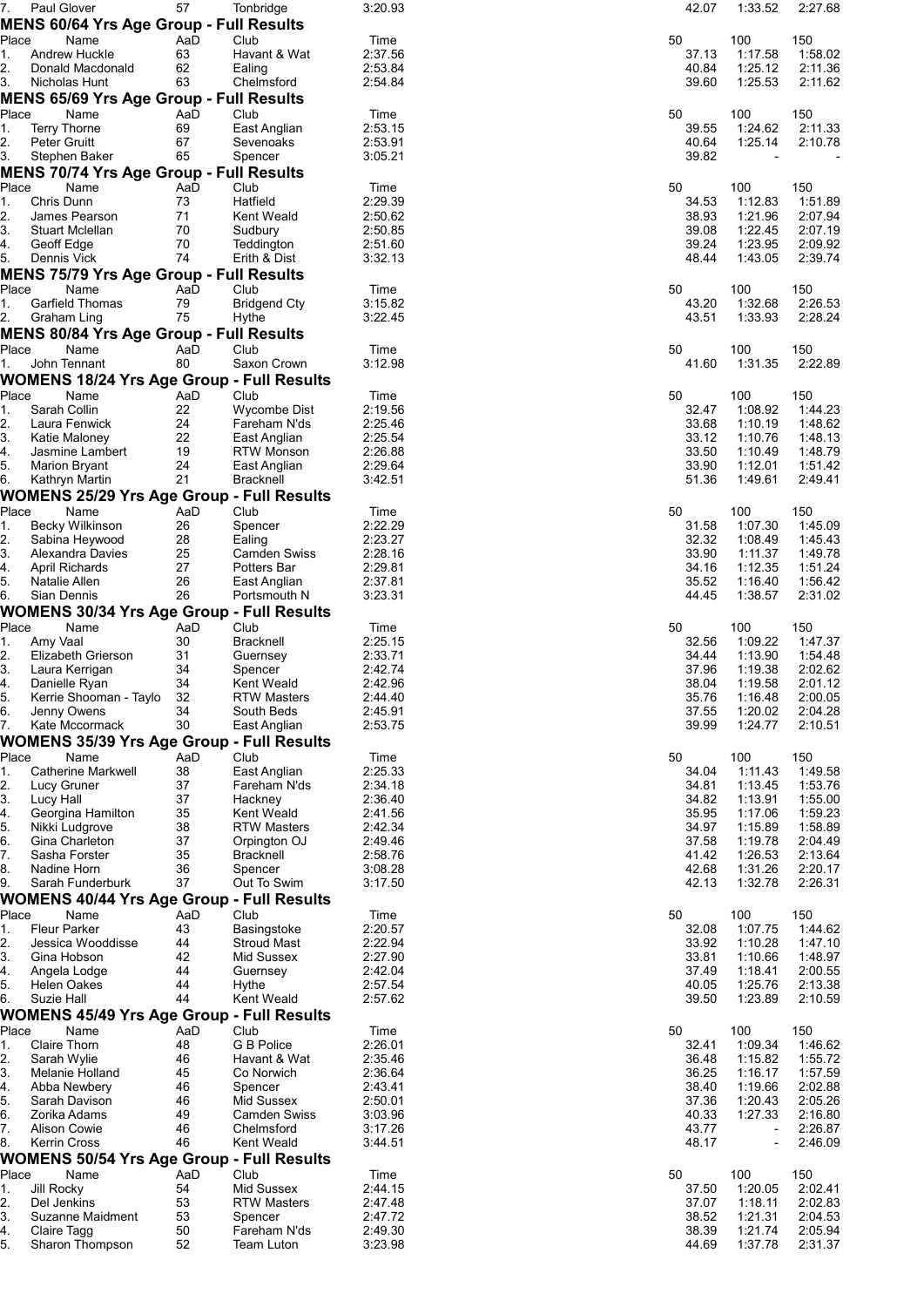| 7.             | Paul Glover         |                           | 57  | Tonbridge                                        | 3:20.93 | 42.07 | 1:33.52                  | 2:27.68 |
|----------------|---------------------|---------------------------|-----|--------------------------------------------------|---------|-------|--------------------------|---------|
|                |                     |                           |     | <b>MENS 60/64 Yrs Age Group - Full Results</b>   |         |       |                          |         |
| Place          |                     | Name                      | AaD | Club                                             | Time    | 50    | 100                      | 150     |
| 1.             |                     | Andrew Huckle             | 63  | Havant & Wat                                     | 2:37.56 | 37.13 | 1:17.58                  | 1:58.02 |
| 2.             |                     | Donald Macdonald          | 62  | Ealing                                           | 2:53.84 | 40.84 | 1:25.12                  | 2:11.36 |
| 3.             |                     | Nicholas Hunt             | 63  | Chelmsford                                       | 2:54.84 | 39.60 | 1:25.53                  | 2:11.62 |
|                |                     |                           |     | <b>MENS 65/69 Yrs Age Group - Full Results</b>   |         |       |                          |         |
| Place          |                     | Name                      | AaD | Club                                             | Time    | 50    | 100                      | 150     |
| 1.             | <b>Terry Thorne</b> |                           | 69  | East Anglian                                     | 2:53.15 | 39.55 | 1:24.62                  | 2:11.33 |
| 2.             | <b>Peter Gruitt</b> |                           | 67  | Sevenoaks                                        | 2:53.91 | 40.64 | 1:25.14                  | 2:10.78 |
| 3.             |                     | Stephen Baker             | 65  | Spencer                                          | 3:05.21 | 39.82 | $\overline{\phantom{a}}$ |         |
|                |                     |                           |     |                                                  |         |       |                          |         |
|                |                     |                           |     | <b>MENS 70/74 Yrs Age Group - Full Results</b>   |         |       |                          |         |
| Place          |                     | Name                      | AaD | Club                                             | Time    | 50    | 100                      | 150     |
| 1.             | Chris Dunn          |                           | 73  | Hatfield                                         | 2:29.39 | 34.53 | 1:12.83                  | 1:51.89 |
| 2.             |                     | James Pearson             | 71  | Kent Weald                                       | 2:50.62 | 38.93 | 1:21.96                  | 2:07.94 |
| 3.             |                     | Stuart Mclellan           | 70  | Sudbury                                          | 2:50.85 | 39.08 | 1:22.45                  | 2:07.19 |
| 4.             | Geoff Edge          |                           | 70  | Teddington                                       | 2:51.60 | 39.24 | 1:23.95                  | 2:09.92 |
| 5.             | Dennis Vick         |                           | 74  | Erith & Dist                                     | 3:32.13 | 48.44 | 1:43.05                  | 2:39.74 |
|                |                     |                           |     | <b>MENS 75/79 Yrs Age Group - Full Results</b>   |         |       |                          |         |
| Place          |                     | Name                      | AaD | Club                                             | Time    | 50    | 100                      | 150     |
|                |                     | <b>Garfield Thomas</b>    |     |                                                  |         |       |                          |         |
| 1.             |                     |                           | 79  | <b>Bridgend Cty</b>                              | 3:15.82 | 43.20 | 1:32.68                  | 2:26.53 |
| 2 <sub>1</sub> | Graham Ling         |                           | 75  | Hythe                                            | 3:22.45 | 43.51 | 1:33.93                  | 2:28.24 |
|                |                     |                           |     | <b>MENS 80/84 Yrs Age Group - Full Results</b>   |         |       |                          |         |
| Place          |                     | Name                      | AaD | Club                                             | Time    | 50    | 100                      | 150     |
| 1.             | John Tennant        |                           | 80  | Saxon Crown                                      | 3:12.98 | 41.60 | 1:31.35                  | 2:22.89 |
|                |                     |                           |     | <b>WOMENS 18/24 Yrs Age Group - Full Results</b> |         |       |                          |         |
| Place          |                     | Name                      | AaD | Club                                             | Time    | 50    | 100                      | 150     |
|                | Sarah Collin        |                           | 22  |                                                  |         |       |                          |         |
| 1.             |                     |                           |     | Wycombe Dist                                     | 2:19.56 | 32.47 | 1:08.92                  | 1:44.23 |
| 2.             |                     | Laura Fenwick             | 24  | Fareham N'ds                                     | 2:25.46 | 33.68 | 1:10.19                  | 1:48.62 |
| 3.             |                     | Katie Maloney             | 22  | East Anglian                                     | 2:25.54 | 33.12 | 1:10.76                  | 1:48.13 |
| 4.             |                     | Jasmine Lambert           | 19  | RTW Monson                                       | 2:26.88 | 33.50 | 1:10.49                  | 1:48.79 |
| 5.             |                     | Marion Bryant             | 24  | East Anglian                                     | 2:29.64 | 33.90 | 1:12.01                  | 1:51.42 |
| 6.             |                     | Kathryn Martin            | 21  | <b>Bracknell</b>                                 | 3:42.51 | 51.36 | 1:49.61                  | 2:49.41 |
|                |                     |                           |     | <b>WOMENS 25/29 Yrs Age Group - Full Results</b> |         |       |                          |         |
| Place          |                     | Name                      | AaD | Club                                             | Time    | 50    | 100                      | 150     |
| 1.             |                     | Becky Wilkinson           | 26  | Spencer                                          | 2:22.29 | 31.58 | 1:07.30                  | 1:45.09 |
| 2.             |                     | Sabina Heywood            | 28  | Ealing                                           | 2:23.27 | 32.32 | 1:08.49                  | 1:45.43 |
| 3.             |                     | Alexandra Davies          | 25  | <b>Camden Swiss</b>                              | 2:28.16 | 33.90 | 1:11.37                  | 1:49.78 |
| 4.             |                     | April Richards            | 27  | Potters Bar                                      | 2:29.81 | 34.16 | 1:12.35                  | 1:51.24 |
|                | Natalie Allen       |                           | 26  |                                                  | 2:37.81 | 35.52 | 1:16.40                  | 1:56.42 |
| 5.             |                     |                           |     | East Anglian                                     |         |       |                          |         |
| 6.             | Sian Dennis         |                           | 26  | Portsmouth N                                     | 3:23.31 | 44.45 | 1:38.57                  | 2:31.02 |
|                |                     |                           |     | <b>WOMENS 30/34 Yrs Age Group - Full Results</b> |         |       |                          |         |
| Place          |                     | Name                      | AaD | Club                                             | Time    | 50    | 100                      | 150     |
| 1.             | Amy Vaal            |                           | 30  | <b>Bracknell</b>                                 | 2:25.15 | 32.56 | 1:09.22                  | 1:47.37 |
| 2.             |                     | Elizabeth Grierson        | 31  | Guernsey                                         | 2:33.71 | 34.44 | 1:13.90                  | 1:54.48 |
| 3.             |                     | Laura Kerrigan            | 34  | Spencer                                          | 2:42.74 | 37.96 | 1:19.38                  | 2:02.62 |
| 4.             | Danielle Ryan       |                           | 34  | Kent Weald                                       | 2:42.96 | 38.04 | 1:19.58                  | 2:01.12 |
| 5.             |                     | Kerrie Shooman - Taylo    | 32  | <b>RTW Masters</b>                               | 2:44.40 | 35.76 | 1:16.48                  | 2:00.05 |
| 6.             | Jenny Owens         |                           | 34  | South Beds                                       | 2:45.91 | 37.55 | 1:20.02                  | 2:04.28 |
| 7.             |                     | Kate Mccormack            | 30  | East Anglian                                     | 2:53.75 | 39.99 | 1:24.77                  | 2:10.51 |
|                |                     |                           |     |                                                  |         |       |                          |         |
|                |                     |                           |     | <b>WOMENS 35/39 Yrs Age Group - Full Results</b> |         |       |                          |         |
| Place          |                     | Name                      | AaD | Club                                             | Time    | 50    | 100                      | 150     |
| 1.             |                     | <b>Catherine Markwell</b> | 38  | East Anglian                                     | 2:25.33 | 34.04 | 1:11.43                  | 1:49.58 |
| 2.             | Lucy Gruner         |                           | 37  | Fareham N'ds                                     | 2:34.18 | 34.81 | 1:13.45                  | 1:53.76 |
| 3.             | Lucy Hall           |                           | 37  | Hackney                                          | 2:36.40 | 34.82 | 1:13.91                  | 1:55.00 |
| 4.             |                     | Georgina Hamilton         | 35  | Kent Weald                                       | 2:41.56 | 35.95 | 1:17.06                  | 1:59.23 |
| 5.             |                     | Nikki Ludgrove            | 38  | <b>RTW Masters</b>                               | 2:42.34 | 34.97 | 1:15.89                  | 1:58.89 |
| 6.             |                     | Gina Charleton            | 37  | Orpington OJ                                     | 2:49.46 | 37.58 | 1:19.78                  | 2:04.49 |
| 7.             |                     | Sasha Forster             | 35  | <b>Bracknell</b>                                 | 2:58.76 | 41.42 | 1:26.53                  | 2:13.64 |
| 8.             | Nadine Horn         |                           | 36  | Spencer                                          | 3:08.28 | 42.68 | 1:31.26                  | 2:20.17 |
| 9.             |                     | Sarah Funderburk          | 37  | Out To Swim                                      | 3:17.50 | 42.13 | 1:32.78                  | 2:26.31 |
|                |                     |                           |     | <b>WOMENS 40/44 Yrs Age Group - Full Results</b> |         |       |                          |         |
|                |                     |                           | AaD |                                                  |         |       |                          |         |
| Place          |                     | Name                      |     | Club                                             | Time    | 50    | 100                      | 150     |
| 1.             | <b>Fleur Parker</b> |                           | 43  | Basingstoke                                      | 2:20.57 | 32.08 | 1:07.75                  | 1:44.62 |
| 2.             |                     | Jessica Wooddisse         | 44  | <b>Stroud Mast</b>                               | 2:22.94 | 33.92 | 1:10.28                  | 1:47.10 |
| 3.             | Gina Hobson         |                           | 42  | Mid Sussex                                       | 2:27.90 | 33.81 | 1:10.66                  | 1:48.97 |
| 4.             | Angela Lodge        |                           | 44  | Guernsey                                         | 2:42.04 | 37.49 | 1:18.41                  | 2:00.55 |
| 5.             | <b>Helen Oakes</b>  |                           | 44  | Hythe                                            | 2:57.54 | 40.05 | 1:25.76                  | 2:13.38 |
| 6.             | Suzie Hall          |                           | 44  | Kent Weald                                       | 2:57.62 | 39.50 | 1:23.89                  | 2:10.59 |
|                |                     |                           |     | <b>WOMENS 45/49 Yrs Age Group - Full Results</b> |         |       |                          |         |
| Place          |                     | Name                      | AaD | Club                                             | Time    | 50    | 100                      | 150     |
| 1.             | Claire Thorn        |                           | 48  | G B Police                                       | 2:26.01 | 32.41 | 1:09.34                  | 1:46.62 |
| 2.             | Sarah Wylie         |                           | 46  | Havant & Wat                                     | 2:35.46 | 36.48 | 1:15.82                  | 1:55.72 |
| 3.             |                     | Melanie Holland           | 45  | Co Norwich                                       | 2:36.64 | 36.25 | 1:16.17                  | 1:57.59 |
| 4.             |                     | Abba Newbery              | 46  | Spencer                                          | 2:43.41 | 38.40 | 1:19.66                  | 2:02.88 |
| 5.             |                     | Sarah Davison             | 46  | Mid Sussex                                       | 2:50.01 | 37.36 | 1:20.43                  | 2:05.26 |
| 6.             | Zorika Adams        |                           | 49  |                                                  | 3:03.96 | 40.33 | 1:27.33                  | 2:16.80 |
|                |                     |                           |     | <b>Camden Swiss</b>                              |         | 43.77 |                          | 2:26.87 |
| 7.             | <b>Alison Cowie</b> |                           | 46  | Chelmsford                                       | 3:17.26 |       |                          |         |
| 8.             | <b>Kerrin Cross</b> |                           | 46  | Kent Weald                                       | 3:44.51 | 48.17 | $\overline{\phantom{a}}$ | 2:46.09 |
|                |                     |                           |     | <b>WOMENS 50/54 Yrs Age Group - Full Results</b> |         |       |                          |         |
| Place          |                     | Name                      | AaD | Club                                             | Time    | 50    | 100                      | 150     |
| 1.             | Jill Rocky          |                           | 54  | Mid Sussex                                       | 2:44.15 | 37.50 | 1:20.05                  | 2:02.41 |
| 2.             | Del Jenkins         |                           | 53  | <b>RTW Masters</b>                               | 2:47.48 | 37.07 | 1:18.11                  | 2:02.83 |
| 3.             |                     | Suzanne Maidment          | 53  | Spencer                                          | 2:47.72 | 38.52 | 1:21.31                  | 2:04.53 |
| 4.             | Claire Tagg         |                           | 50  | Fareham N'ds                                     | 2:49.30 | 38.39 | 1:21.74                  | 2:05.94 |
| 5.             |                     | Sharon Thompson           | 52  | Team Luton                                       | 3:23.98 | 44.69 | 1:37.78                  | 2:31.37 |
|                |                     |                           |     |                                                  |         |       |                          |         |

| 50                                                                         | 100                                                                   | 150                                                                                         |
|----------------------------------------------------------------------------|-----------------------------------------------------------------------|---------------------------------------------------------------------------------------------|
| 37.13                                                                      | 1:17.58                                                               | 1:58.02                                                                                     |
| 40.84                                                                      | 1:25.12                                                               | 2:11.36                                                                                     |
| 39.60                                                                      | 1:25.53                                                               | 2:11.62                                                                                     |
| 50<br>39.55<br>40.64<br>39.82                                              | 100<br>1:24.62<br>1:25.14                                             | 150<br>2:11.33<br>2:10.78                                                                   |
| 50                                                                         | 100                                                                   | 150                                                                                         |
| 34.53                                                                      | 1:12.83                                                               | 1:51.89                                                                                     |
| 38.93                                                                      | 1:21.96                                                               | 2:07.94                                                                                     |
| 39.08                                                                      | 1:22.45                                                               | 2:07.19                                                                                     |
| 39.24                                                                      | 1:23.95                                                               | 2:09.92                                                                                     |
| 48.44                                                                      | 1:43.05                                                               | 2:39.74                                                                                     |
| 50                                                                         | 100                                                                   | 150                                                                                         |
| 43.20                                                                      | 1:32.68                                                               | 2:26.53                                                                                     |
| 43.51                                                                      | 1:33.93                                                               | 2:28.24                                                                                     |
| 50                                                                         | 100                                                                   | 150                                                                                         |
| 41.60                                                                      | 1:31.35                                                               | 2:22.89                                                                                     |
| 50                                                                         | 100                                                                   | 150                                                                                         |
| 32.47                                                                      | 1:08.92                                                               | 1:44.23                                                                                     |
| 33.68                                                                      | 1:10.19                                                               | 1:48.62                                                                                     |
| 33.12                                                                      | 1:10.76                                                               | 1:48.13                                                                                     |
| 33.50                                                                      | 1:10.49                                                               | 1:48.79                                                                                     |
| 33.90                                                                      | 1:12.01                                                               | 1:51.42                                                                                     |
| 51.36                                                                      | 1:49.61                                                               | 2:49.41                                                                                     |
| 50                                                                         | 100                                                                   | 150                                                                                         |
| 31.58                                                                      | 1:07.30                                                               | 1:45.09                                                                                     |
| 32.32                                                                      | 1:08.49                                                               | 1:45.43                                                                                     |
| 33.90                                                                      | 1:11.37                                                               | 1:49.78                                                                                     |
| 34.16                                                                      | 1:12.35                                                               | 1:51.24                                                                                     |
| 35.52                                                                      | 1:16.40                                                               | 1:56.42                                                                                     |
| 44.45                                                                      | 1:38.57                                                               | 2:31.02                                                                                     |
| 50                                                                         | 100                                                                   | 150                                                                                         |
| 32.56                                                                      | 1:09.22                                                               | 1:47.37                                                                                     |
| 34.44                                                                      | 1:13.90                                                               | 1:54.48                                                                                     |
| 37.96                                                                      | 1:19.38                                                               | 2:02.62                                                                                     |
| 38.04                                                                      | 1:19.58                                                               | 2:01.12                                                                                     |
| 35.76                                                                      | 1:16.48                                                               | 2:00.05                                                                                     |
| 37.55                                                                      | 1:20.02                                                               | 2:04.28                                                                                     |
| 39.99                                                                      | 1:24.77                                                               | 2:10.51                                                                                     |
| 50                                                                         | 100                                                                   | 150                                                                                         |
| 34.04                                                                      | 1:11.43                                                               | 1:49.58                                                                                     |
| 34.81                                                                      | 1:13.45                                                               | 1:53.76                                                                                     |
| 34.82                                                                      | 1:13.91                                                               | 1:55.00                                                                                     |
| 35.95                                                                      | 1:17.06                                                               | 1:59.23                                                                                     |
| 34.97                                                                      | 1:15.89                                                               | 1:58.89                                                                                     |
| 37.58                                                                      | 1:19.78                                                               | 2:04.49                                                                                     |
| 41.42                                                                      | 1:26.53                                                               | 2:13.64                                                                                     |
| 42.68                                                                      | 1:31.26                                                               | 2:20.17                                                                                     |
| 42.13                                                                      | 1:32.78                                                               | 2:26.31                                                                                     |
| 50                                                                         | 100                                                                   | 150                                                                                         |
| 32.08                                                                      | 1:07.75                                                               | 1:44.62                                                                                     |
| 33.92                                                                      | 1:10.28                                                               | 1:47.10                                                                                     |
| 33.81                                                                      | 1:10.66                                                               | 1:48.97                                                                                     |
| 37.49                                                                      | 1:18.41                                                               | 2:00.55                                                                                     |
| 40.05                                                                      | 1:25.76                                                               | 2:13.38                                                                                     |
| 39.50                                                                      | 1:23.89                                                               | 2:10.59                                                                                     |
| 50<br>32.41<br>36.48<br>36.25<br>38.40<br>37.36<br>40.33<br>43.77<br>48.17 | 100<br>1:09.34<br>1:15.82<br>1:16.17<br>1:19.66<br>1:20.43<br>1:27.33 | 150<br>1:46.62<br>1:55.72<br>1:57.59<br>2:02.88<br>2:05.26<br>2:16.80<br>2:26.87<br>2:46.09 |
| 50                                                                         | 100                                                                   | 150                                                                                         |
| 37.50                                                                      | 1:20.05                                                               | 2:02.41                                                                                     |
| 37.07                                                                      | 1:18.11                                                               | 2:02.83                                                                                     |
| 38.52                                                                      | 1:21.31                                                               | 2:04.53                                                                                     |
| 38.39                                                                      | 1:21.74                                                               | 2:05.94                                                                                     |
| 44.69                                                                      | 1:37.78                                                               | 2:31.37                                                                                     |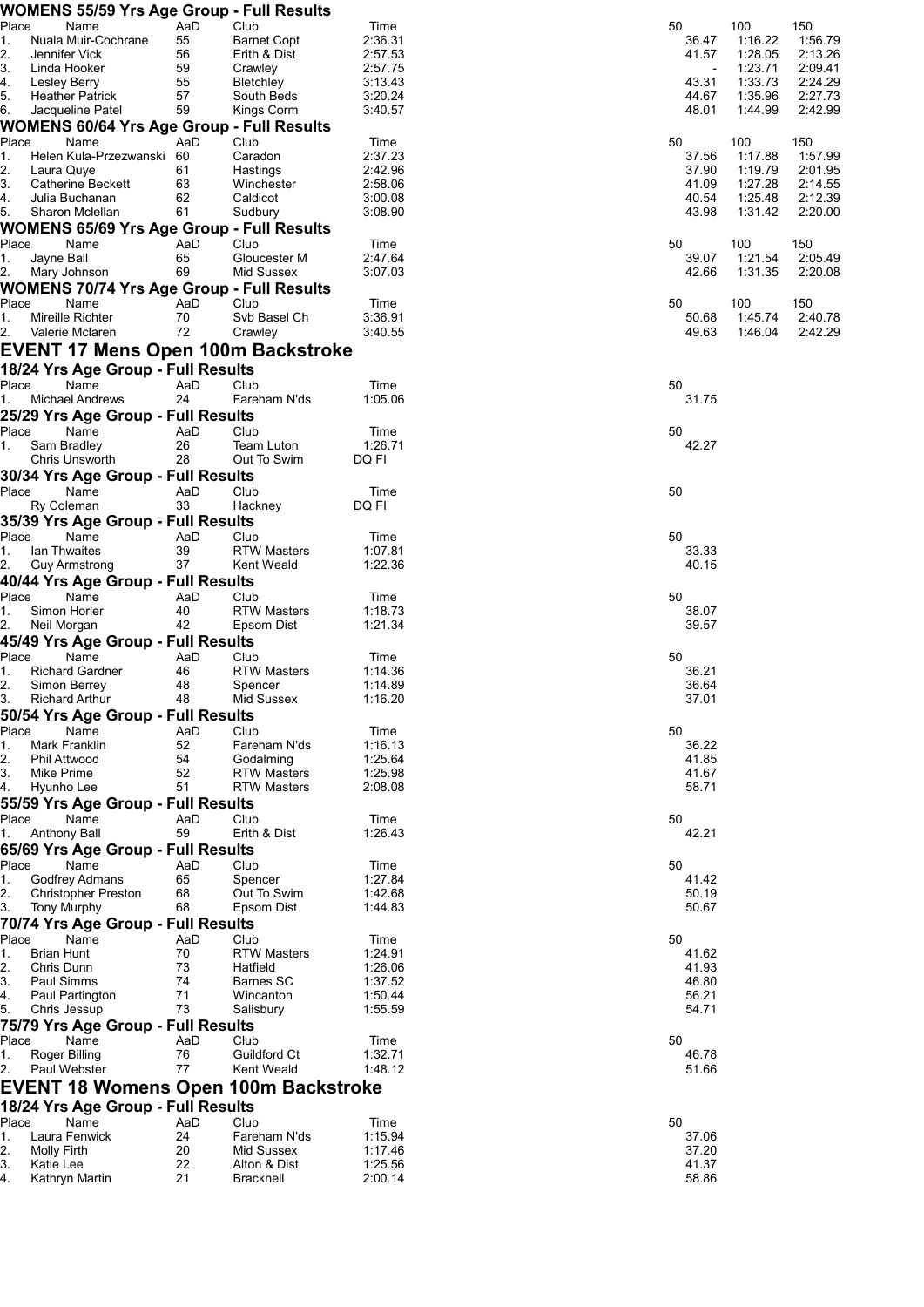|               | <b>WOMENS 55/59 Yrs Age Group - Full Results</b>                    |           |                                    |                    |                |                    |                    |
|---------------|---------------------------------------------------------------------|-----------|------------------------------------|--------------------|----------------|--------------------|--------------------|
| Place         | Name                                                                | AaD       | Club                               | Time               | 50             | 100                | 150                |
| 1.<br>2.      | Nuala Muir-Cochrane<br>Jennifer Vick                                | 55<br>56  | <b>Barnet Copt</b><br>Erith & Dist | 2:36.31<br>2:57.53 | 36.47<br>41.57 | 1:16.22<br>1:28.05 | 1:56.79<br>2:13.26 |
| 3.            | Linda Hooker                                                        | 59        | Crawley                            | 2:57.75            |                | 1:23.71            | 2:09.41            |
| 4.            | Lesley Berry                                                        | 55        | Bletchley                          | 3:13.43            | 43.31          | 1:33.73            | 2:24.29            |
| 5.            | <b>Heather Patrick</b>                                              | 57        | South Beds                         | 3:20.24            | 44.67          | 1:35.96            | 2:27.73            |
| 6.            | Jacqueline Patel                                                    | 59        | Kings Corm                         | 3:40.57            | 48.01          | 1:44.99            | 2:42.99            |
| Place         | <b>WOMENS 60/64 Yrs Age Group - Full Results</b><br>Name            | AaD       | Club                               | Time               | 50             | 100                | 150                |
| $\mathbf 1$ . | Helen Kula-Przezwanski 60                                           |           | Caradon                            | 2:37.23            | 37.56          | 1:17.88            | 1:57.99            |
| 2.            | Laura Quye                                                          | 61        | Hastings                           | 2:42.96            | 37.90          | 1:19.79            | 2:01.95            |
| 3.            | <b>Catherine Beckett</b>                                            | 63        | Winchester                         | 2:58.06            | 41.09          | 1:27.28            | 2:14.55            |
| 4.<br>5.      | Julia Buchanan                                                      | 62<br>61  | Caldicot                           | 3:00.08<br>3:08.90 | 40.54<br>43.98 | 1:25.48<br>1:31.42 | 2:12.39<br>2:20.00 |
|               | Sharon Mclellan<br><b>WOMENS 65/69 Yrs Age Group - Full Results</b> |           | Sudbury                            |                    |                |                    |                    |
| Place         | Name                                                                | AaD       | Club                               | Time               | 50             | 100                | 150                |
| 1.            | Jayne Ball                                                          | 65        | Gloucester M                       | 2:47.64            | 39.07          | 1:21.54            | 2:05.49            |
| 2.            | Mary Johnson                                                        | 69        | Mid Sussex                         | 3:07.03            | 42.66          | 1:31.35            | 2:20.08            |
|               | <b>WOMENS 70/74 Yrs Age Group - Full Results</b>                    |           |                                    |                    |                |                    |                    |
| Place         | Name                                                                | AaD       | Club                               | Time               | 50             | 100                | 150                |
| 1.<br>2.      | Mireille Richter<br>Valerie Mclaren                                 | 70<br>72  | Svb Basel Ch<br>Crawley            | 3:36.91<br>3:40.55 | 50.68<br>49.63 | 1:45.74<br>1:46.04 | 2:40.78<br>2:42.29 |
|               | <b>EVENT 17 Mens Open 100m Backstroke</b>                           |           |                                    |                    |                |                    |                    |
|               | 18/24 Yrs Age Group - Full Results                                  |           |                                    |                    |                |                    |                    |
| Place         | Name                                                                | AaD       | Club                               | Time               | 50             |                    |                    |
| 1.            | Michael Andrews                                                     | 24        | Fareham N'ds                       | 1:05.06            | 31.75          |                    |                    |
|               | 25/29 Yrs Age Group - Full Results                                  |           |                                    |                    |                |                    |                    |
| Place         | Name                                                                | AaD       | Club                               | Time               | 50             |                    |                    |
| 1.            | Sam Bradley                                                         | 26        | Team Luton                         | 1:26.71            | 42.27          |                    |                    |
|               | Chris Unsworth<br>30/34 Yrs Age Group - Full Results                | 28        | Out To Swim                        | DQ FI              |                |                    |                    |
| Place         | Name                                                                | AaD       | Club                               | Time               | 50             |                    |                    |
|               | Ry Coleman                                                          | 33        | Hackney                            | DQ FI              |                |                    |                    |
|               | 35/39 Yrs Age Group - Full Results                                  |           |                                    |                    |                |                    |                    |
| Place         | Name                                                                | AaD       | Club                               | Time               | 50             |                    |                    |
| 1.            | lan Thwaites                                                        | 39        | RTW Masters                        | 1:07.81            | 33.33          |                    |                    |
| 2.            | <b>Guy Armstrong</b><br>40/44 Yrs Age Group - Full Results          | 37        | Kent Weald                         | 1:22.36            | 40.15          |                    |                    |
| Place         | Name                                                                | AaD       | Club                               | Time               | 50             |                    |                    |
| 1.            | Simon Horler                                                        | 40        | <b>RTW Masters</b>                 | 1:18.73            | 38.07          |                    |                    |
| 2.            | Neil Morgan                                                         | 42        | Epsom Dist                         | 1:21.34            | 39.57          |                    |                    |
|               | 45/49 Yrs Age Group - Full Results                                  |           |                                    |                    |                |                    |                    |
| Place<br>1.   | Name<br><b>Richard Gardner</b>                                      | AaD<br>46 | Club<br><b>RTW Masters</b>         | Time<br>1:14.36    | 50<br>36.21    |                    |                    |
| 2.            | Simon Berrey                                                        | 48        | Spencer                            | 1:14.89            | 36.64          |                    |                    |
| 3.            | <b>Richard Arthur</b>                                               | 48        | Mid Sussex                         | 1:16.20            | 37.01          |                    |                    |
|               | 50/54 Yrs Age Group - Full Results                                  |           |                                    |                    |                |                    |                    |
| Place         | Name                                                                | AaD       | Club                               | Time               | 50             |                    |                    |
| 1.            | Mark Franklin<br>Phil Attwood                                       | 52<br>54  | Fareham N'ds                       | 1:16.13<br>1:25.64 | 36.22<br>41.85 |                    |                    |
| 2.<br>3.      | Mike Prime                                                          | 52        | Godalming<br><b>RTW Masters</b>    | 1:25.98            | 41.67          |                    |                    |
| 4.            | Hyunho Lee                                                          | 51        | <b>RTW Masters</b>                 | 2:08.08            | 58.71          |                    |                    |
|               | 55/59 Yrs Age Group - Full Results                                  |           |                                    |                    |                |                    |                    |
| Place         | Name                                                                | AaD       | Club                               | Time               | 50             |                    |                    |
| 1.            | Anthony Ball                                                        | 59        | Erith & Dist                       | 1:26.43            | 42.21          |                    |                    |
| Place         | 65/69 Yrs Age Group - Full Results<br>Name                          | AaD       | Club                               | Time               | 50             |                    |                    |
| 1.            | Godfrey Admans                                                      | 65        | Spencer                            | 1:27.84            | 41.42          |                    |                    |
| 2.            | <b>Christopher Preston</b>                                          | 68        | Out To Swim                        | 1:42.68            | 50.19          |                    |                    |
| 3.            | <b>Tony Murphy</b>                                                  | 68        | Epsom Dist                         | 1:44.83            | 50.67          |                    |                    |
|               | 70/74 Yrs Age Group - Full Results                                  |           |                                    |                    |                |                    |                    |
| Place<br>1.   | Name<br><b>Brian Hunt</b>                                           | AaD<br>70 | Club<br><b>RTW Masters</b>         | Time<br>1:24.91    | 50<br>41.62    |                    |                    |
| 2.            | Chris Dunn                                                          | 73        | Hatfield                           | 1:26.06            | 41.93          |                    |                    |
| З.            | Paul Simms                                                          | 74        | Barnes SC                          | 1:37.52            | 46.80          |                    |                    |
| 4.            | Paul Partington                                                     | 71        | Wincanton                          | 1:50.44            | 56.21          |                    |                    |
| 5.            | Chris Jessup                                                        | 73        | Salisbury                          | 1:55.59            | 54.71          |                    |                    |
| Place         | 75/79 Yrs Age Group - Full Results<br>Name                          | AaD       | Club                               | Time               | 50             |                    |                    |
| 1.            | Roger Billing                                                       | 76        | Guildford Ct                       | 1:32.71            | 46.78          |                    |                    |
| 2.            | Paul Webster                                                        | 77        | Kent Weald                         | 1:48.12            | 51.66          |                    |                    |
|               | <b>EVENT 18 Womens Open 100m Backstroke</b>                         |           |                                    |                    |                |                    |                    |
|               | 18/24 Yrs Age Group - Full Results                                  |           |                                    |                    |                |                    |                    |
| Place         | Name                                                                | AaD       | Club                               | Time               | 50             |                    |                    |
| 1.            | Laura Fenwick                                                       | 24        | Fareham N'ds                       | 1:15.94            | 37.06          |                    |                    |
| 2.<br>3.      | <b>Molly Firth</b><br>Katie Lee                                     | 20<br>22  | Mid Sussex<br>Alton & Dist         | 1:17.46<br>1:25.56 | 37.20<br>41.37 |                    |                    |
| 4.            | Kathryn Martin                                                      | 21        | <b>Bracknell</b>                   | 2:00.14            | 58.86          |                    |                    |
|               |                                                                     |           |                                    |                    |                |                    |                    |

| 50<br>36.47<br>41.57<br>43.31<br>44.67<br>48.01 | 100<br>1:16.22<br>1:28.05<br>1:23.71<br>1:33.73<br>1:35.96<br>1:44.99 | 150<br>1:56.79<br>2:13.26<br>2:09.4'<br>2:24.29<br>2:27.73<br>2:42.99 |
|-------------------------------------------------|-----------------------------------------------------------------------|-----------------------------------------------------------------------|
| 50<br>37.56<br>37.90<br>41.09<br>40.54<br>43.98 | 100<br>1:17.88<br>1:19.79<br>1:27.28<br>1:25.48<br>1:31.42            | 150<br>1:57.99<br>2:01.9<br>2:14.55<br>2:12.39<br>2:20.00             |
| 50<br>39.07<br>42.66                            | 100<br>1:21.54<br>1:31.35                                             | 150<br>2:05.49<br>2:20.08                                             |
| 50<br>50.68                                     | 100<br>1:45.74<br>49.63  1:46.04  2:42.29                             | 150<br>2:40.78                                                        |
| 50<br>31.75                                     |                                                                       |                                                                       |
| 50<br>42 27                                     |                                                                       |                                                                       |
| 50                                              |                                                                       |                                                                       |
| 50<br>33.33<br>40.15                            |                                                                       |                                                                       |
| 50<br>38.07<br>39.57                            |                                                                       |                                                                       |
| 50<br>36.21<br>36.64<br>37.01                   |                                                                       |                                                                       |
| 50<br>36.22<br>41.85<br>41.67<br>58.71          |                                                                       |                                                                       |
| 50<br>42 21                                     |                                                                       |                                                                       |
| 50<br>41.42<br>50.19<br>50.67                   |                                                                       |                                                                       |
| 50<br>41.62<br>41.93<br>46.80<br>56.21<br>54.71 |                                                                       |                                                                       |
| 50<br>46.78<br>51.66                            |                                                                       |                                                                       |
| 50<br>37.06<br>37.20<br>41.37                   |                                                                       |                                                                       |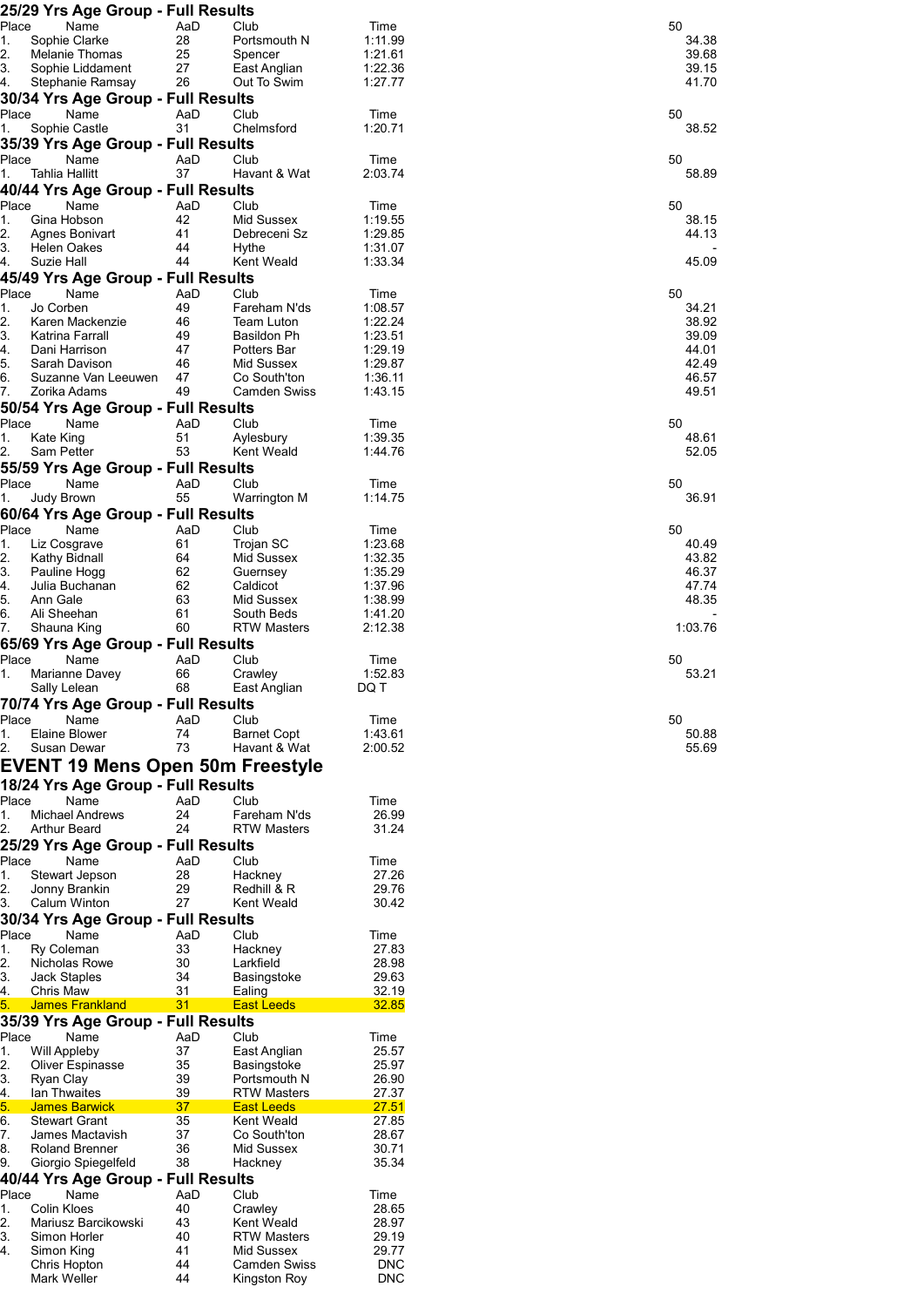| 25/29 Yrs Age Group - Full Results        |                                |            |         |
|-------------------------------------------|--------------------------------|------------|---------|
| Place<br>Name                             | AaD<br>Club                    | Time       | 50      |
| 1.<br>Sophie Clarke<br>2.                 | 28<br>Portsmouth N             | 1:11.99    | 34.38   |
| <b>Melanie Thomas</b><br>3.               | 25<br>Spencer                  | 1:21.61    | 39.68   |
| Sophie Liddament                          | 27<br>East Anglian             | 1:22.36    | 39.15   |
| Stephanie Ramsay                          | 26<br>Out To Swim              | 1:27.77    | 41.70   |
| 30/34 Yrs Age Group - Full Results        |                                |            |         |
| Place<br>Name                             | Club<br>AaD                    | Time       | 50      |
| Sophie Castle                             | 31<br>Chelmsford               | 1:20.71    | 38.52   |
| 35/39 Yrs Age Group - Full Results        |                                |            |         |
| Place<br>Name                             | Club<br>AaD                    | Time       | 50      |
| 1.<br>Tahlia Hallitt                      | 37<br>Havant & Wat             | 2:03.74    | 58.89   |
| 40/44 Yrs Age Group - Full Results        |                                |            |         |
| Place<br>Name                             | AaD<br>Club                    | Time       | 50      |
| 1.<br>Gina Hobson                         | 42<br>Mid Sussex               | 1:19.55    | 38.15   |
| 2.<br>Agnes Bonivart                      | 41<br>Debreceni Sz             | 1:29.85    | 44.13   |
| 3.<br><b>Helen Oakes</b>                  | 44<br>Hythe                    | 1:31.07    |         |
| 4.<br>Suzie Hall                          | 44<br>Kent Weald               | 1:33.34    | 45.09   |
| 45/49 Yrs Age Group - Full Results        |                                |            |         |
| Place<br>Name                             | AaD<br>Club                    | Time       | 50      |
| Jo Corben<br>1.                           | 49<br>Fareham N'ds             | 1:08.57    | 34.21   |
| 2.<br>Karen Mackenzie                     | 46<br>Team Luton               | 1:22.24    | 38.92   |
| 3.<br>Katrina Farrall                     | 49<br>Basildon Ph              | 1:23.51    | 39.09   |
| 4.<br>Dani Harrison                       | 47<br>Potters Bar              | 1:29.19    | 44.01   |
| 5.<br>Sarah Davison<br>6.                 | 46<br>Mid Sussex               | 1:29.87    | 42.49   |
| Suzanne Van Leeuwen<br>7.<br>Zorika Adams | 47<br>Co South'ton<br>49       | 1:36.11    | 46.57   |
|                                           | <b>Camden Swiss</b>            | 1:43.15    | 49.51   |
| 50/54 Yrs Age Group - Full Results        |                                |            |         |
| Place<br>Name                             | AaD<br>Club                    | Time       | 50      |
| 1.<br>Kate King                           | 51<br>Aylesbury                | 1:39.35    | 48.61   |
| 2.<br>Sam Petter                          | 53<br>Kent Weald               | 1:44.76    | 52.05   |
| 55/59 Yrs Age Group - Full Results        |                                |            |         |
| Place<br>Name                             | AaD<br>Club                    | Time       | 50      |
| 1.<br>Judy Brown                          | 55<br>Warrington M             | 1:14.75    | 36.91   |
| 60/64 Yrs Age Group - Full Results        |                                |            |         |
| Place<br>Name                             | AaD<br>Club                    | Time       | 50      |
| 1.<br>Liz Cosgrave                        | 61<br>Trojan SC                | 1:23.68    | 40.49   |
| 2.<br>Kathy Bidnall                       | 64<br>Mid Sussex               | 1:32.35    | 43.82   |
| 3.<br>Pauline Hogg                        | 62<br>Guernsey                 | 1:35.29    | 46.37   |
| 4.<br>Julia Buchanan                      | 62<br>Caldicot                 | 1:37.96    | 47.74   |
| 5.<br>Ann Gale                            | 63<br>Mid Sussex               | 1:38.99    | 48.35   |
| 6.<br>Ali Sheehan                         | 61<br>South Beds               | 1:41.20    |         |
| 7.<br>Shauna King                         | 60<br><b>RTW Masters</b>       | 2:12.38    | 1:03.76 |
| 65/69 Yrs Age Group - Full Results        |                                |            |         |
| Place<br>Name                             | AaD<br>Club                    | Time       | 50      |
| 1.<br>Marianne Davey                      | 66<br>Crawley                  | 1:52.83    | 53.21   |
| Sally Lelean                              | 68<br>East Anglian             | DQ T       |         |
| 70/74 Yrs Age Group - Full Results        |                                |            |         |
| Place<br>Name                             | AaD<br>Club                    | Time       | 50      |
| 1.<br>Elaine Blower<br>2.                 | 74<br><b>Barnet Copt</b><br>73 | 1:43.61    | 50.88   |
| Susan Dewar                               | Havant & Wat                   | 2:00.52    | 55.69   |
| <b>EVENT 19 Mens Open 50m Freestyle</b>   |                                |            |         |
| 18/24 Yrs Age Group - Full Results        |                                |            |         |
| Name<br>Place                             | AaD<br>Club                    | Time       |         |
| <b>Michael Andrews</b><br>1.              | 24<br>Fareham N'ds             | 26.99      |         |
| 2.<br>Arthur Beard                        | 24<br><b>RTW Masters</b>       | 31.24      |         |
| 25/29 Yrs Age Group - Full Results        |                                |            |         |
| Place<br>Name                             | AaD<br>Club                    | Time       |         |
| Stewart Jepson<br>1.                      | 28<br>Hackney                  | 27.26      |         |
| Jonny Brankin<br>2.                       | 29<br>Redhill & R              | 29.76      |         |
| 3.<br>Calum Winton                        | 27<br>Kent Weald               | 30.42      |         |
| 30/34 Yrs Age Group - Full Results        |                                |            |         |
| Place<br>Name                             | AaD<br>Club                    | Time       |         |
| 1.<br>Ry Coleman                          | 33<br>Hackney                  | 27.83      |         |
| 2.<br>Nicholas Rowe                       | 30<br>Larkfield                | 28.98      |         |
| 3.<br>Jack Staples                        | 34<br>Basingstoke              | 29.63      |         |
| 4.<br>Chris Maw                           | 31<br>Ealing                   | 32.19      |         |
| <b>James Frankland</b>                    | 31<br><b>East Leeds</b>        | 32.85      |         |
| 35/39 Yrs Age Group - Full Results        |                                |            |         |
| Place<br>Name                             | AaD<br>Club                    | Time       |         |
| 1.<br><b>Will Appleby</b>                 | 37<br>East Anglian             | 25.57      |         |
| 2.<br><b>Oliver Espinasse</b>             | 35<br>Basingstoke              | 25.97      |         |
| 3.<br>Ryan Clay                           | 39<br>Portsmouth N             | 26.90      |         |
| $4_{\cdot}$<br>Ian Thwaites               | 39<br><b>RTW Masters</b>       | 27.37      |         |
| 5.<br><b>James Barwick</b>                | 37<br><b>East Leeds</b>        | 27.51      |         |
| 6.<br><b>Stewart Grant</b>                | 35<br>Kent Weald               | 27.85      |         |
| 7.<br>James Mactavish                     | 37<br>Co South'ton             | 28.67      |         |
| 8.<br><b>Roland Brenner</b><br>9.         | 36<br>Mid Sussex               | 30.71      |         |
| Giorgio Spiegelfeld                       | 38<br>Hackney                  | 35.34      |         |
| 40/44 Yrs Age Group - Full Results        |                                |            |         |
| Place<br>Name                             | AaD<br>Club                    | Time       |         |
| Colin Kloes<br>1.<br>2.                   | 40<br>Crawley                  | 28.65      |         |
| Mariusz Barcikowski                       | 43<br>Kent Weald               | 28.97      |         |
| Simon Horler                              | 40<br><b>RTW Masters</b>       | 29.19      |         |
| Simon King                                | 41<br>Mid Sussex               | 29.77      |         |
| Chris Hopton                              | <b>Camden Swiss</b><br>44      | <b>DNC</b> |         |
| Mark Weller                               | 44<br>Kingston Roy             | <b>DNC</b> |         |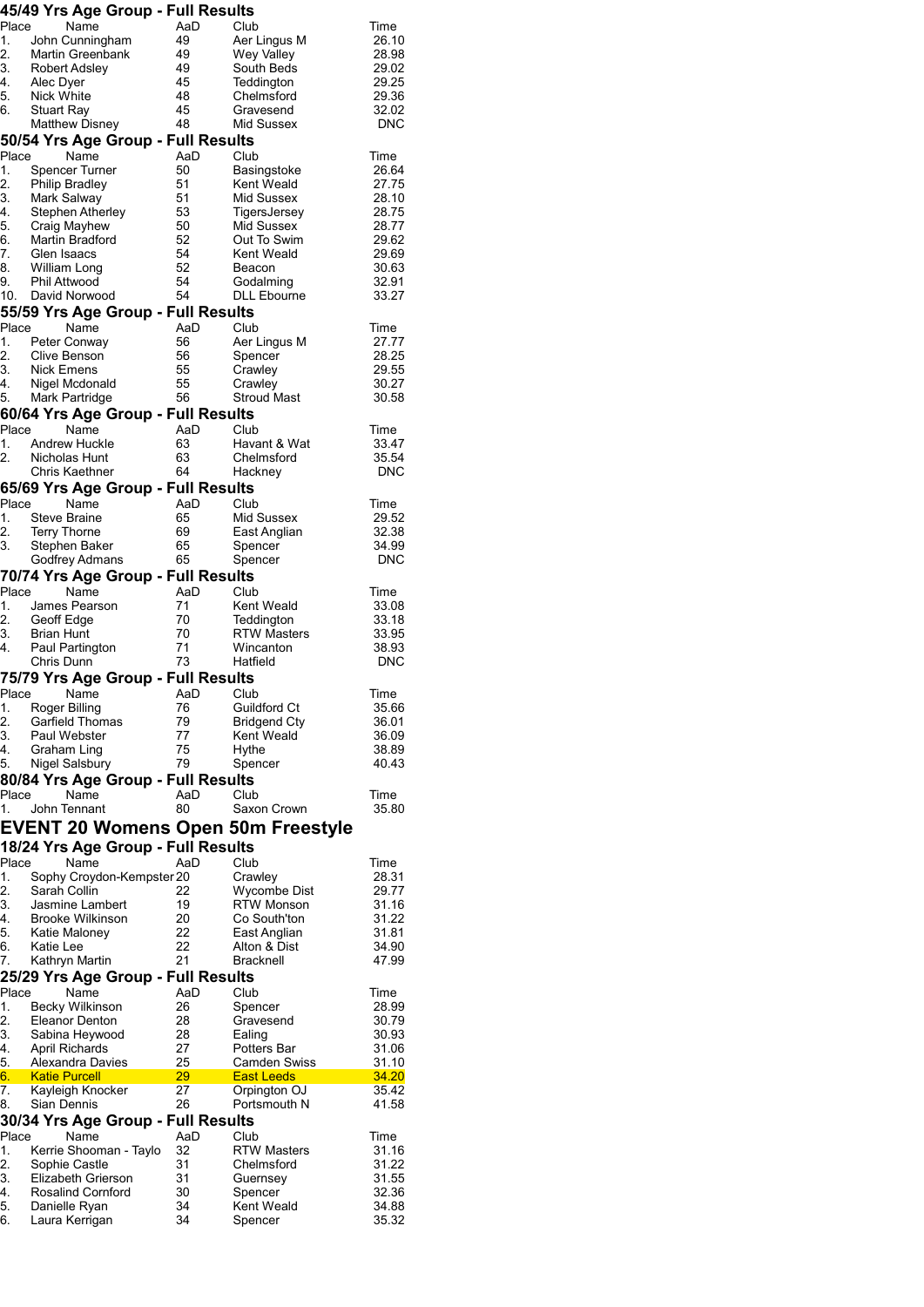|                | 45/49 Yrs Age Group - Full Results                          |           |                                           |                |
|----------------|-------------------------------------------------------------|-----------|-------------------------------------------|----------------|
| Place          | Name                                                        | AaD       | Club                                      | Time           |
| 1.             | John Cunningham                                             | 49        | Aer Lingus M                              | 26.10          |
| 2.<br>3.       | Martin Greenbank<br>Robert Adsley                           | 49<br>49  | Wey Valley<br>South Beds                  | 28.98<br>29.02 |
| 4.             | Alec Dyer                                                   | 45        | Teddington                                | 29.25          |
| 5.             | Nick White                                                  | 48        | Chelmsford                                | 29.36          |
| 6.             | <b>Stuart Ray</b>                                           | 45        | Gravesend                                 | 32.02          |
|                | <b>Matthew Disney</b><br>50/54 Yrs Age Group - Full Results | 48        | Mid Sussex                                | <b>DNC</b>     |
| Place          | Name                                                        | AaD       | Club                                      | Time           |
| 1.             | Spencer Turner                                              | 50        | Basingstoke                               | 26.64          |
| 2.             | <b>Philip Bradley</b>                                       | 51        | Kent Weald                                | 27.75          |
| 3.             | Mark Salway                                                 | 51        | Mid Sussex                                | 28.10          |
| 4.<br>5.       | Stephen Atherley<br>Craig Mayhew                            | 53<br>50  | TigersJersey<br>Mid Sussex                | 28.75<br>28.77 |
| 6.             | Martin Bradford                                             | 52        | Out To Swim                               | 29.62          |
| 7.             | Glen Isaacs                                                 | 54        | Kent Weald                                | 29.69          |
| 8.             | William Long                                                | 52        | Beacon                                    | 30.63          |
| 9.<br>10.      | <b>Phil Attwood</b><br>David Norwood                        | 54<br>54  | Godalming<br><b>DLL Ebourne</b>           | 32.91<br>33.27 |
|                | 55/59 Yrs Age Group - Full Results                          |           |                                           |                |
| Place          | Name                                                        | AaD       | Club                                      | Time           |
| 1.             | Peter Conway                                                | 56        | Aer Lingus M                              | 27.77          |
| 2.             | Clive Benson                                                | 56        | Spencer                                   | 28.25          |
| 3.<br>4.       | <b>Nick Emens</b><br>Nigel Mcdonald                         | 55<br>55  | Crawley<br>Crawley                        | 29.55<br>30.27 |
| 5.             | Mark Partridge                                              | 56        | <b>Stroud Mast</b>                        | 30.58          |
|                | 60/64 Yrs Age Group - Full Results                          |           |                                           |                |
| Place          | Name                                                        | AaD       | Club                                      | Time           |
| 1.             | <b>Andrew Huckle</b>                                        | 63        | Havant & Wat                              | 33.47          |
| $\mathbf{2}$ . | Nicholas Hunt                                               | 63        | Chelmsford                                | 35.54          |
|                | Chris Kaethner                                              | 64        | Hackney                                   | <b>DNC</b>     |
| Place          | 65/69 Yrs Age Group - Full Results<br>Name                  | AaD       | Club                                      | Time           |
| 1.             | <b>Steve Braine</b>                                         | 65        | Mid Sussex                                | 29.52          |
| 2.             | Terry Thorne                                                | 69        | East Anglian                              | 32.38          |
| 3.             | Stephen Baker                                               | 65        | Spencer                                   | 34.99          |
|                | Godfrey Admans                                              | 65        | Spencer                                   | <b>DNC</b>     |
|                | 70/74 Yrs Age Group - Full Results                          |           |                                           |                |
| Place<br>1.    | Name<br>James Pearson                                       | AaD<br>71 | Club<br>Kent Weald                        | Time<br>33.08  |
| 2.             | Geoff Edge                                                  | 70        | Teddington                                | 33.18          |
| 3.             | <b>Brian Hunt</b>                                           | 70        | <b>RTW Masters</b>                        | 33.95          |
| 4.             | Paul Partington                                             | 71        | Wincanton                                 | 38.93          |
|                | Chris Dunn                                                  | 73        | Hatfield                                  | <b>DNC</b>     |
|                | 75/79 Yrs Age Group - Full Results                          |           |                                           |                |
| Place<br>1.    | Name<br>Roger Billing                                       | AaD<br>76 | Club<br>Guildford Ct                      | Time<br>35.66  |
| 2.             | Garfield Thomas                                             | 79        | Bridgend Cty                              | 36.01          |
| 3.             | Paul Webster                                                | 77        | Kent Weald                                | 36.09          |
| 4.             | Graham Ling                                                 | 75        | Hythe                                     | 38.89          |
| 5.             | <b>Nigel Salsbury</b>                                       | 79        | Spencer                                   | 40.43          |
|                | 80/84 Yrs Age Group - Full Results                          |           |                                           |                |
| Place<br>1.    | Name<br>John Tennant                                        | AaD<br>80 | Club<br>Saxon Crown                       | Time<br>35.80  |
|                |                                                             |           |                                           |                |
|                |                                                             |           | <b>EVENT 20 Womens Open 50m Freestyle</b> |                |
|                | 18/24 Yrs Age Group - Full Results<br>Name                  |           |                                           |                |
| Place<br>1.    | Sophy Croydon-Kempster 20                                   | AaD       | Club<br>Crawley                           | Time<br>28.31  |
| 2.             | Sarah Collin                                                | 22        | <b>Wycombe Dist</b>                       | 29.77          |
| 3.             | Jasmine Lambert                                             | 19        | RTW Monson                                | 31.16          |
| 4.             | Brooke Wilkinson                                            | 20        | Co South'ton                              | 31.22          |
| 5.<br>6.       | Katie Maloney<br>Katie Lee                                  | 22<br>22  | East Anglian<br>Alton & Dist              | 31.81<br>34.90 |
| 7.             | Kathryn Martin                                              | 21        | <b>Bracknell</b>                          | 47.99          |
|                | 25/29 Yrs Age Group - Full Results                          |           |                                           |                |
| Place          | Name                                                        | AaD       | Club                                      | Time           |
| 1.             | Becky Wilkinson                                             | 26        | Spencer                                   | 28.99          |
| 2.             | <b>Eleanor Denton</b>                                       | 28        | Gravesend                                 | 30.79          |
| 3.<br>4.       | Sabina Heywood<br>April Richards                            | 28<br>27  | Ealing<br>Potters Bar                     | 30.93<br>31.06 |
| 5.             | Alexandra Davies                                            | 25        | Camden Swiss                              | 31.10          |
| 6.             | <b>Katie Purcell</b>                                        | 29        | <b>East Leeds</b>                         | 34.20          |
| 7.             | Kayleigh Knocker                                            | 27        | Orpington OJ                              | 35.42          |
| 8.             | Sian Dennis                                                 | 26        | Portsmouth N                              | 41.58          |
|                | 30/34 Yrs Age Group - Full Results                          |           |                                           |                |
| Place<br>1.    | Name<br>Kerrie Shooman - Taylo                              | AaD<br>32 | Club<br><b>RTW Masters</b>                | Time<br>31.16  |
| 2.             | Sophie Castle                                               | 31        | Chelmsford                                | 31.22          |
| 3.             | Elizabeth Grierson                                          | 31        | Guernsey                                  | 31.55          |
| 4.             | Rosalind Cornford                                           | 30        | Spencer                                   | 32.36          |
| 5.             | Danielle Ryan                                               | 34        | Kent Weald                                | 34.88          |
| 6.             | Laura Kerrigan                                              | 34        | Spencer                                   | 35.32          |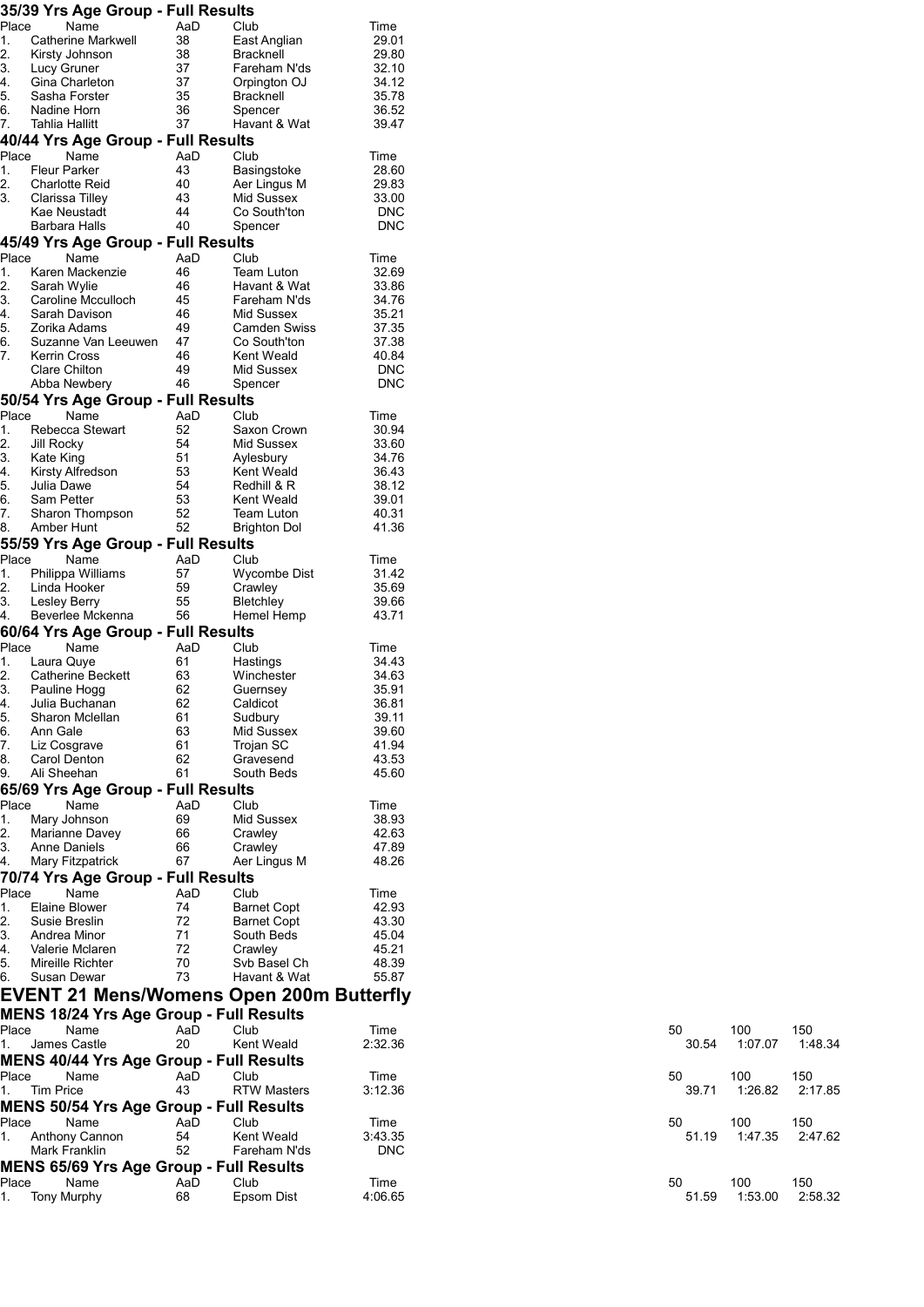|                | 35/39 Yrs Age Group - Full Results                 |           |                                  |                          |             |                |                |
|----------------|----------------------------------------------------|-----------|----------------------------------|--------------------------|-------------|----------------|----------------|
| Place          | Name                                               | AaD       | Club                             | Time                     |             |                |                |
| 1.<br>2.       | <b>Catherine Markwell</b><br>Kirsty Johnson        | 38<br>38  | East Anglian<br><b>Bracknell</b> | 29.01<br>29.80           |             |                |                |
| 3.             | Lucy Gruner                                        | 37        | Fareham N'ds                     | 32.10                    |             |                |                |
| 4.             | Gina Charleton                                     | 37        | Orpington OJ                     | 34.12                    |             |                |                |
| 5.             | Sasha Forster                                      | 35        | <b>Bracknell</b>                 | 35.78                    |             |                |                |
| 6.             | Nadine Horn                                        | 36        | Spencer                          | 36.52                    |             |                |                |
| $\overline{7}$ | Tahlia Hallitt                                     | 37        | Havant & Wat                     | 39.47                    |             |                |                |
|                | 40/44 Yrs Age Group - Full Results                 |           |                                  |                          |             |                |                |
| Place<br>1.    | Name<br><b>Fleur Parker</b>                        | AaD<br>43 | Club                             | Time                     |             |                |                |
| 2.             | <b>Charlotte Reid</b>                              | 40        | Basingstoke<br>Aer Lingus M      | 28.60<br>29.83           |             |                |                |
| 3.             | Clarissa Tilley                                    | 43        | Mid Sussex                       | 33.00                    |             |                |                |
|                | Kae Neustadt                                       | 44        | Co South'ton                     | <b>DNC</b>               |             |                |                |
|                | Barbara Halls                                      | 40        | Spencer                          | <b>DNC</b>               |             |                |                |
|                | 45/49 Yrs Age Group - Full Results                 |           |                                  |                          |             |                |                |
| Place          | Name                                               | AaD       | Club                             | Time                     |             |                |                |
| 1.             | Karen Mackenzie                                    | 46<br>46  | Team Luton                       | 32.69<br>33.86           |             |                |                |
| 2.<br>3.       | Sarah Wylie<br>Caroline Mcculloch                  | 45        | Havant & Wat<br>Fareham N'ds     | 34.76                    |             |                |                |
| 4.             | Sarah Davison                                      | 46        | Mid Sussex                       | 35.21                    |             |                |                |
| 5.             | Zorika Adams                                       | 49        | Camden Swiss                     | 37.35                    |             |                |                |
| 6.             | Suzanne Van Leeuwen                                | 47        | Co South'ton                     | 37.38                    |             |                |                |
| 7.             | <b>Kerrin Cross</b>                                | 46        | Kent Weald                       | 40.84                    |             |                |                |
|                | Clare Chilton                                      | 49        | Mid Sussex                       | <b>DNC</b><br><b>DNC</b> |             |                |                |
|                | Abba Newbery<br>50/54 Yrs Age Group - Full Results | 46        | Spencer                          |                          |             |                |                |
| Place          | Name                                               | AaD       | Club                             | Time                     |             |                |                |
|                | Rebecca Stewart                                    | 52        | Saxon Crown                      | 30.94                    |             |                |                |
| 2.             | Jill Rocky                                         | 54        | Mid Sussex                       | 33.60                    |             |                |                |
| 3.             | Kate King                                          | 51        | Aylesbury                        | 34.76                    |             |                |                |
| 4.             | Kirsty Alfredson                                   | 53        | Kent Weald                       | 36.43                    |             |                |                |
| 5.             | Julia Dawe                                         | 54        | Redhill & R                      | 38.12                    |             |                |                |
| 6.<br>7.       | Sam Petter<br>Sharon Thompson                      | 53<br>52  | Kent Weald<br>Team Luton         | 39.01<br>40.31           |             |                |                |
| 8.             | Amber Hunt                                         | 52        | Brighton Dol                     | 41.36                    |             |                |                |
|                | 55/59 Yrs Age Group - Full Results                 |           |                                  |                          |             |                |                |
| Place          | Name                                               | AaD       | Club                             | Time                     |             |                |                |
| 1.             | Philippa Williams                                  | 57        | <b>Wycombe Dist</b>              | 31.42                    |             |                |                |
| 2.             | Linda Hooker                                       | 59        | Crawley                          | 35.69                    |             |                |                |
| 3.             | Lesley Berry                                       | 55        | Bletchley                        | 39.66                    |             |                |                |
| 4.             | Beverlee Mckenna                                   | 56        | Hemel Hemp                       | 43.71                    |             |                |                |
|                | 60/64 Yrs Age Group - Full Results<br>Name         |           | Club                             |                          |             |                |                |
| Place          | Laura Quye                                         | AaD<br>61 | Hastings                         | Time<br>34.43            |             |                |                |
| 2.             | <b>Catherine Beckett</b>                           | 63        | Winchester                       | 34.63                    |             |                |                |
| З.             | Pauline Hogg                                       | 62        | Guernsey                         | 35.91                    |             |                |                |
| 4.             | Julia Buchanan                                     | 62        | Caldicot                         | 36.81                    |             |                |                |
| 5.             | Sharon Mclellan                                    | 61        | Sudbury                          | 39.11                    |             |                |                |
| 6.<br>7.       | Ann Gale<br>Liz Cosgrave                           | 63<br>61  | Mid Sussex<br>Trojan SC          | 39.60<br>41.94           |             |                |                |
| 8.             | Carol Denton                                       | 62        | Gravesend                        | 43.53                    |             |                |                |
| 9.             | Ali Sheehan                                        | 61        | South Beds                       | 45.60                    |             |                |                |
|                | 65/69 Yrs Age Group - Full Results                 |           |                                  |                          |             |                |                |
| Place          | Name                                               | AaD       | Club                             | Time                     |             |                |                |
|                | Mary Johnson                                       | 69        | Mid Sussex                       | 38.93                    |             |                |                |
| 2.             | Marianne Davey                                     | 66        | Crawley                          | 42.63                    |             |                |                |
| З.<br>4.       | <b>Anne Daniels</b><br>Mary Fitzpatrick            | 66<br>67  | Crawley<br>Aer Lingus M          | 47.89<br>48.26           |             |                |                |
|                | 70/74 Yrs Age Group - Full Results                 |           |                                  |                          |             |                |                |
| Place          | Name                                               | AaD       | Club                             | Time                     |             |                |                |
|                | Elaine Blower                                      | 74        | <b>Barnet Copt</b>               | 42.93                    |             |                |                |
| 2.             | Susie Breslin                                      | 72        | <b>Barnet Copt</b>               | 43.30                    |             |                |                |
| 3.             | Andrea Minor                                       | 71        | South Beds                       | 45.04                    |             |                |                |
| 4.             | Valerie Mclaren                                    | 72        | Crawley                          | 45.21                    |             |                |                |
| 5.             | Mireille Richter                                   | 70<br>73  | Svb Basel Ch                     | 48.39                    |             |                |                |
| 6.             | Susan Dewar                                        |           | Havant & Wat                     | 55.87                    |             |                |                |
|                | EVENT 21 Mens/Womens Open 200m Butterfly           |           |                                  |                          |             |                |                |
|                | <b>MENS 18/24 Yrs Age Group - Full Results</b>     |           |                                  |                          |             |                |                |
| Place          | Name                                               | AaD       | Club                             | Time                     | 50          | 100            | 150            |
|                | James Castle                                       | 20        | Kent Weald                       | 2:32.36                  | 30.54       | 1:07.07        | 1:48.34        |
|                | <b>MENS 40/44 Yrs Age Group - Full Results</b>     |           |                                  |                          |             |                |                |
| Place          | Name<br>Tim Price                                  | AaD<br>43 | Club<br><b>RTW Masters</b>       | Time<br>3:12.36          | 50<br>39.71 | 100<br>1:26.82 | 150<br>2:17.85 |
|                | <b>MENS 50/54 Yrs Age Group - Full Results</b>     |           |                                  |                          |             |                |                |
| Place          | Name                                               | AaD       | Club                             | Time                     | 50          | 100            | 150            |
| 1.             | Anthony Cannon                                     | 54        | Kent Weald                       | 3:43.35                  | 51.19       | 1:47.35        | 2:47.62        |
|                | Mark Franklin                                      | 52        | Fareham N'ds                     | <b>DNC</b>               |             |                |                |
|                | <b>MENS 65/69 Yrs Age Group - Full Results</b>     |           |                                  |                          |             |                |                |

| 150<br>100<br>1:48.34<br>1:07.07<br>100<br>150 |
|------------------------------------------------|
|                                                |
|                                                |
|                                                |
|                                                |
| 1:26.82<br>2:17.85                             |
|                                                |
| 100<br>150                                     |
| 1:47.35<br>2:47.62                             |
|                                                |
|                                                |
| 100<br>150                                     |
| 2:58.32<br>1:53.00                             |
|                                                |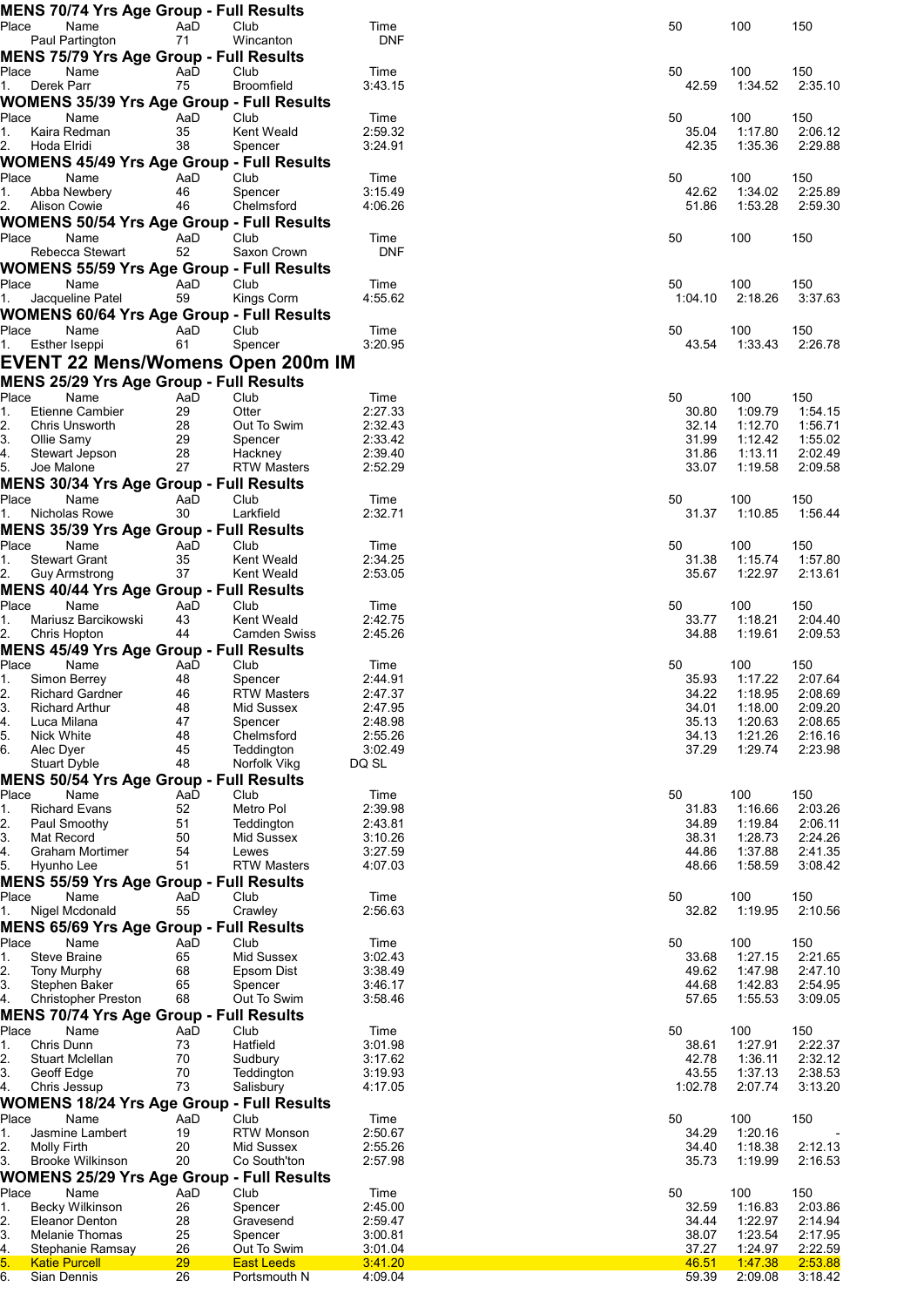|                |                    | <b>MENS 70/74 Yrs Age Group - Full Results</b><br>Name |          | Club                                     |                    | 50             | 100                | 150                |
|----------------|--------------------|--------------------------------------------------------|----------|------------------------------------------|--------------------|----------------|--------------------|--------------------|
| Place          |                    |                                                        | AaD      |                                          | Time               |                |                    |                    |
|                |                    | Paul Partington                                        | 71       | Wincanton                                | <b>DNF</b>         |                |                    |                    |
|                |                    | <b>MENS 75/79 Yrs Age Group - Full Results</b>         |          |                                          |                    |                |                    |                    |
| Place          |                    | Name                                                   | AaD      | Club                                     | Time               | 50             | 100                | 150                |
| 1.             | Derek Parr         |                                                        | 75       | <b>Broomfield</b>                        | 3:43.15            | 42.59          | 1:34.52            | 2:35.10            |
|                |                    |                                                        |          |                                          |                    |                |                    |                    |
|                |                    | <b>WOMENS 35/39 Yrs Age Group - Full Results</b>       |          |                                          |                    |                |                    |                    |
| Place          |                    | Name                                                   | AaD      | Club                                     | Time               | 50             | 100                | 150                |
| 1.             |                    | Kaira Redman                                           | 35       | Kent Weald                               | 2:59.32            | 35.04          | 1:17.80            | 2:06.12            |
| 2.             | Hoda Elridi        |                                                        | 38       | Spencer                                  | 3:24.91            | 42.35          | 1:35.36            | 2:29.88            |
|                |                    | <b>WOMENS 45/49 Yrs Age Group - Full Results</b>       |          |                                          |                    |                |                    |                    |
|                |                    |                                                        |          |                                          |                    |                |                    |                    |
| Place          |                    | Name                                                   | AaD      | Club                                     | Time               | 50             | 100                | 150                |
| 1.             |                    | Abba Newbery                                           | 46       | Spencer                                  | 3:15.49            | 42.62          | 1:34.02            | 2:25.89            |
| 2.             |                    | <b>Alison Cowie</b>                                    | 46       | Chelmsford                               | 4:06.26            | 51.86          | 1:53.28            | 2:59.30            |
|                |                    | <b>WOMENS 50/54 Yrs Age Group - Full Results</b>       |          |                                          |                    |                |                    |                    |
|                |                    |                                                        |          |                                          |                    |                |                    |                    |
| Place          |                    | Name                                                   | AaD      | Club                                     | Time               | 50             | 100                | 150                |
|                |                    | Rebecca Stewart                                        | 52       | Saxon Crown                              | <b>DNF</b>         |                |                    |                    |
|                |                    | <b>WOMENS 55/59 Yrs Age Group - Full Results</b>       |          |                                          |                    |                |                    |                    |
| Place          |                    | Name                                                   | AaD      | Club                                     | Time               | 50             | 100                | 150                |
|                |                    |                                                        | 59       |                                          | 4:55.62            | 1:04.10        | 2:18.26            | 3:37.63            |
| 1.             |                    | Jacqueline Patel                                       |          | Kings Corm                               |                    |                |                    |                    |
|                |                    | <b>WOMENS 60/64 Yrs Age Group - Full Results</b>       |          |                                          |                    |                |                    |                    |
| Place          |                    | Name                                                   | AaD      | Club                                     | Time               | 50             | 100                | 150                |
| 1.             |                    | Esther Iseppi                                          | 61       | Spencer                                  | 3:20.95            | 43.54          | 1:33.43            | 2:26.78            |
|                |                    |                                                        |          |                                          |                    |                |                    |                    |
|                |                    |                                                        |          | <b>EVENT 22 Mens/Womens Open 200m IM</b> |                    |                |                    |                    |
|                |                    | <b>MENS 25/29 Yrs Age Group - Full Results</b>         |          |                                          |                    |                |                    |                    |
|                |                    |                                                        |          |                                          |                    |                |                    |                    |
| Place          |                    | Name                                                   | AaD      | Club                                     | Time               | 50             | 100                | 150                |
| 1.             |                    | Etienne Cambier                                        | 29       | Otter                                    | 2:27.33            | 30.80          | 1:09.79            | 1:54.15            |
| 2.             |                    | Chris Unsworth                                         | 28       | Out To Swim                              | 2:32.43            | 32.14          | 1:12.70            | 1:56.71            |
| 3.             | Ollie Samy         |                                                        | 29       | Spencer                                  | 2:33.42            | 31.99          | 1:12.42            | 1:55.02            |
| 4.             |                    | Stewart Jepson                                         | 28       | Hackney                                  | 2:39.40            | 31.86          | 1:13.11            | 2:02.49            |
| 5.             | Joe Malone         |                                                        | 27       | <b>RTW Masters</b>                       | 2:52.29            | 33.07          | 1:19.58            | 2:09.58            |
|                |                    |                                                        |          |                                          |                    |                |                    |                    |
|                |                    | <b>MENS 30/34 Yrs Age Group - Full Results</b>         |          |                                          |                    |                |                    |                    |
| Place          |                    | Name                                                   | AaD      | Club                                     | Time               | 50             | 100                | 150                |
| 1.             |                    | Nicholas Rowe                                          | 30       | Larkfield                                | 2:32.71            | 31.37          | 1:10.85            | 1:56.44            |
|                |                    |                                                        |          |                                          |                    |                |                    |                    |
|                |                    | <b>MENS 35/39 Yrs Age Group - Full Results</b>         |          |                                          |                    |                |                    |                    |
| Place          |                    | Name                                                   | AaD      | Club                                     | Time               | 50             | 100                | 150                |
|                |                    | <b>Stewart Grant</b>                                   | 35       | Kent Weald                               | 2:34.25            | 31.38          | 1:15.74            | 1:57.80            |
| 2.             |                    | Guy Armstrong                                          | 37       | Kent Weald                               | 2:53.05            | 35.67          | 1:22.97            | 2:13.61            |
|                |                    | <b>MENS 40/44 Yrs Age Group - Full Results</b>         |          |                                          |                    |                |                    |                    |
|                |                    |                                                        |          |                                          |                    |                |                    |                    |
| Place          |                    | Name                                                   | AaD      | Club                                     | Time               | 50             | 100                | 150                |
| 1 <sub>1</sub> |                    | Mariusz Barcikowski                                    | 43       | <b>Kent Weald</b>                        | 2:42.75            | 33.77          | 1:18.21            | 2:04.40            |
| 2.             |                    | Chris Hopton                                           | 44       | Camden Swiss                             | 2:45.26            | 34.88          | 1:19.61            | 2:09.53            |
|                |                    | <b>MENS 45/49 Yrs Age Group - Full Results</b>         |          |                                          |                    |                |                    |                    |
|                |                    |                                                        |          |                                          |                    |                |                    |                    |
|                |                    |                                                        |          |                                          |                    |                |                    |                    |
| Place          |                    | Name                                                   | AaD      | Club                                     | Time               | 50             | 100                | 150                |
| 1.             |                    | Simon Berrey                                           | 48       | Spencer                                  | 2:44.91            | 35.93          | 1:17.22            | 2:07.64            |
| 2.             |                    | <b>Richard Gardner</b>                                 | 46       |                                          | 2:47.37            | 34.22          | 1:18.95            | 2:08.69            |
|                |                    |                                                        |          | <b>RTW Masters</b>                       |                    |                |                    |                    |
| 3.             |                    | <b>Richard Arthur</b>                                  | 48       | Mid Sussex                               | 2:47.95            | 34.01          | 1:18.00            | 2:09.20            |
| 4.             | Luca Milana        |                                                        | 47       | Spencer                                  | 2:48.98            | 35.13          | 1:20.63            | 2:08.65            |
| 5.             | Nick White         |                                                        | 48       | Chelmsford                               | 2:55.26            | 34.13          | 1:21.26            | 2:16.16            |
| 6.             | Alec Dyer          |                                                        | 45       | Teddington                               | 3:02.49            | 37.29          | 1:29.74            | 2:23.98            |
|                | Stuart Dyble       |                                                        | 48       | Norfolk Vikg                             | DQ SL              |                |                    |                    |
|                |                    |                                                        |          |                                          |                    |                |                    |                    |
|                |                    | <b>MENS 50/54 Yrs Age Group - Full Results</b>         |          |                                          |                    |                |                    |                    |
| Place          |                    | Name                                                   | AaD      | Club                                     | Time               | 50             | 100                | 150                |
| 1.             |                    | <b>Richard Evans</b>                                   | 52       | Metro Pol                                | 2:39.98            | 31.83          | 1:16.66            | 2:03.26            |
| 2.             |                    | Paul Smoothy                                           | 51       | Teddington                               | 2:43.81            | 34.89          | 1:19.84            | 2:06.11            |
| 3.             | Mat Record         |                                                        | 50       | Mid Sussex                               | 3:10.26            | 38.31          | 1:28.73            | 2:24.26            |
| 4.             |                    | Graham Mortimer                                        | 54       | Lewes                                    | 3:27.59            | 44.86          | 1:37.88            | 2:41.35            |
|                |                    |                                                        |          |                                          |                    |                |                    |                    |
| 5.             | Hyunho Lee         |                                                        | 51       | <b>RTW Masters</b>                       | 4:07.03            | 48.66          | 1:58.59            | 3:08.42            |
|                |                    | <b>MENS 55/59 Yrs Age Group - Full Results</b>         |          |                                          |                    |                |                    |                    |
| Place          |                    | Name                                                   | AaD      | Club                                     | Time               | 50             | 100                | 150                |
| 1.             |                    | Nigel Mcdonald                                         | 55       | Crawley                                  | 2:56.63            | 32.82          | 1:19.95            | 2:10.56            |
|                |                    |                                                        |          |                                          |                    |                |                    |                    |
|                |                    | <b>MENS 65/69 Yrs Age Group - Full Results</b>         |          |                                          |                    |                |                    |                    |
| Place          |                    | Name                                                   | AaD      | Club                                     | Time               | 50             | 100                | 150                |
| 1.             |                    | <b>Steve Braine</b>                                    | 65       | Mid Sussex                               | 3:02.43            | 33.68          | 1:27.15            | 2:21.65            |
| 2.             |                    | <b>Tony Murphy</b>                                     | 68       | Epsom Dist                               | 3:38.49            | 49.62          | 1:47.98            | 2:47.10            |
| 3.             |                    | Stephen Baker                                          | 65       | Spencer                                  | 3:46.17            | 44.68          | 1:42.83            | 2:54.95            |
| 4.             |                    | <b>Christopher Preston</b>                             | 68       | Out To Swim                              | 3:58.46            | 57.65          | 1:55.53            | 3:09.05            |
|                |                    |                                                        |          |                                          |                    |                |                    |                    |
|                |                    | <b>MENS 70/74 Yrs Age Group - Full Results</b>         |          |                                          |                    |                |                    |                    |
| Place          |                    | Name                                                   | AaD      | Club                                     | Time               | 50             | 100                | 150                |
| 1.             | Chris Dunn         |                                                        | 73       | Hatfield                                 | 3:01.98            | 38.61          | 1:27.91            | 2:22.37            |
| 2.             |                    | Stuart Mclellan                                        | 70       | Sudbury                                  | 3:17.62            | 42.78          | 1:36.11            | 2:32.12            |
|                |                    |                                                        |          |                                          |                    |                |                    |                    |
| 3.             | Geoff Edge         |                                                        | 70       | Teddington                               | 3:19.93            | 43.55          | 1:37.13            | 2:38.53            |
| 4.             |                    | Chris Jessup                                           | 73       | Salisbury                                | 4:17.05            | 1:02.78        | 2:07.74            | 3:13.20            |
|                |                    | <b>WOMENS 18/24 Yrs Age Group - Full Results</b>       |          |                                          |                    |                |                    |                    |
| Place          |                    | Name                                                   | AaD      | Club                                     | Time               | 50             | 100                | 150                |
|                |                    |                                                        |          |                                          |                    |                |                    |                    |
| 1.             |                    | Jasmine Lambert                                        | 19       | <b>RTW Monson</b>                        | 2:50.67            | 34.29          | 1:20.16            |                    |
| 2.             | <b>Molly Firth</b> |                                                        | 20       | Mid Sussex                               | 2:55.26            | 34.40          | 1:18.38            | 2:12.13            |
| 3.             |                    | <b>Brooke Wilkinson</b>                                | 20       | Co South'ton                             | 2:57.98            | 35.73          | 1:19.99            | 2:16.53            |
|                |                    | <b>WOMENS 25/29 Yrs Age Group - Full Results</b>       |          |                                          |                    |                |                    |                    |
|                |                    |                                                        |          |                                          |                    |                |                    |                    |
| Place          |                    | Name                                                   | AaD      | Club                                     | Time               | 50             | 100                | 150                |
| 1.             |                    | Becky Wilkinson                                        | 26       | Spencer                                  | 2:45.00            | 32.59          | 1:16.83            | 2:03.86            |
| 2.             |                    | Eleanor Denton                                         | 28       | Gravesend                                | 2:59.47            | 34.44          | 1:22.97            | 2:14.94            |
| 3.             |                    | Melanie Thomas                                         | 25       | Spencer                                  | 3:00.81            | 38.07          | 1:23.54            | 2:17.95            |
| 4.             |                    | Stephanie Ramsay                                       | 26       | Out To Swim                              | 3:01.04            | 37.27          | 1:24.97            | 2:22.59            |
| 5.<br>6.       | Sian Dennis        | <b>Katie Purcell</b>                                   | 29<br>26 | <b>East Leeds</b>                        | 3:41.20<br>4:09.04 | 46.51<br>59.39 | 1:47.38<br>2:09.08 | 2:53.88<br>3:18.42 |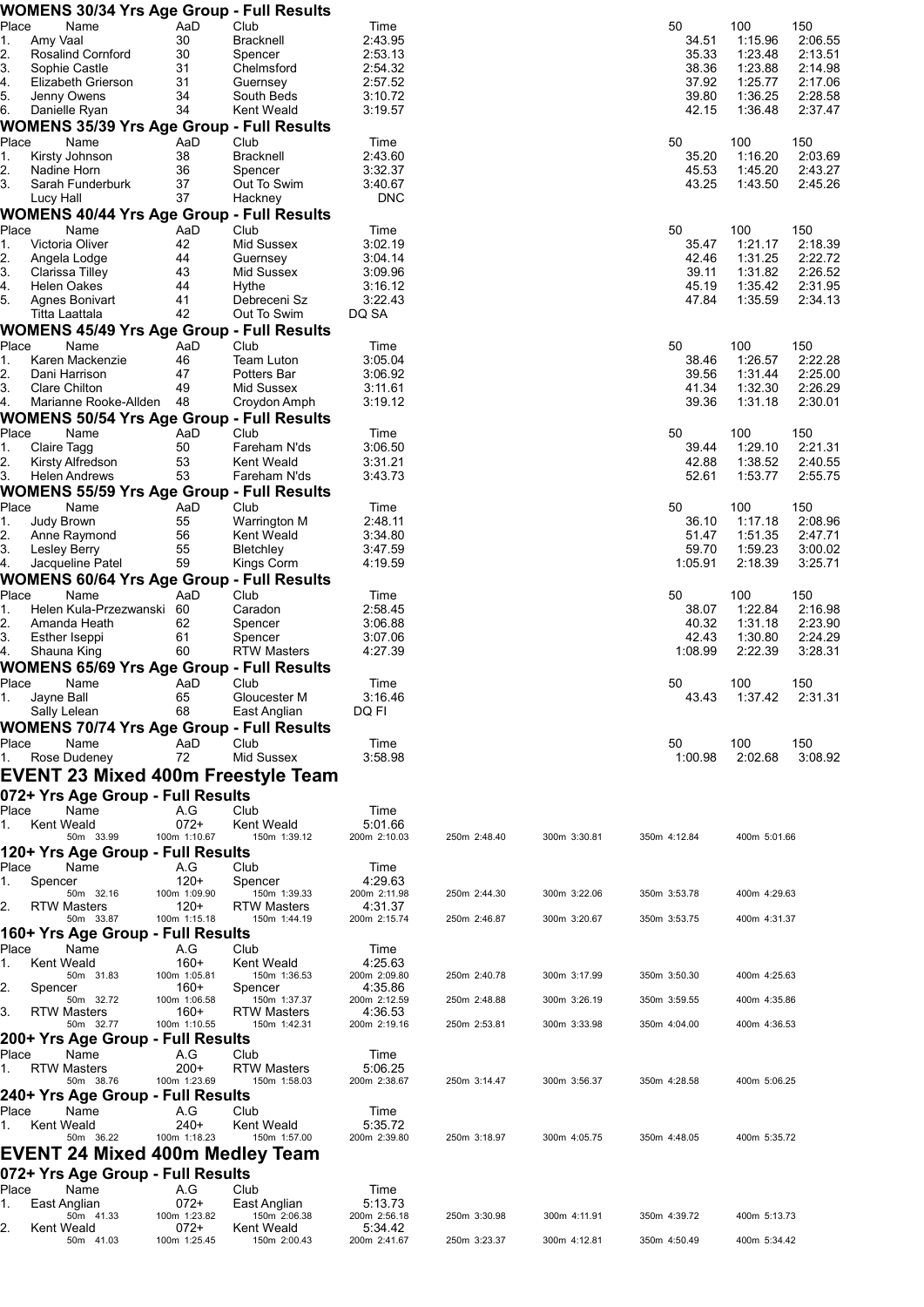|             |                |                                           |                        | WOMENS 30/34 Yrs Age Group - Full Results        |                         |              |              |                |                    |                    |
|-------------|----------------|-------------------------------------------|------------------------|--------------------------------------------------|-------------------------|--------------|--------------|----------------|--------------------|--------------------|
| Place       |                | Name                                      | AaD                    | Club                                             | Time                    |              |              | 50             | 100                | 150                |
| 1.<br>2.    | Amy Vaal       | <b>Rosalind Cornford</b>                  | 30<br>30               | Bracknell                                        | 2:43.95<br>2:53.13      |              |              | 34.51          | 1:15.96            | 2:06.55            |
| 3.          |                | Sophie Castle                             | 31                     | Spencer<br>Chelmsford                            | 2:54.32                 |              |              | 35.33<br>38.36 | 1:23.48<br>1:23.88 | 2:13.51<br>2:14.98 |
| 4.          |                | Elizabeth Grierson                        | 31                     | Guernsey                                         | 2:57.52                 |              |              | 37.92          | 1:25.77            | 2:17.06            |
| 5.          |                | Jenny Owens                               | 34                     | South Beds                                       | 3:10.72                 |              |              | 39.80          | 1:36.25            | 2:28.58            |
| 6.          |                | Danielle Ryan                             | 34                     | Kent Weald                                       | 3:19.57                 |              |              | 42.15          | 1:36.48            | 2:37.47            |
|             |                |                                           |                        | <b>WOMENS 35/39 Yrs Age Group - Full Results</b> |                         |              |              |                |                    |                    |
| Place       |                | Name                                      | AaD                    | Club                                             | Time                    |              |              | 50             | 100                | 150                |
| 1.          |                | Kirsty Johnson                            | 38                     | <b>Bracknell</b>                                 | 2:43.60                 |              |              | 35.20          | 1:16.20            | 2:03.69            |
| 2.          | Nadine Horn    |                                           | 36                     | Spencer<br>Out To Swim                           | 3:32.37                 |              |              | 45.53          | 1:45.20            | 2:43.27            |
| 3.          | Lucy Hall      | Sarah Funderburk                          | 37<br>37               | Hackney                                          | 3:40.67<br><b>DNC</b>   |              |              | 43.25          | 1:43.50            | 2:45.26            |
|             |                |                                           |                        | <b>WOMENS 40/44 Yrs Age Group - Full Results</b> |                         |              |              |                |                    |                    |
| Place       |                | Name                                      | AaD                    | Club                                             | Time                    |              |              | 50             | 100                | 150                |
| 1.          |                | Victoria Oliver                           | 42                     | Mid Sussex                                       | 3:02.19                 |              |              | 35.47          | 1:21.17            | 2:18.39            |
| 2.          |                | Angela Lodge                              | 44                     | Guernsey                                         | 3:04.14                 |              |              | 42.46          | 1:31.25            | 2:22.72            |
| 3.          |                | Clarissa Tilley                           | 43                     | Mid Sussex                                       | 3:09.96                 |              |              | 39.11          | 1:31.82            | 2:26.52            |
| 4.          | Helen Oakes    |                                           | 44                     | Hythe                                            | 3:16.12                 |              |              | 45.19          | 1:35.42            | 2:31.95            |
| 5.          |                | Agnes Bonivart                            | 41                     | Debreceni Sz                                     | 3:22.43                 |              |              | 47.84          | 1:35.59            | 2:34.13            |
|             | Titta Laattala |                                           | 42                     | Out To Swim                                      | DQ SA                   |              |              |                |                    |                    |
|             |                |                                           |                        | <b>WOMENS 45/49 Yrs Age Group - Full Results</b> |                         |              |              |                |                    |                    |
| Place       |                | Name                                      | AaD                    | Club                                             | Time                    |              |              | 50             | 100                | 150                |
| 1.          |                | Karen Mackenzie                           | 46                     | Team Luton                                       | 3:05.04                 |              |              | 38.46          | 1:26.57            | 2:22.28            |
| 2.          |                | Dani Harrison                             | 47<br>49               | Potters Bar<br>Mid Sussex                        | 3:06.92                 |              |              | 39.56<br>41.34 | 1:31.44<br>1:32.30 | 2:25.00<br>2:26.29 |
| 3.<br>4.    | Clare Chilton  | Marianne Rooke-Allden                     | 48                     | Croydon Amph                                     | 3:11.61<br>3:19.12      |              |              | 39.36          | 1:31.18            | 2:30.01            |
|             |                |                                           |                        | <b>WOMENS 50/54 Yrs Age Group - Full Results</b> |                         |              |              |                |                    |                    |
| Place       |                | Name                                      | AaD                    | Club                                             | Time                    |              |              | 50             | 100                | 150                |
| 1.          | Claire Tagg    |                                           | 50                     | Fareham N'ds                                     | 3:06.50                 |              |              | 39.44          | 1:29.10            | 2:21.31            |
| 2.          |                | Kirsty Alfredson                          | 53                     | Kent Weald                                       | 3:31.21                 |              |              | 42.88          | 1:38.52            | 2:40.55            |
| 3.          |                | Helen Andrews                             | 53                     | Fareham N'ds                                     | 3:43.73                 |              |              | 52.61          | 1:53.77            | 2:55.75            |
|             |                |                                           |                        | <b>WOMENS 55/59 Yrs Age Group - Full Results</b> |                         |              |              |                |                    |                    |
| Place       |                | Name                                      | AaD                    | Club                                             | Time                    |              |              | 50             | 100                | 150                |
| 1.          | Judy Brown     |                                           | 55                     | Warrington M                                     | 2:48.11                 |              |              | 36.10          | 1:17.18            | 2:08.96            |
| 2.          |                | Anne Raymond                              | 56                     | Kent Weald                                       | 3:34.80                 |              |              | 51.47          | 1:51.35            | 2:47.71            |
| 3.          | Lesley Berry   |                                           | 55                     | Bletchley                                        | 3:47.59                 |              |              | 59.70          | 1:59.23            | 3:00.02            |
| 4.          |                | Jacqueline Patel                          | 59                     | Kings Corm                                       | 4:19.59                 |              |              | 1:05.91        | 2:18.39            | 3:25.71            |
|             |                |                                           |                        | <b>WOMENS 60/64 Yrs Age Group - Full Results</b> |                         |              |              |                |                    |                    |
| Place       |                | Name                                      | AaD                    | Club                                             | Time                    |              |              | 50             | 100                | 150                |
| 1.          |                | Helen Kula-Przezwanski 60                 |                        | Caradon                                          | 2:58.45                 |              |              | 38.07          | 1:22.84            | 2:16.98            |
| 2.          |                | Amanda Heath                              | 62                     | Spencer                                          | 3:06.88                 |              |              | 40.32          | 1:31.18            | 2:23.90            |
| 3.          | Esther Iseppi  |                                           | 61                     | Spencer                                          | 3:07.06                 |              |              | 42.43          | 1:30.80            | 2:24.29            |
| 4.          | Shauna King    |                                           | 60                     | <b>RTW Masters</b>                               | 4:27.39                 |              |              | 1:08.99        | 2:22.39            | 3:28.31            |
|             |                |                                           |                        |                                                  |                         |              |              |                |                    |                    |
|             |                |                                           |                        | <b>WOMENS 65/69 Yrs Age Group - Full Results</b> |                         |              |              |                |                    |                    |
| Place       |                | Name                                      | AaD                    | Club                                             | Time                    |              |              | 50             | 100                | 150                |
| 1.          | Jayne Ball     |                                           | 65                     | Gloucester M                                     | 3:16.46                 |              |              | 43.43          | 1:37.42            | 2:31.31            |
|             | Sally Lelean   |                                           | 68                     | East Anglian                                     | DQ FI                   |              |              |                |                    |                    |
|             |                |                                           |                        | <b>WOMENS 70/74 Yrs Age Group - Full Results</b> |                         |              |              |                |                    |                    |
| Place       |                | Name                                      | AaD                    | Club                                             | Time                    |              |              | 50             | 100                | 150                |
| 1.          |                | Rose Dudeney                              | 72                     | Mid Sussex                                       | 3:58.98                 |              |              | 1:00.98        | 2:02.68            | 3:08.92            |
|             |                |                                           |                        | EVENT 23 Mixed 400m Freestyle Team               |                         |              |              |                |                    |                    |
|             |                | 072+ Yrs Age Group - Full Results         |                        |                                                  |                         |              |              |                |                    |                    |
| Place       |                | Name                                      | A.G                    | Club                                             | Time                    |              |              |                |                    |                    |
| 1.          | Kent Weald     |                                           | $072+$                 | <b>Kent Weald</b>                                | 5:01.66                 |              |              |                |                    |                    |
|             |                | 50m 33.99                                 | 100m 1:10.67           | 150m 1:39.12                                     | 200m 2:10.03            | 250m 2:48.40 | 300m 3:30.81 | 350m 4:12.84   | 400m 5:01.66       |                    |
|             |                | 120+ Yrs Age Group - Full Results         |                        |                                                  |                         |              |              |                |                    |                    |
| Place       |                | Name                                      | A.G                    | Club                                             | Time                    |              |              |                |                    |                    |
| 1.          | Spencer        | 50m 32.16                                 | $120+$<br>100m 1:09.90 | Spencer<br>150m 1:39.33                          | 4:29.63<br>200m 2:11.98 | 250m 2:44.30 | 300m 3:22.06 | 350m 3:53.78   | 400m 4:29.63       |                    |
| 2.          |                | <b>RTW Masters</b>                        | $120+$                 | <b>RTW Masters</b>                               | 4:31.37                 |              |              |                |                    |                    |
|             |                | 50m 33.87                                 | 100m 1:15.18           | 150m 1:44.19                                     | 200m 2:15.74            | 250m 2:46.87 | 300m 3:20.67 | 350m 3:53.75   | 400m 4:31.37       |                    |
|             |                | 160+ Yrs Age Group - Full Results         |                        |                                                  |                         |              |              |                |                    |                    |
| Place       |                | Name                                      | A.G                    | Club                                             | Time                    |              |              |                |                    |                    |
| 1.          | Kent Weald     |                                           | $160+$                 | Kent Weald                                       | 4:25.63                 |              |              |                |                    |                    |
|             |                | 50m 31.83                                 | 100m 1:05.81<br>$160+$ | 150m 1:36.53                                     | 200m 2:09.80<br>4:35.86 | 250m 2:40.78 | 300m 3:17.99 | 350m 3:50.30   | 400m 4:25.63       |                    |
| 2.          | Spencer        | 50m 32.72                                 | 100m 1:06.58           | Spencer<br>150m 1:37.37                          | 200m 2:12.59            | 250m 2:48.88 | 300m 3:26.19 | 350m 3:59.55   | 400m 4:35.86       |                    |
| 3.          |                | <b>RTW Masters</b>                        | 160+                   | RTW Masters                                      | 4:36.53                 |              |              |                |                    |                    |
|             |                | 50m 32.77                                 | 100m 1:10.55           | 150m 1:42.31                                     | 200m 2:19.16            | 250m 2:53.81 | 300m 3:33.98 | 350m 4:04.00   | 400m 4:36.53       |                    |
|             |                | 200+ Yrs Age Group - Full Results         |                        |                                                  |                         |              |              |                |                    |                    |
| Place       |                | Name                                      | A.G                    | Club                                             | Time                    |              |              |                |                    |                    |
| 1.          |                | RTW Masters<br>50m 38.76                  | $200+$<br>100m 1:23.69 | <b>RTW Masters</b><br>150m 1:58.03               | 5:06.25<br>200m 2:38.67 | 250m 3:14.47 | 300m 3:56.37 | 350m 4:28.58   | 400m 5:06.25       |                    |
|             |                |                                           |                        |                                                  |                         |              |              |                |                    |                    |
| Place       |                | 240+ Yrs Age Group - Full Results<br>Name | A.G                    | Club                                             | Time                    |              |              |                |                    |                    |
| 1.          | Kent Weald     |                                           | $240+$                 | Kent Weald                                       | 5:35.72                 |              |              |                |                    |                    |
|             |                | 50m 36.22                                 | 100m 1:18.23           | 150m 1:57.00                                     | 200m 2:39.80            | 250m 3:18.97 | 300m 4:05.75 | 350m 4:48.05   | 400m 5:35.72       |                    |
|             |                | EVENT 24 Mixed 400m Medley Team           |                        |                                                  |                         |              |              |                |                    |                    |
|             |                |                                           |                        |                                                  |                         |              |              |                |                    |                    |
|             |                | 072+ Yrs Age Group - Full Results         |                        |                                                  |                         |              |              |                |                    |                    |
| Place<br>1. |                | Name                                      | A.G                    | Club                                             | Time<br>5:13.73         |              |              |                |                    |                    |
|             | East Anglian   | 50m 41.33                                 | $072+$<br>100m 1:23.82 | East Anglian<br>150m 2:06.38                     | 200m 2:56.18            | 250m 3:30.98 | 300m 4:11.91 | 350m 4:39.72   | 400m 5:13.73       |                    |
| 2.          | Kent Weald     | 50m 41.03                                 | $072+$<br>100m 1:25.45 | Kent Weald<br>150m 2:00.43                       | 5:34.42<br>200m 2:41.67 | 250m 3:23.37 | 300m 4:12.81 | 350m 4:50.49   | 400m 5:34.42       |                    |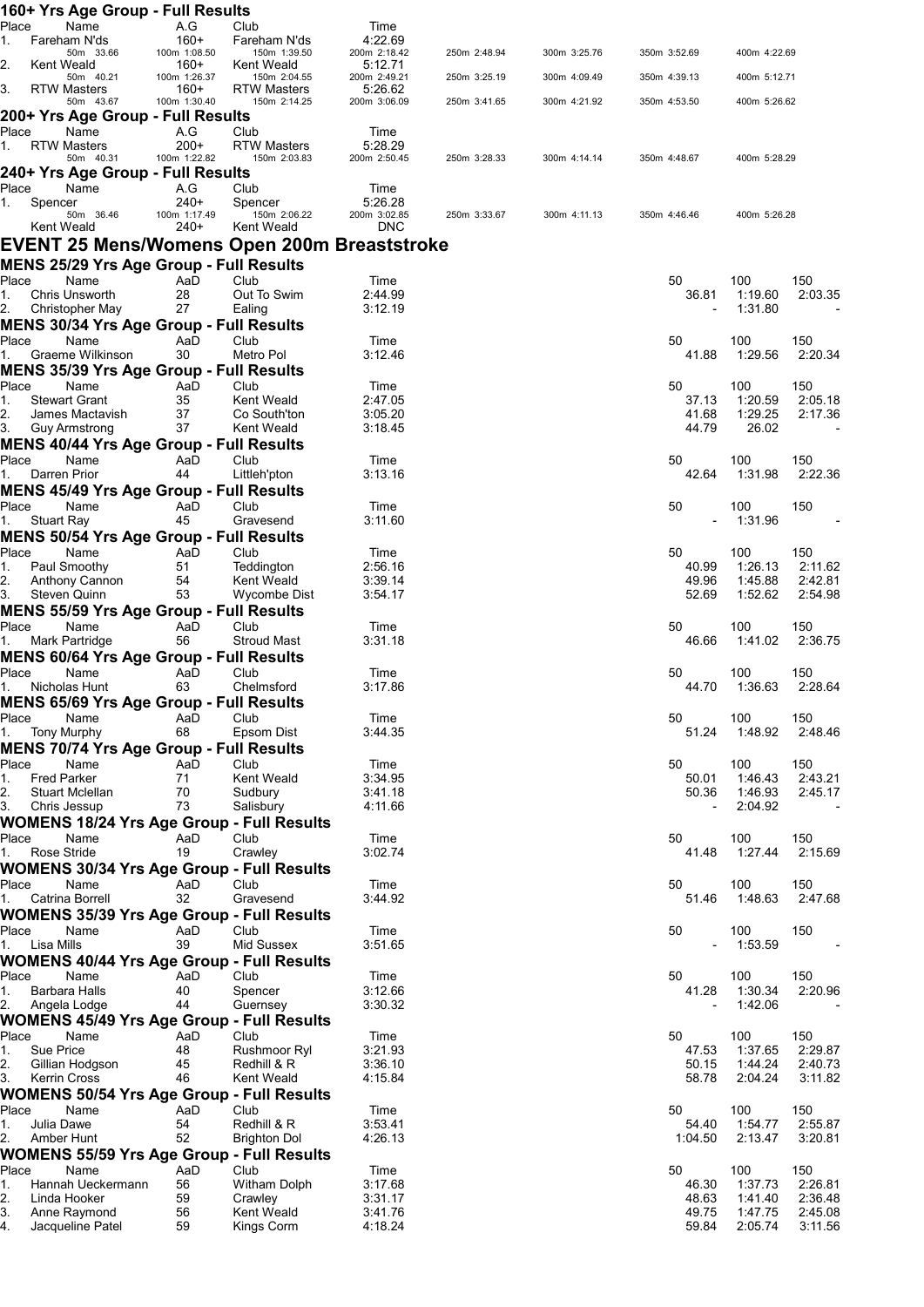| 160+ Yrs Age Group - Full Results                                         |                      |                            |                         |              |              |                          |                    |                    |
|---------------------------------------------------------------------------|----------------------|----------------------------|-------------------------|--------------|--------------|--------------------------|--------------------|--------------------|
| Place<br>Name<br>1.<br>Fareham N'ds                                       | A.G<br>160+          | Club<br>Fareham N'ds       | Time<br>4:22.69         |              |              |                          |                    |                    |
| 50m 33.66                                                                 | 100m 1:08.50         | 150m 1:39.50               | 200m 2:18.42            | 250m 2:48.94 | 300m 3:25.76 | 350m 3:52.69             | 400m 4:22.69       |                    |
| 2.<br>Kent Weald<br>50m 40.21                                             | 160+<br>100m 1:26.37 | Kent Weald<br>150m 2:04.55 | 5:12.71<br>200m 2:49.21 | 250m 3:25.19 | 300m 4:09.49 | 350m 4:39.13             | 400m 5:12.71       |                    |
| 3.<br><b>RTW Masters</b>                                                  | 160+                 | <b>RTW Masters</b>         | 5:26.62                 |              |              |                          |                    |                    |
| 50m 43.67<br>200+ Yrs Age Group - Full Results                            | 100m 1:30.40         | 150m 2:14.25               | 200m 3:06.09            | 250m 3:41.65 | 300m 4:21.92 | 350m 4:53.50             | 400m 5:26.62       |                    |
| Place<br>Name                                                             | A.G                  | Club                       | Time                    |              |              |                          |                    |                    |
| <b>RTW Masters</b><br>1.                                                  | $200+$               | <b>RTW Masters</b>         | 5:28.29                 |              |              |                          |                    |                    |
| 50m 40.31<br>240+ Yrs Age Group - Full Results                            | 100m 1:22.82         | 150m 2:03.83               | 200m 2:50.45            | 250m 3:28.33 | 300m 4:14.14 | 350m 4:48.67             | 400m 5:28.29       |                    |
| Place<br>Name                                                             | A.G                  | Club                       | Time                    |              |              |                          |                    |                    |
| 1.<br>Spencer<br>50m 36.46                                                | 240+<br>100m 1:17.49 | Spencer<br>150m 2:06.22    | 5:26.28<br>200m 3:02.85 |              |              | 350m 4:46.46             | 400m 5:26.28       |                    |
| Kent Weald                                                                | 240+                 | Kent Weald                 | <b>DNC</b>              | 250m 3:33.67 | 300m 4:11.13 |                          |                    |                    |
| EVENT 25 Mens/Womens Open 200m Breaststroke                               |                      |                            |                         |              |              |                          |                    |                    |
| <b>MENS 25/29 Yrs Age Group - Full Results</b>                            |                      |                            |                         |              |              |                          |                    |                    |
| Name<br>Place                                                             | AaD                  | Club                       | Time                    |              |              | 50                       | 100                | 150                |
| Chris Unsworth<br>1.<br>2.<br>Christopher May                             | 28<br>27             | Out To Swim<br>Ealing      | 2:44.99<br>3:12.19      |              |              | 36.81                    | 1:19.60<br>1:31.80 | 2:03.35            |
| <b>MENS 30/34 Yrs Age Group - Full Results</b>                            |                      |                            |                         |              |              |                          |                    |                    |
| Place<br>Name                                                             | AaD                  | Club                       | Time                    |              |              | 50                       | 100                | 150                |
| Graeme Wilkinson<br>1.                                                    | 30                   | Metro Pol                  | 3:12.46                 |              |              | 41.88                    | 1:29.56            | 2:20.34            |
| <b>MENS 35/39 Yrs Age Group - Full Results</b>                            |                      |                            |                         |              |              |                          |                    |                    |
| Place<br>Name<br><b>Stewart Grant</b><br>1.                               | AaD<br>35            | Club<br>Kent Weald         | Time<br>2:47.05         |              |              | 50<br>37.13              | 100<br>1:20.59     | 150<br>2:05.18     |
| 2.<br>James Mactavish                                                     | 37                   | Co South'ton               | 3:05.20                 |              |              | 41.68                    | 1:29.25            | 2:17.36            |
| 3.<br><b>Guy Armstrong</b>                                                | 37                   | Kent Weald                 | 3:18.45                 |              |              | 44.79                    | 26.02              |                    |
| <b>MENS 40/44 Yrs Age Group - Full Results</b><br>Place<br>Name           | AaD                  | Club                       | Time                    |              |              | 50                       | 100                | 150                |
| Darren Prior<br>1.                                                        | 44                   | Littleh'pton               | 3:13.16                 |              |              | 42.64                    | 1:31.98            | 2:22.36            |
| <b>MENS 45/49 Yrs Age Group - Full Results</b>                            |                      |                            |                         |              |              |                          |                    |                    |
| Place<br>Name                                                             | AaD                  | Club                       | Time                    |              |              | 50                       | 100                | 150                |
| 1.<br><b>Stuart Ray</b><br><b>MENS 50/54 Yrs Age Group - Full Results</b> | 45                   | Gravesend                  | 3:11.60                 |              |              |                          | 1:31.96            |                    |
| Place<br>Name                                                             | AaD                  | Club                       | Time                    |              |              | 50                       | 100                | 150                |
| 1.<br>Paul Smoothy                                                        | 51                   | Teddington                 | 2:56.16                 |              |              | 40.99                    | 1:26.13            | 2:11.62            |
| 2.<br>Anthony Cannon<br>3.<br>Steven Quinn                                | 54<br>53             | Kent Weald<br>Wycombe Dist | 3:39.14<br>3:54.17      |              |              | 49.96<br>52.69           | 1:45.88<br>1:52.62 | 2:42.81<br>2:54.98 |
| <b>MENS 55/59 Yrs Age Group - Full Results</b>                            |                      |                            |                         |              |              |                          |                    |                    |
| Place<br>Name                                                             | AaD                  | Club                       | Time                    |              |              | 50                       | 100                | 150                |
| Mark Partridge<br>1.                                                      | 56                   | <b>Stroud Mast</b>         | 3:31.18                 |              |              | 46.66                    | 1:41.02            | 2:36.75            |
| <b>MENS 60/64 Yrs Age Group - Full Results</b>                            |                      |                            |                         |              |              |                          |                    |                    |
| Place<br>Name<br>Nicholas Hunt<br>1.                                      | AaD<br>63            | Club<br>Chelmsford         | Time<br>3:17.86         |              |              | 50<br>44.70              | 100<br>1:36.63     | 150<br>2:28.64     |
| <b>MENS 65/69 Yrs Age Group - Full Results</b>                            |                      |                            |                         |              |              |                          |                    |                    |
| Place<br>Name                                                             | AaD                  | Club                       | Time                    |              |              | 50                       | 100                | 150                |
| 1.<br><b>Tony Murphy</b>                                                  | 68                   | Epsom Dist                 | 3:44.35                 |              |              | 51.24                    | 1:48.92            | 2:48.46            |
| <b>MENS 70/74 Yrs Age Group - Full Results</b><br>Place<br>Name           | AaD                  | Club                       | Time                    |              |              | 50                       | 100                | 150                |
| <b>Fred Parker</b><br>1.                                                  | 71                   | Kent Weald                 | 3:34.95                 |              |              | 50.01                    | 1:46.43            | 2:43.21            |
| 2.<br>Stuart Mclellan                                                     | 70                   | Sudbury                    | 3:41.18                 |              |              | 50.36                    | 1:46.93            | 2:45.17            |
| 3.<br>Chris Jessup<br><b>WOMENS 18/24 Yrs Age Group - Full Results</b>    | 73                   | Salisbury                  | 4:11.66                 |              |              | $\overline{\phantom{a}}$ | 2:04.92            |                    |
| Place<br>Name                                                             | AaD                  | Club                       | Time                    |              |              | 50                       | 100                | 150                |
| Rose Stride<br>1.                                                         | 19                   | Crawley                    | 3:02.74                 |              |              | 41.48                    | 1:27.44            | 2:15.69            |
| <b>WOMENS 30/34 Yrs Age Group - Full Results</b>                          |                      |                            |                         |              |              |                          |                    |                    |
| Place<br>Name<br>Catrina Borrell<br>1.                                    | AaD<br>32            | Club<br>Gravesend          | Time<br>3:44.92         |              |              | 50<br>51.46              | 100<br>1:48.63     | 150<br>2:47.68     |
| <b>WOMENS 35/39 Yrs Age Group - Full Results</b>                          |                      |                            |                         |              |              |                          |                    |                    |
| Place<br>Name                                                             | AaD                  | Club                       | Time                    |              |              | 50                       | 100                | 150                |
| Lisa Mills<br>1.                                                          | 39                   | Mid Sussex                 | 3:51.65                 |              |              |                          | 1:53.59            |                    |
| <b>WOMENS 40/44 Yrs Age Group - Full Results</b><br>Place<br>Name         | AaD                  | Club                       | Time                    |              |              | 50                       | 100                | 150                |
| Barbara Halls<br>1.                                                       | 40                   | Spencer                    | 3:12.66                 |              |              | 41.28                    | 1:30.34            | 2:20.96            |
| 2.<br>Angela Lodge                                                        | 44                   | Guernsey                   | 3:30.32                 |              |              |                          | 1:42.06            |                    |
| <b>WOMENS 45/49 Yrs Age Group - Full Results</b>                          |                      |                            |                         |              |              |                          |                    |                    |
| Place<br>Name<br>Sue Price<br>1.                                          | AaD<br>48            | Club<br>Rushmoor Ryl       | Time<br>3:21.93         |              |              | 50<br>47.53              | 100<br>1:37.65     | 150<br>2:29.87     |
| 2.<br>Gillian Hodgson                                                     | 45                   | Redhill & R                | 3:36.10                 |              |              | 50.15                    | 1:44.24            | 2:40.73            |
| 3.<br><b>Kerrin Cross</b>                                                 | 46                   | Kent Weald                 | 4:15.84                 |              |              | 58.78                    | 2:04.24            | 3:11.82            |
| <b>WOMENS 50/54 Yrs Age Group - Full Results</b>                          |                      |                            |                         |              |              |                          |                    |                    |
| Name<br>Place<br>Julia Dawe<br>1.                                         | AaD<br>54            | Club<br>Redhill & R        | Time<br>3:53.41         |              |              | 50<br>54.40              | 100<br>1:54.77     | 150<br>2:55.87     |
| 2.<br>Amber Hunt                                                          | 52                   | <b>Brighton Dol</b>        | 4:26.13                 |              |              | 1:04.50                  | 2:13.47            | 3:20.81            |
| <b>WOMENS 55/59 Yrs Age Group - Full Results</b>                          |                      |                            |                         |              |              |                          |                    |                    |
| Place<br>Name<br>Hannah Ueckermann<br>1.                                  | AaD<br>56            | Club<br>Witham Dolph       | Time<br>3:17.68         |              |              | 50<br>46.30              | 100<br>1:37.73     | 150<br>2:26.81     |
| 2.<br>Linda Hooker                                                        | 59                   | Crawley                    | 3:31.17                 |              |              | 48.63                    | 1:41.40            | 2:36.48            |
| 3.<br>Anne Raymond                                                        | 56                   | Kent Weald                 | 3:41.76                 |              |              | 49.75                    | 1:47.75            | 2:45.08            |
| 4.<br>Jacqueline Patel                                                    | 59                   | Kings Corm                 | 4:18.24                 |              |              | 59.84                    | 2:05.74            | 3:11.56            |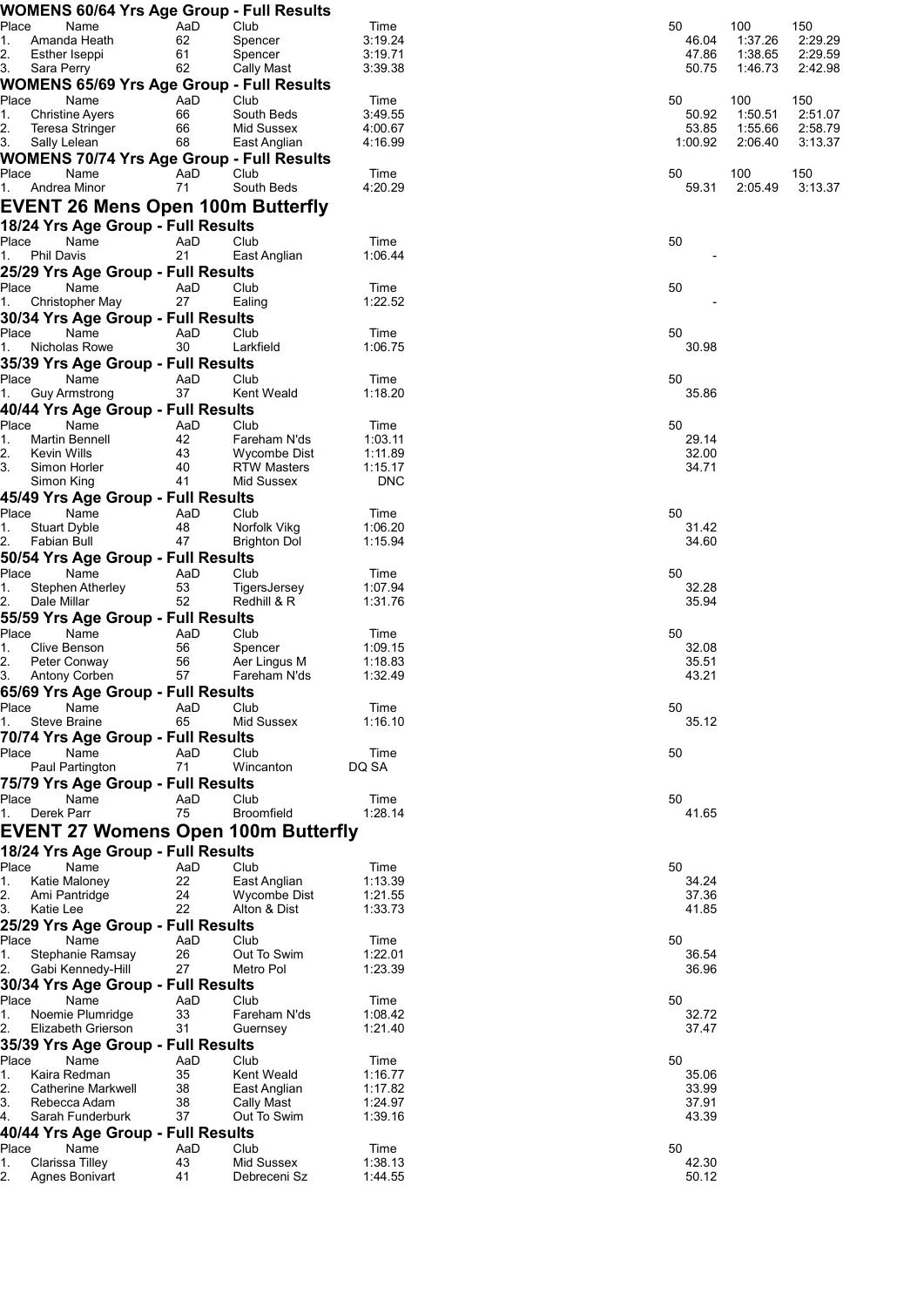| Place<br>Name                                       |                                    | AaD       | WOMENS 60/64 Yrs Age Group - Full Results<br>Club |                    |    |                |                | 150            |
|-----------------------------------------------------|------------------------------------|-----------|---------------------------------------------------|--------------------|----|----------------|----------------|----------------|
| 1.<br>Amanda Heath                                  |                                    | 62        | Spencer                                           | Time<br>3:19.24    | 50 | 46.04          | 100<br>1:37.26 | 2:29.29        |
| 2.<br>Esther Iseppi                                 |                                    | 61        | Spencer                                           | 3:19.71            |    | 47.86          | 1:38.65        | 2:29.59        |
| 3.<br>Sara Perry                                    |                                    | 62        | Cally Mast                                        | 3:39.38            |    | 50.75          | 1:46.73        | 2:42.98        |
|                                                     |                                    |           | <b>WOMENS 65/69 Yrs Age Group - Full Results</b>  |                    |    |                |                |                |
| Place<br>Name<br>1.<br><b>Christine Ayers</b>       |                                    | AaD<br>66 | Club<br>South Beds                                | Time<br>3:49.55    | 50 | 50.92          | 100<br>1:50.51 | 150<br>2:51.07 |
| 2.<br>Teresa Stringer                               |                                    | 66        | Mid Sussex                                        | 4:00.67            |    | 53.85          | 1:55.66        | 2:58.79        |
| 3.<br>Sally Lelean                                  |                                    | 68        | East Anglian                                      | 4:16.99            |    | 1:00.92        | 2:06.40        | 3:13.37        |
|                                                     |                                    |           | <b>WOMENS 70/74 Yrs Age Group - Full Results</b>  |                    |    |                |                |                |
| Name<br>Place                                       |                                    | AaD       | Club                                              | Time               | 50 |                | 100            | 150            |
| 1.<br>Andrea Minor                                  |                                    | 71        | South Beds                                        | 4:20.29            |    | 59.31          | 2:05.49        | 3:13.37        |
|                                                     |                                    |           | <b>EVENT 26 Mens Open 100m Butterfly</b>          |                    |    |                |                |                |
|                                                     | 18/24 Yrs Age Group - Full Results |           |                                                   |                    |    |                |                |                |
| Place<br>Name                                       |                                    | AaD       | Club                                              | Time               | 50 |                |                |                |
| Phil Davis<br>1.                                    |                                    | 21        | East Anglian                                      | 1:06.44            |    |                |                |                |
| Place<br>Name                                       | 25/29 Yrs Age Group - Full Results | AaD       | Club                                              | Time               | 50 |                |                |                |
| 1.<br>Christopher May                               |                                    | 27        | Ealing                                            | 1:22.52            |    |                |                |                |
|                                                     | 30/34 Yrs Age Group - Full Results |           |                                                   |                    |    |                |                |                |
| Place<br>Name                                       |                                    | AaD       | Club                                              | Time               | 50 |                |                |                |
| Nicholas Rowe<br>1.                                 |                                    | 30        | Larkfield                                         | 1:06.75            |    | 30.98          |                |                |
|                                                     | 35/39 Yrs Age Group - Full Results |           |                                                   |                    |    |                |                |                |
| Name<br>Place                                       |                                    | AaD       | Club                                              | Time               | 50 |                |                |                |
| 1.<br><b>Guy Armstrong</b>                          |                                    | 37        | Kent Weald                                        | 1:18.20            |    | 35.86          |                |                |
| 40/44 Yrs Age Group - Full Results<br>Place<br>Name |                                    | AaD       | Club                                              | Time               | 50 |                |                |                |
| 1.<br>Martin Bennell                                |                                    | 42        | Fareham N'ds                                      | 1:03.11            |    | 29.14          |                |                |
| 2.<br><b>Kevin Wills</b>                            |                                    | 43        | Wycombe Dist                                      | 1:11.89            |    | 32.00          |                |                |
| 3.<br>Simon Horler                                  |                                    | 40        | RTW Masters                                       | 1:15.17            |    | 34.71          |                |                |
| Simon King                                          |                                    | 41        | Mid Sussex                                        | <b>DNC</b>         |    |                |                |                |
| 45/49 Yrs Age Group - Full Results                  |                                    |           |                                                   |                    |    |                |                |                |
| Place<br>Name<br><b>Stuart Dyble</b><br>1.          |                                    | AaD<br>48 | Club<br>Norfolk Vikg                              | Time<br>1:06.20    | 50 | 31.42          |                |                |
| 2.<br>Fabian Bull                                   |                                    | 47        | <b>Brighton Dol</b>                               | 1:15.94            |    | 34.60          |                |                |
|                                                     | 50/54 Yrs Age Group - Full Results |           |                                                   |                    |    |                |                |                |
| Name<br>Place                                       |                                    | AaD       | Club                                              | Time               | 50 |                |                |                |
| 1.<br>Stephen Atherley                              |                                    | 53        | TigersJersey                                      | 1:07.94            |    | 32.28          |                |                |
| Dale Millar<br>2.                                   |                                    | 52        | Redhill & R                                       | 1:31.76            |    | 35.94          |                |                |
|                                                     | 55/59 Yrs Age Group - Full Results |           |                                                   |                    |    |                |                |                |
| Name<br>Place<br>Clive Benson<br>1.                 |                                    | AaD<br>56 | Club<br>Spencer                                   | Time<br>1:09.15    | 50 | 32.08          |                |                |
| 2.<br>Peter Conway                                  |                                    | 56        | Aer Lingus M                                      | 1:18.83            |    | 35.51          |                |                |
| Antony Corben<br>З.                                 |                                    | 57        | Fareham N'ds                                      | 1:32.49            |    | 43.21          |                |                |
|                                                     | 65/69 Yrs Age Group - Full Results |           |                                                   |                    |    |                |                |                |
| Place<br>Name                                       |                                    | AaD       | Club                                              | Time               | 50 |                |                |                |
| 1.<br>Steve Braine                                  |                                    | 65        | Mid Sussex                                        | 1:16.10            |    | 35.12          |                |                |
|                                                     | 70/74 Yrs Age Group - Full Results |           |                                                   |                    |    |                |                |                |
| Place<br>Name<br>Paul Partington                    |                                    | AaD<br>71 | Club<br>Wincanton                                 | Time<br>DQ SA      | 50 |                |                |                |
|                                                     | 75/79 Yrs Age Group - Full Results |           |                                                   |                    |    |                |                |                |
| Place<br>Name                                       |                                    | AaD       | Club                                              | Time               | 50 |                |                |                |
| Derek Parr<br>1.                                    |                                    | 75        | <b>Broomfield</b>                                 | 1:28.14            |    | 41.65          |                |                |
|                                                     |                                    |           | <b>EVENT 27 Womens Open 100m Butterfly</b>        |                    |    |                |                |                |
|                                                     | 18/24 Yrs Age Group - Full Results |           |                                                   |                    |    |                |                |                |
| Place<br>Name                                       |                                    | AaD       | Club                                              | Time               | 50 |                |                |                |
| Katie Maloney<br>1.                                 |                                    | 22        | East Anglian                                      | 1:13.39            |    | 34.24          |                |                |
| 2.<br>Ami Pantridge                                 |                                    | 24        | Wycombe Dist                                      | 1:21.55            |    | 37.36          |                |                |
| 3.<br>Katie Lee                                     |                                    | 22        | Alton & Dist                                      | 1:33.73            |    | 41.85          |                |                |
|                                                     | 25/29 Yrs Age Group - Full Results |           |                                                   |                    |    |                |                |                |
| Place<br>Name<br>Stephanie Ramsay<br>1.             |                                    | AaD<br>26 | Club<br>Out To Swim                               | Time<br>1:22.01    | 50 | 36.54          |                |                |
| 2.<br>Gabi Kennedy-Hill                             |                                    | 27        | Metro Pol                                         | 1:23.39            |    | 36.96          |                |                |
|                                                     | 30/34 Yrs Age Group - Full Results |           |                                                   |                    |    |                |                |                |
| Place<br>Name                                       |                                    | AaD       | Club                                              | Time               | 50 |                |                |                |
| 1.<br>Noemie Plumridge                              |                                    | 33        | Fareham N'ds                                      | 1:08.42            |    | 32.72          |                |                |
| 2.<br>Elizabeth Grierson                            |                                    | 31        | Guernsey                                          | 1:21.40            |    | 37.47          |                |                |
|                                                     | 35/39 Yrs Age Group - Full Results |           |                                                   |                    |    |                |                |                |
| Place<br>Name<br>1.<br>Kaira Redman                 |                                    | AaD<br>35 | Club<br>Kent Weald                                | Time<br>1:16.77    | 50 | 35.06          |                |                |
| $\mathbf{2}$ .<br>Catherine Markwell                |                                    | 38        | East Anglian                                      | 1:17.82            |    | 33.99          |                |                |
| 3.<br>Rebecca Adam                                  |                                    | 38        | Cally Mast                                        | 1:24.97            |    | 37.91          |                |                |
| 4.<br>Sarah Funderburk                              |                                    | 37        | Out To Swim                                       | 1:39.16            |    | 43.39          |                |                |
|                                                     | 40/44 Yrs Age Group - Full Results |           |                                                   |                    |    |                |                |                |
| Place<br>Name                                       |                                    | AaD       | Club                                              | Time               | 50 |                |                |                |
| 1.<br>Clarissa Tilley<br>2.<br>Agnes Bonivart       |                                    | 43<br>41  | Mid Sussex<br>Debreceni Sz                        | 1:38.13<br>1:44.55 |    | 42.30<br>50.12 |                |                |
|                                                     |                                    |           |                                                   |                    |    |                |                |                |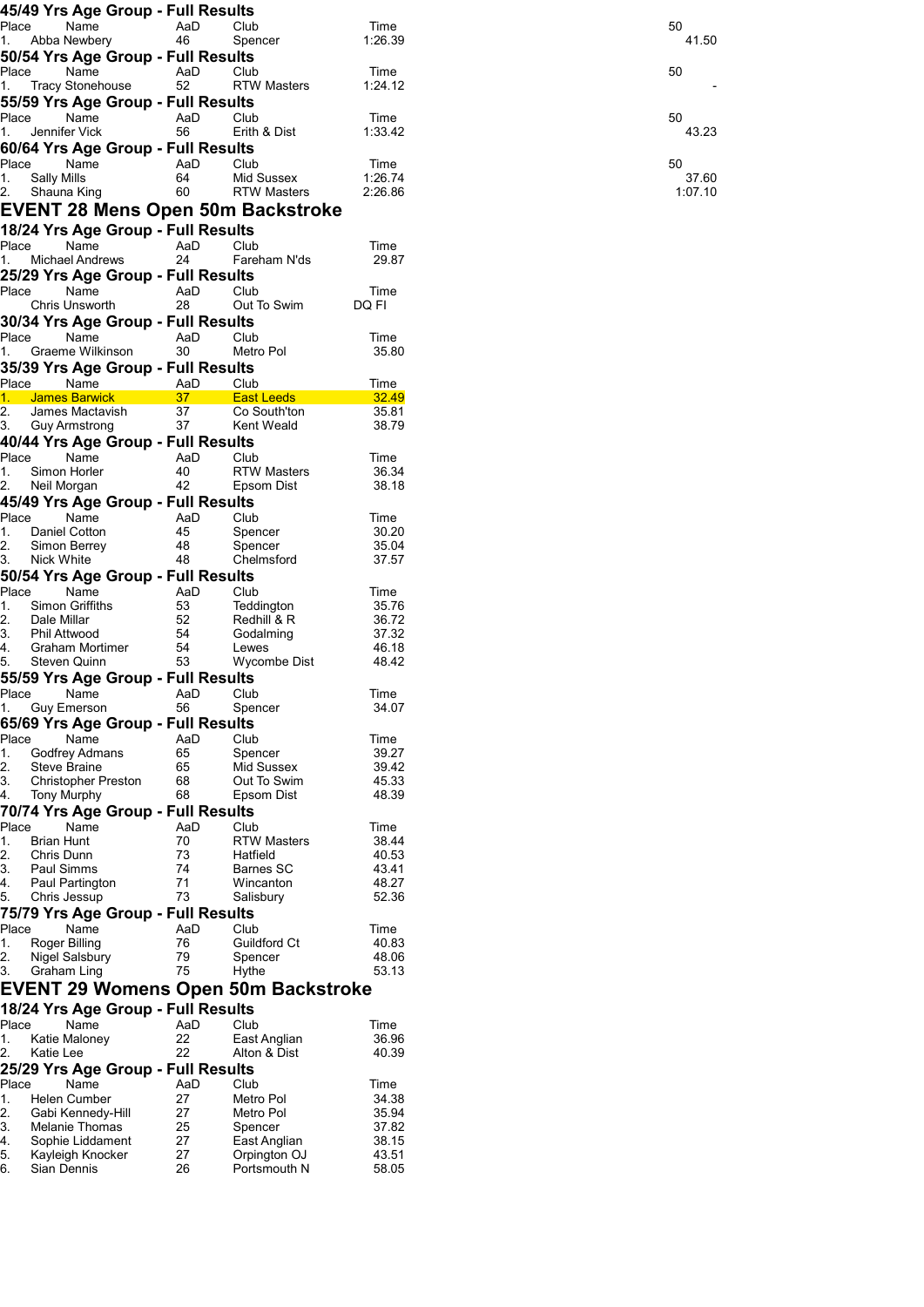|          | 45/49 Yrs Age Group - Full Results         |           |                                  |                    |
|----------|--------------------------------------------|-----------|----------------------------------|--------------------|
| Place    | Name                                       | AaD       | Club                             | Time               |
| 1.       | Abba Newbery                               | 46        | Spencer                          | 1:26.39            |
|          | 50/54 Yrs Age Group - Full Results         |           |                                  |                    |
| Place    | Name                                       | AaD       | Club                             | Time               |
| 1.       | <b>Tracy Stonehouse</b>                    | 52        | <b>RTW Masters</b>               | 1:24.12            |
|          | 55/59 Yrs Age Group - Full Results         |           |                                  |                    |
| Place    | Name                                       | AaD       | Club                             | Time               |
| 1.       | Jennifer Vick                              | 56        | Erith & Dist                     | 1:33.42            |
|          | 60/64 Yrs Age Group - Full Results         |           |                                  |                    |
| Place    | Name<br>Sally Mills                        | AaD<br>64 | Club                             | Time               |
| 1.<br>2. | Shauna King                                | 60        | Mid Sussex<br><b>RTW Masters</b> | 1:26.74<br>2:26.86 |
|          |                                            |           |                                  |                    |
|          | <b>EVENT 28 Mens Open 50m Backstroke</b>   |           |                                  |                    |
|          | 18/24 Yrs Age Group - Full Results         |           |                                  |                    |
| Place    | Name                                       | AaD       | Club                             | Time               |
| 1.       | Michael Andrews                            | 24        | Fareham N'ds                     | 29.87              |
|          | 25/29 Yrs Age Group - Full Results         |           |                                  |                    |
| Place    | Name                                       | AaD       | Club                             | Time               |
|          | Chris Unsworth                             | 28        | Out To Swim                      | DQ FI              |
|          | 30/34 Yrs Age Group - Full Results         |           |                                  |                    |
| Place    | Name                                       | AaD       | Club                             | Time               |
| 1.       | Graeme Wilkinson                           | 30        | Metro Pol                        | 35.80              |
|          | 35/39 Yrs Age Group - Full Results         |           |                                  |                    |
| Place    | Name                                       | AaD       | Club                             | Time               |
| 1.       | James Barwick                              | 37        | <b>East Leeds</b>                | 32.49              |
| 2.       | James Mactavish                            | 37        | Co South'ton                     | 35.81              |
| 3.       | <b>Guy Armstrong</b>                       | 37        | Kent Weald                       | 38.79              |
|          | 40/44 Yrs Age Group - Full Results         |           |                                  |                    |
| Place    | Name                                       | AaD       | Club                             | Time               |
| 1.       | Simon Horler                               | 40        | <b>RTW Masters</b>               | 36.34              |
| 2.       | Neil Morgan                                | 42        | Epsom Dist                       | 38.18              |
|          | 45/49 Yrs Age Group - Full Results         |           |                                  |                    |
| Place    | Name                                       | AaD       | Club                             | Time               |
| 1.       | Daniel Cotton                              | 45        | Spencer                          | 30.20              |
| 2.       | Simon Berrey                               | 48        | Spencer                          | 35.04              |
| 3.       | Nick White                                 | 48        | Chelmsford                       | 37.57              |
|          | 50/54 Yrs Age Group - Full Results         |           |                                  |                    |
| Place    | Name                                       | AaD       | Club                             | Time               |
| 1.       | Simon Griffiths                            | 53        | Teddington                       | 35.76              |
| 2.       | Dale Millar                                | 52        | Redhill & R                      | 36.72              |
| 3.       | Phil Attwood                               | 54        | Godalming                        | 37.32              |
| 4.       | Graham Mortimer                            | 54        | Lewes                            | 46.18              |
| 5.       | Steven Quinn                               | 53        | Wycombe Dist                     | 48.42              |
|          | 55/59 Yrs Age Group - Full Results         |           |                                  |                    |
| Place    | Name                                       | AaD       | Club                             | Time               |
| 1.       | Guy Emerson                                | 56        | Spencer                          | 34.07              |
|          |                                            |           |                                  |                    |
|          | 65/69 Yrs Age Group - Full Results         |           |                                  |                    |
| Place    | Name                                       | AaD       | Club                             | Time<br>39.27      |
| 1.<br>2. | Godfrey Admans<br>Steve Braine             | 65<br>65  | Spencer<br>Mid Sussex            | 39.42              |
| 3.       | <b>Christopher Preston</b>                 | 68        | Out To Swim                      | 45.33              |
| 4.       | <b>Tony Murphy</b>                         | 68        |                                  | 48.39              |
|          |                                            |           | Epsom Dist                       |                    |
|          | 70/74 Yrs Age Group - Full Results         |           |                                  |                    |
| Place    | Name                                       | AaD       | Club                             | Time               |
| 1.       | <b>Brian Hunt</b>                          | 70        | <b>RTW Masters</b>               | 38.44              |
| 2.       | Chris Dunn                                 | 73        | Hatfield                         | 40.53              |
| 3.       | Paul Simms                                 | 74        | <b>Barnes SC</b>                 | 43.41              |
| 4.       | Paul Partington                            | 71        | Wincanton                        | 48.27              |
| 5.       | Chris Jessup                               | 73        | Salisbury                        | 52.36              |
|          | 75/79 Yrs Age Group - Full Results         |           |                                  |                    |
| Place    | Name                                       | AaD       | Club                             | Time               |
| 1.       | Roger Billing                              | 76        | Guildford Ct                     | 40.83              |
| 2.       | Nigel Salsbury                             | 79        | Spencer                          | 48.06              |
| 3.       | Graham Ling                                | 75        | Hythe                            | 53.13              |
|          | <b>EVENT 29 Womens Open 50m Backstroke</b> |           |                                  |                    |
|          | 18/24 Yrs Age Group - Full Results         |           |                                  |                    |
|          |                                            |           |                                  |                    |
| Place    | Name                                       | AaD       | Club                             | Time               |
| 1.       | Katie Maloney                              | 22        | East Anglian                     | 36.96              |
| 2.       | Katie Lee                                  | 22        | Alton & Dist                     | 40.39              |
|          | 25/29 Yrs Age Group - Full Results         |           |                                  |                    |
|          | Name                                       | AaD       | Club                             | Time               |
| Place    |                                            |           | Metro Pol                        | 34.38              |
| 1.       | Helen Cumber                               | 27        |                                  |                    |
| 2.       | Gabi Kennedy-Hill                          | 27        | Metro Pol                        | 35.94              |
| 3.       | <b>Melanie Thomas</b>                      | 25        | Spencer                          | 37.82              |
| 4.       | Sophie Liddament                           | 27        | East Anglian                     | 38.15              |
| 5.<br>6. | Kayleigh Knocker<br>Sian Dennis            | 27<br>26  | Orpington OJ<br>Portsmouth N     | 43.51<br>58.05     |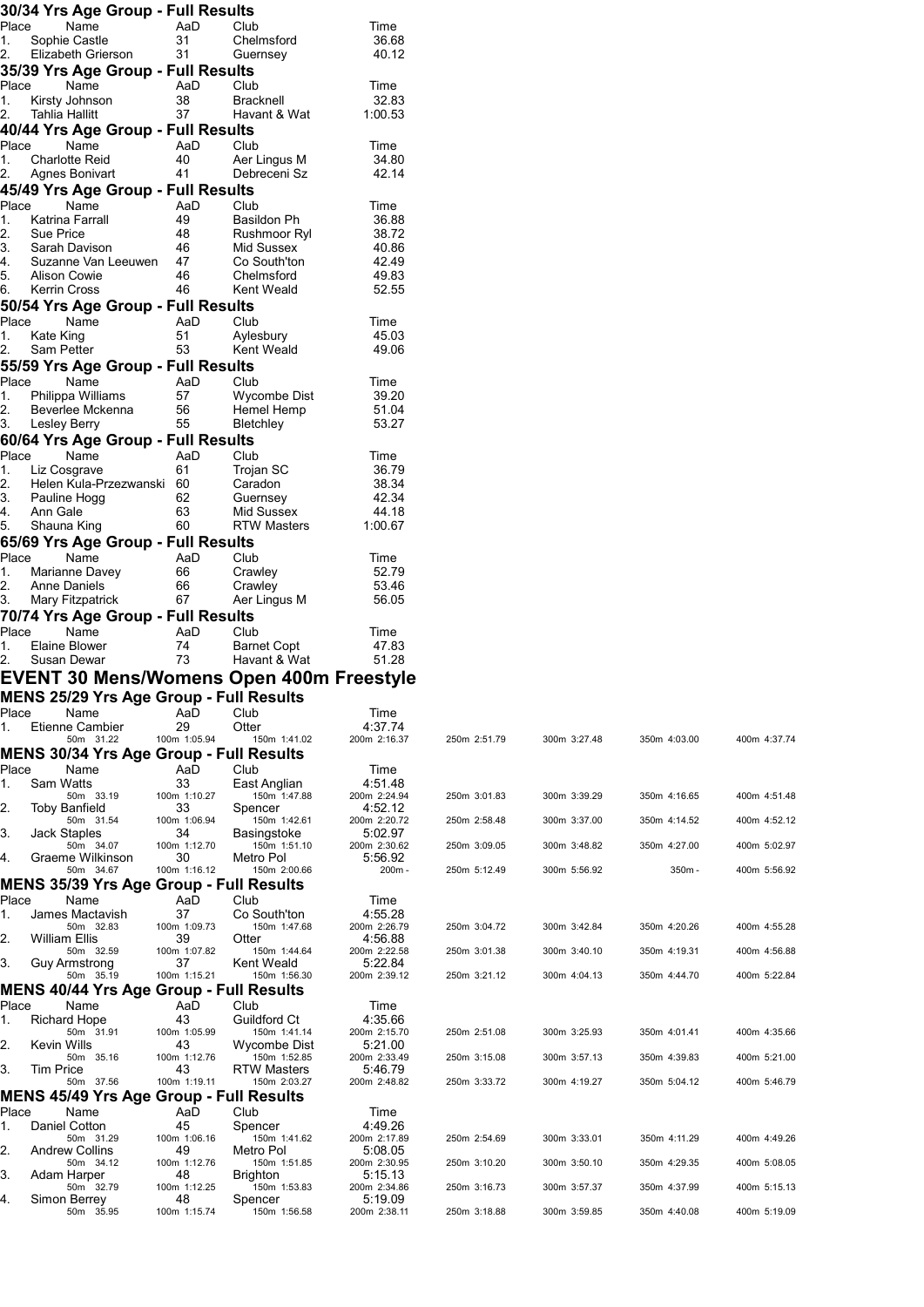|             |                       |                             | 30/34 Yrs Age Group - Full Results        |                                                                |                         |              |              |              |              |
|-------------|-----------------------|-----------------------------|-------------------------------------------|----------------------------------------------------------------|-------------------------|--------------|--------------|--------------|--------------|
| Place       |                       | Name                        | AaD                                       | Club                                                           | Time                    |              |              |              |              |
| 1.          |                       | Sophie Castle               | 31                                        | Chelmsford                                                     | 36.68                   |              |              |              |              |
| 2.          |                       | Elizabeth Grierson          | 31                                        | Guernsey                                                       | 40.12                   |              |              |              |              |
|             |                       |                             | 35/39 Yrs Age Group - Full Results        |                                                                |                         |              |              |              |              |
| Place       |                       | Name                        | AaD                                       | Club                                                           | Time                    |              |              |              |              |
| 1.          |                       | Kirsty Johnson              | 38                                        | <b>Bracknell</b>                                               | 32.83                   |              |              |              |              |
| 2.          | <b>Tahlia Hallitt</b> |                             | 37                                        | Havant & Wat                                                   | 1:00.53                 |              |              |              |              |
|             |                       |                             | 40/44 Yrs Age Group - Full Results        |                                                                |                         |              |              |              |              |
| Place       |                       | Name                        | AaD                                       | Club                                                           | Time                    |              |              |              |              |
| 1.<br>2.    |                       | <b>Charlotte Reid</b>       | 40                                        | Aer Lingus M<br>Debreceni Sz                                   | 34.80<br>42.14          |              |              |              |              |
|             |                       | Agnes Bonivart              | 41                                        |                                                                |                         |              |              |              |              |
| Place       |                       | Name                        | 45/49 Yrs Age Group - Full Results<br>AaD | Club                                                           | Time                    |              |              |              |              |
| 1.          | Katrina Farrall       |                             | 49                                        | Basildon Ph                                                    | 36.88                   |              |              |              |              |
| 2.          | Sue Price             |                             | 48                                        | Rushmoor Ryl                                                   | 38.72                   |              |              |              |              |
| 3.          |                       | Sarah Davison               | 46                                        | Mid Sussex                                                     | 40.86                   |              |              |              |              |
| 4.          |                       | Suzanne Van Leeuwen         | 47                                        | Co South'ton                                                   | 42.49                   |              |              |              |              |
| 5.          | Alison Cowie          |                             | 46                                        | Chelmsford                                                     | 49.83                   |              |              |              |              |
| 6.          | Kerrin Cross          |                             | 46                                        | Kent Weald                                                     | 52.55                   |              |              |              |              |
| Place       |                       | Name                        | 50/54 Yrs Age Group - Full Results<br>AaD | Club                                                           | Time                    |              |              |              |              |
| 1.          | Kate King             |                             | 51                                        | Aylesbury                                                      | 45.03                   |              |              |              |              |
| 2.          | Sam Petter            |                             | 53                                        | Kent Weald                                                     | 49.06                   |              |              |              |              |
|             |                       |                             | 55/59 Yrs Age Group - Full Results        |                                                                |                         |              |              |              |              |
| Place       |                       | Name                        | AaD                                       | Club                                                           | Time                    |              |              |              |              |
| 1.          |                       | Philippa Williams           | 57                                        | Wycombe Dist                                                   | 39.20                   |              |              |              |              |
| 2.          |                       | Beverlee Mckenna            | 56                                        | Hemel Hemp                                                     | 51.04                   |              |              |              |              |
| 3.          | Lesley Berry          |                             | 55                                        | <b>Bletchley</b>                                               | 53.27                   |              |              |              |              |
|             |                       |                             | 60/64 Yrs Age Group - Full Results        |                                                                |                         |              |              |              |              |
| Place<br>1. | Liz Cosgrave          | Name                        | AaD<br>61                                 | Club<br>Trojan SC                                              | Time<br>36.79           |              |              |              |              |
| 2.          |                       | Helen Kula-Przezwanski 60   |                                           | Caradon                                                        | 38.34                   |              |              |              |              |
| 3.          | Pauline Hogg          |                             | 62                                        | Guernsey                                                       | 42.34                   |              |              |              |              |
| 4.          | Ann Gale              |                             | 63                                        | Mid Sussex                                                     | 44.18                   |              |              |              |              |
| 5.          | Shauna King           |                             | 60                                        | <b>RTW Masters</b>                                             | 1:00.67                 |              |              |              |              |
|             |                       |                             | 65/69 Yrs Age Group - Full Results        |                                                                |                         |              |              |              |              |
| Place       |                       | Name                        | AaD                                       | Club                                                           | Time                    |              |              |              |              |
| 1.<br>2.    | <b>Anne Daniels</b>   | Marianne Davey              | 66                                        | Crawley                                                        | 52.79<br>53.46          |              |              |              |              |
| 3.          |                       | Mary Fitzpatrick            | 66<br>67                                  | Crawley<br>Aer Lingus M                                        | 56.05                   |              |              |              |              |
|             |                       |                             | 70/74 Yrs Age Group - Full Results        |                                                                |                         |              |              |              |              |
| Place       |                       | Name                        | AaD                                       | Club                                                           | Time                    |              |              |              |              |
| 1.          | Elaine Blower         |                             | 74                                        | <b>Barnet Copt</b>                                             | 47.83                   |              |              |              |              |
| 2.          | Susan Dewar           |                             | 73                                        | Havant & Wat                                                   | 51.28                   |              |              |              |              |
|             |                       |                             |                                           | EVENT 30 Mens/Womens Open 400m Freestyle                       |                         |              |              |              |              |
|             |                       |                             |                                           | MENS 25/29 Yrs Age Group - Full Results                        |                         |              |              |              |              |
| Place       |                       | Name                        | AaD                                       | Club                                                           | Time                    |              |              |              |              |
| 1.          |                       | Etienne Cambier             | 29                                        | Otter                                                          | 4:37.74                 |              |              |              |              |
|             |                       | 50m 31.22                   | 100m 1:05.94                              | 150m 1:41.02                                                   | 200m 2:16.37            | 250m 2:51.79 | 300m 3:27.48 | 350m 4:03.00 | 400m 4:37.74 |
|             |                       |                             |                                           | <b>MENS 30/34 Yrs Age Group - Full Results</b>                 |                         |              |              |              |              |
| Place<br>1. | Sam Watts             | Name                        | AaD<br>33                                 | Club<br>East Anglian                                           | Time<br>4:51.48         |              |              |              |              |
|             |                       | 50m 33.19                   | 100m 1:10.27                              | 150m 1:47.88                                                   | 200m 2:24.94            | 250m 3:01.83 | 300m 3:39.29 | 350m 4:16.65 | 400m 4:51.48 |
| 2.          | <b>Toby Banfield</b>  |                             | 33                                        | Spencer                                                        | 4:52.12                 |              |              |              |              |
| 3.          | Jack Staples          | 50m 31.54                   | 100m 1:06.94<br>34                        | 150m 1:42.61<br>Basingstoke                                    | 200m 2:20.72<br>5:02.97 | 250m 2:58.48 | 300m 3:37.00 | 350m 4:14.52 | 400m 4:52.12 |
|             |                       | 50m 34.07                   | 100m 1:12.70                              | 150m 1:51.10                                                   | 200m 2:30.62            | 250m 3:09.05 | 300m 3:48.82 | 350m 4:27.00 | 400m 5:02.97 |
| 4.          |                       | Graeme Wilkinson            | 30                                        | Metro Pol                                                      | 5:56.92                 |              |              |              |              |
|             |                       | 50m 34.67                   | 100m 1:16.12                              | 150m 2:00.66<br><b>MENS 35/39 Yrs Age Group - Full Results</b> | 200m-                   | 250m 5:12.49 | 300m 5:56.92 | 350m -       | 400m 5:56.92 |
| Place       |                       | Name                        | AaD                                       | Club                                                           | Time                    |              |              |              |              |
| 1.          |                       | James Mactavish             | 37                                        | Co South'ton                                                   | 4:55.28                 |              |              |              |              |
|             |                       | 50m 32.83                   | 100m 1:09.73                              | 150m 1:47.68                                                   | 200m 2:26.79            | 250m 3:04.72 | 300m 3:42.84 | 350m 4:20.26 | 400m 4:55.28 |
| 2.          | <b>William Ellis</b>  |                             | 39                                        | Otter                                                          | 4:56.88                 |              |              |              |              |
| 3.          |                       | 50m 32.59<br>Guy Armstrong  | 100m 1:07.82<br>37                        | 150m 1:44.64<br>Kent Weald                                     | 200m 2:22.58<br>5:22.84 | 250m 3:01.38 | 300m 3:40.10 | 350m 4:19.31 | 400m 4:56.88 |
|             |                       | 50m 35.19                   | 100m 1:15.21                              | 150m 1:56.30                                                   | 200m 2:39.12            | 250m 3:21.12 | 300m 4:04.13 | 350m 4:44.70 | 400m 5:22.84 |
|             |                       |                             |                                           | MENS 40/44 Yrs Age Group - Full Results                        |                         |              |              |              |              |
| Place       |                       | Name                        | AaD                                       | Club                                                           | Time                    |              |              |              |              |
| 1.          | Richard Hope          | 50m 31.91                   | 43<br>100m 1:05.99                        | Guildford Ct<br>150m 1:41.14                                   | 4:35.66<br>200m 2:15.70 | 250m 2:51.08 | 300m 3:25.93 | 350m 4:01.41 | 400m 4:35.66 |
| 2.          | Kevin Wills           |                             | 43                                        | Wycombe Dist                                                   | 5:21.00                 |              |              |              |              |
|             |                       | 50m 35.16                   | 100m 1:12.76                              | 150m 1:52.85                                                   | 200m 2:33.49            | 250m 3:15.08 | 300m 3:57.13 | 350m 4:39.83 | 400m 5:21.00 |
| 3.          | <b>Tim Price</b>      |                             | 43                                        | <b>RTW Masters</b><br>150m 2:03.27                             | 5:46.79<br>200m 2:48.82 | 250m 3:33.72 | 300m 4:19.27 | 350m 5:04.12 | 400m 5:46.79 |
|             |                       | 50m 37.56                   | 100m 1:19.11                              | <b>MENS 45/49 Yrs Age Group - Full Results</b>                 |                         |              |              |              |              |
| Place       |                       | Name                        | AaD                                       | Club                                                           | Time                    |              |              |              |              |
| 1.          | Daniel Cotton         |                             | 45                                        | Spencer                                                        | 4:49.26                 |              |              |              |              |
|             |                       | 50m 31.29                   | 100m 1:06.16                              | 150m 1:41.62                                                   | 200m 2:17.89            | 250m 2:54.69 | 300m 3:33.01 | 350m 4:11.29 | 400m 4:49.26 |
| 2.          |                       | Andrew Collins<br>50m 34.12 | 49<br>100m 1:12.76                        | Metro Pol<br>150m 1:51.85                                      | 5:08.05<br>200m 2:30.95 | 250m 3:10.20 | 300m 3:50.10 | 350m 4:29.35 | 400m 5:08.05 |
|             |                       |                             |                                           |                                                                |                         |              |              |              |              |
| 3.          | Adam Harper           |                             | 48                                        | <b>Brighton</b>                                                | 5:15.13                 |              |              |              |              |
|             |                       | 50m 32.79                   | 100m 1:12.25                              | 150m 1:53.83                                                   | 200m 2:34.86            | 250m 3:16.73 | 300m 3:57.37 | 350m 4:37.99 | 400m 5:15.13 |
| 4.          | Simon Berrey          | 50m 35.95                   | 48<br>100m 1:15.74                        | Spencer<br>150m 1:56.58                                        | 5:19.09<br>200m 2:38.11 | 250m 3:18.88 | 300m 3:59.85 | 350m 4:40.08 | 400m 5:19.09 |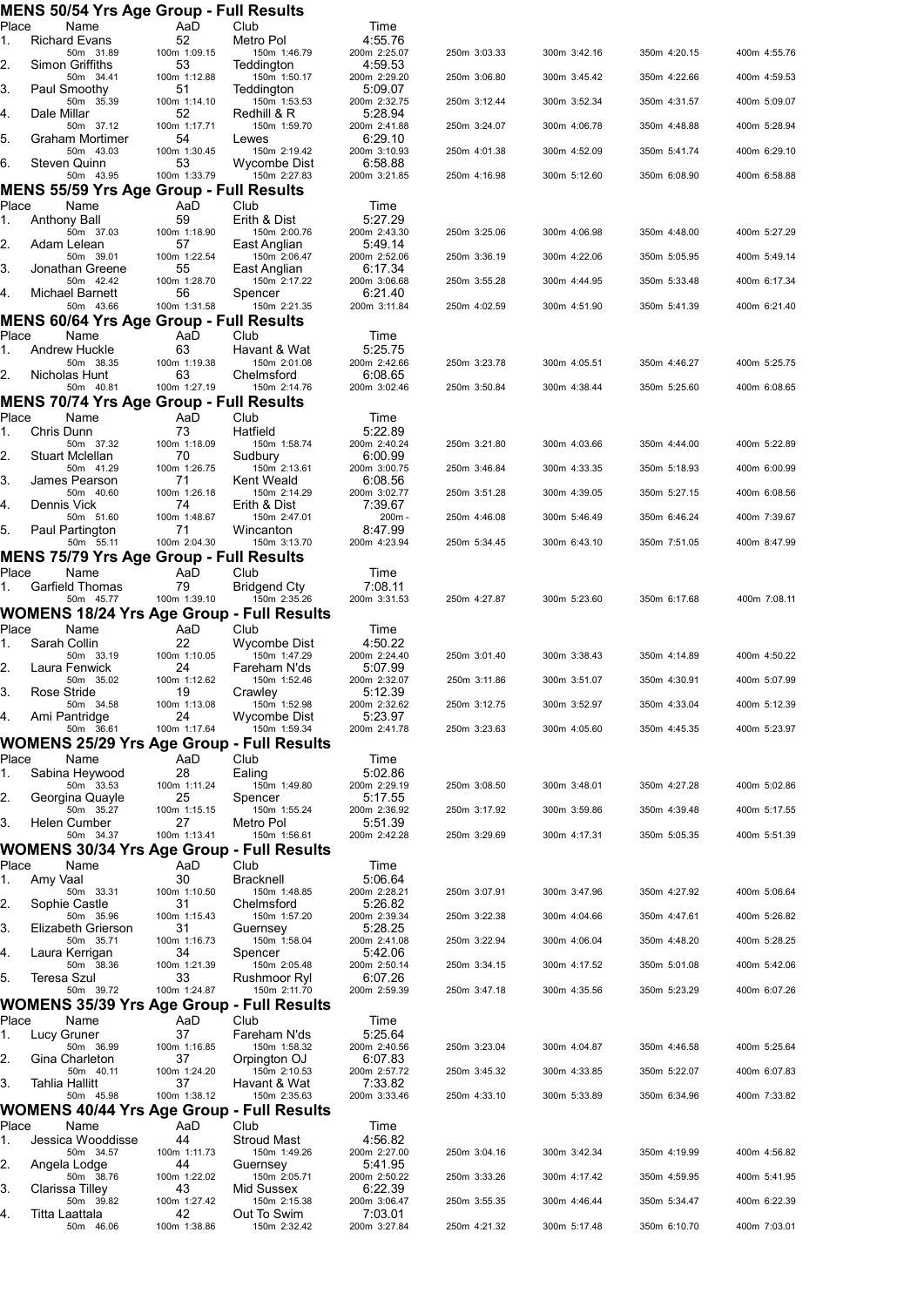|             | MENS 50/54 Yrs Age Group - Full Results                  |                    |                              |                         |              |              |              |              |
|-------------|----------------------------------------------------------|--------------------|------------------------------|-------------------------|--------------|--------------|--------------|--------------|
| Place<br>1. | Name<br><b>Richard Evans</b>                             | AaD<br>52          | Club<br>Metro Pol            | Time<br>4:55.76         |              |              |              |              |
|             | 50m 31.89                                                | 100m 1:09.15       | 150m 1:46.79                 | 200m 2:25.07            | 250m 3:03.33 | 300m 3:42.16 | 350m 4:20.15 | 400m 4:55.76 |
| 2.          | Simon Griffiths<br>50m 34.41                             | 53<br>100m 1:12.88 | Teddington<br>150m 1:50.17   | 4:59.53<br>200m 2:29.20 | 250m 3:06.80 | 300m 3:45.42 | 350m 4:22.66 | 400m 4:59.53 |
| 3.          | Paul Smoothy                                             | 51                 | Teddington                   | 5:09.07                 |              |              |              |              |
| 4.          | 50m 35.39<br>Dale Millar                                 | 100m 1:14.10<br>52 | 150m 1:53.53<br>Redhill & R  | 200m 2:32.75<br>5:28.94 | 250m 3:12.44 | 300m 3:52.34 | 350m 4:31.57 | 400m 5:09.07 |
| 5.          | 50m 37.12<br>Graham Mortimer                             | 100m 1:17.71<br>54 | 150m 1:59.70<br>Lewes        | 200m 2:41.88<br>6:29.10 | 250m 3:24.07 | 300m 4:06.78 | 350m 4:48.88 | 400m 5:28.94 |
|             | 50m 43.03                                                | 100m 1:30.45       | 150m 2:19.42                 | 200m 3:10.93            | 250m 4:01.38 | 300m 4:52.09 | 350m 5:41.74 | 400m 6:29.10 |
| 6.          | Steven Quinn<br>50m 43.95                                | 53<br>100m 1:33.79 | Wycombe Dist<br>150m 2:27.83 | 6:58.88<br>200m 3:21.85 | 250m 4:16.98 | 300m 5:12.60 | 350m 6:08.90 | 400m 6:58.88 |
|             | MENS 55/59 Yrs Age Group - Full Results                  |                    |                              |                         |              |              |              |              |
| Place       | Name                                                     | AaD                | Club                         | Time                    |              |              |              |              |
| 1.          | Anthony Ball<br>50m 37.03                                | 59<br>100m 1:18.90 | Erith & Dist<br>150m 2:00.76 | 5:27.29<br>200m 2:43.30 | 250m 3:25.06 | 300m 4:06.98 | 350m 4:48.00 | 400m 5:27.29 |
| 2.          | Adam Lelean                                              | 57<br>100m 1:22.54 | East Anglian                 | 5:49.14<br>200m 2:52.06 |              |              |              |              |
| 3.          | 50m 39.01<br>Jonathan Greene                             | 55                 | 150m 2:06.47<br>East Anglian | 6:17.34                 | 250m 3:36.19 | 300m 4:22.06 | 350m 5:05.95 | 400m 5:49.14 |
| 4.          | 50m 42.42<br>Michael Barnett                             | 100m 1:28.70<br>56 | 150m 2:17.22<br>Spencer      | 200m 3:06.68<br>6:21.40 | 250m 3:55.28 | 300m 4:44.95 | 350m 5:33.48 | 400m 6:17.34 |
|             | 50m 43.66                                                | 100m 1:31.58       | 150m 2:21.35                 | 200m 3:11.84            | 250m 4:02.59 | 300m 4:51.90 | 350m 5:41.39 | 400m 6:21.40 |
|             | MENS 60/64 Yrs Age Group - Full Results                  |                    |                              |                         |              |              |              |              |
| Place<br>1. | Name<br>Andrew Huckle                                    | AaD<br>63          | Club<br>Havant & Wat         | Time<br>5:25.75         |              |              |              |              |
|             | 50m 38.35                                                | 100m 1:19.38       | 150m 2:01.08                 | 200m 2:42.66            | 250m 3:23.78 | 300m 4:05.51 | 350m 4:46.27 | 400m 5:25.75 |
| 2.          | Nicholas Hunt<br>50m 40.81                               | 63<br>100m 1:27.19 | Chelmsford<br>150m 2:14.76   | 6:08.65<br>200m 3:02.46 | 250m 3:50.84 | 300m 4:38.44 | 350m 5:25.60 | 400m 6:08.65 |
|             | <b>MENS 70/74 Yrs Age Group - Full Results</b>           |                    |                              |                         |              |              |              |              |
| Place<br>1. | Name<br>Chris Dunn                                       | AaD<br>73          | Club<br>Hatfield             | Time<br>5:22.89         |              |              |              |              |
|             | 50m 37.32                                                | 100m 1:18.09       | 150m 1:58.74                 | 200m 2:40.24            | 250m 3:21.80 | 300m 4:03.66 | 350m 4:44.00 | 400m 5:22.89 |
| 2.          | Stuart Mclellan<br>50m 41.29                             | 70<br>100m 1:26.75 | Sudbury<br>150m 2:13.61      | 6:00.99<br>200m 3:00.75 | 250m 3:46.84 | 300m 4:33.35 | 350m 5:18.93 | 400m 6:00.99 |
| 3.          | James Pearson                                            | 71                 | Kent Weald                   | 6:08.56                 |              |              |              |              |
| 4.          | 50m 40.60<br>Dennis Vick                                 | 100m 1:26.18<br>74 | 150m 2:14.29<br>Erith & Dist | 200m 3:02.77<br>7:39.67 | 250m 3:51.28 | 300m 4:39.05 | 350m 5:27.15 | 400m 6:08.56 |
| 5.          | 50m 51.60<br>Paul Partington                             | 100m 1:48.67<br>71 | 150m 2:47.01<br>Wincanton    | 200m-<br>8:47.99        | 250m 4:46.08 | 300m 5:46.49 | 350m 6:46.24 | 400m 7:39.67 |
|             | 50m 55.11                                                | 100m 2:04.30       | 150m 3:13.70                 | 200m 4:23.94            | 250m 5:34.45 | 300m 6:43.10 | 350m 7:51.05 | 400m 8:47.99 |
|             | <b>MENS 75/79 Yrs Age Group - Full Results</b>           |                    |                              |                         |              |              |              |              |
| Place<br>1. | Name<br>Garfield Thomas                                  | AaD<br>79          | Club<br>Bridgend Cty         | Time<br>7:08.11         |              |              |              |              |
|             | 50m 45.77                                                | 100m 1:39.10       | 150m 2:35.26                 | 200m 3:31.53            | 250m 4:27.87 | 300m 5:23.60 | 350m 6:17.68 | 400m 7:08.11 |
| Place       | WOMENS 18/24 Yrs Age Group - Full Results<br>Name        | AaD                | Club                         | Time                    |              |              |              |              |
| 1.          | Sarah Collin                                             | 22                 | Wycombe Dist                 | 4:50.22                 |              |              |              |              |
| 2.          | 50m 33.19<br>Laura Fenwick                               | 100m 1:10.05<br>24 | 150m 1:47.29<br>Fareham N'ds | 200m 2:24.40<br>5:07.99 | 250m 3:01.40 | 300m 3:38.43 | 350m 4:14.89 | 400m 4:50.22 |
|             | 50m 35.02                                                | 100m 1:12.62       | 150m 1:52.46                 | 200m 2:32.07            | 250m 3:11.86 | 300m 3:51.07 | 350m 4:30.91 | 400m 5:07.99 |
| 3.          | Rose Stride<br>50m 34.58                                 | 19<br>100m 1:13.08 | Crawley<br>150m 1:52.98      | 5:12.39<br>200m 2:32.62 | 250m 3:12.75 | 300m 3:52.97 | 350m 4:33.04 | 400m 5:12.39 |
| 4.          | Ami Pantridge<br>50m 36.61                               | 24<br>100m 1:17.64 | Wycombe Dist<br>150m 1:59.34 | 5:23.97<br>200m 2:41.78 |              | 300m 4:05.60 |              | 400m 5:23.97 |
|             | WOMENS 25/29 Yrs Age Group - Full Results                |                    |                              |                         | 250m 3:23.63 |              | 350m 4:45.35 |              |
| Place       | Name                                                     | AaD                | Club                         | Time                    |              |              |              |              |
| 1.          | Sabina Heywood<br>50m 33.53                              | 28<br>100m 1:11.24 | Ealing<br>150m 1:49.80       | 5:02.86<br>200m 2:29.19 | 250m 3:08.50 | 300m 3:48.01 | 350m 4:27.28 | 400m 5:02.86 |
| 2.          | Georgina Quayle                                          | 25                 | Spencer                      | 5:17.55                 |              |              |              |              |
| 3.          | 50m 35.27<br>Helen Cumber                                | 100m 1:15.15<br>27 | 150m 1:55.24<br>Metro Pol    | 200m 2:36.92<br>5:51.39 | 250m 3:17.92 | 300m 3:59.86 | 350m 4:39.48 | 400m 5:17.55 |
|             | 50m 34.37                                                | 100m 1:13.41       | 150m 1:56.61                 | 200m 2:42.28            | 250m 3:29.69 | 300m 4:17.31 | 350m 5:05.35 | 400m 5:51.39 |
| Place       | <b>WOMENS 30/34 Yrs Age Group - Full Results</b><br>Name | AaD                | Club                         | Time                    |              |              |              |              |
| 1.          | Amy Vaal                                                 | 30                 | <b>Bracknell</b>             | 5:06.64                 |              |              |              |              |
| 2.          | 50m 33.31<br>Sophie Castle                               | 100m 1:10.50<br>31 | 150m 1:48.85<br>Chelmsford   | 200m 2:28.21<br>5:26.82 | 250m 3:07.91 | 300m 3:47.96 | 350m 4:27.92 | 400m 5:06.64 |
|             | 50m 35.96                                                | 100m 1:15.43       | 150m 1:57.20                 | 200m 2:39.34            | 250m 3:22.38 | 300m 4:04.66 | 350m 4:47.61 | 400m 5:26.82 |
| 3.          | Elizabeth Grierson<br>50m 35.71                          | 31<br>100m 1:16.73 | Guernsey<br>150m 1:58.04     | 5:28.25<br>200m 2:41.08 | 250m 3:22.94 | 300m 4:06.04 | 350m 4:48.20 | 400m 5:28.25 |
| 4.          | Laura Kerrigan<br>50m 38.36                              | 34<br>100m 1:21.39 | Spencer<br>150m 2:05.48      | 5:42.06<br>200m 2:50.14 | 250m 3:34.15 | 300m 4:17.52 | 350m 5:01.08 | 400m 5:42.06 |
| 5.          | Teresa Szul                                              | 33                 | Rushmoor Ryl                 | 6:07.26                 |              |              |              |              |
|             | 50m 39.72<br>WOMENS 35/39 Yrs Age Group - Full Results   | 100m 1:24.87       | 150m 2:11.70                 | 200m 2:59.39            | 250m 3:47.18 | 300m 4:35.56 | 350m 5:23.29 | 400m 6:07.26 |
| Place       | Name                                                     | AaD                | Club                         | Time                    |              |              |              |              |
| 1.          | Lucy Gruner                                              | 37                 | Fareham N'ds                 | 5:25.64                 |              |              |              |              |
| 2.          | 50m 36.99<br>Gina Charleton                              | 100m 1:16.85<br>37 | 150m 1:58.32<br>Orpington OJ | 200m 2:40.56<br>6:07.83 | 250m 3:23.04 | 300m 4:04.87 | 350m 4:46.58 | 400m 5:25.64 |
| 3.          | 50m 40.11<br>Tahlia Hallitt                              | 100m 1:24.20<br>37 | 150m 2:10.53<br>Havant & Wat | 200m 2:57.72<br>7:33.82 | 250m 3:45.32 | 300m 4:33.85 | 350m 5:22.07 | 400m 6:07.83 |
|             | 50m 45.98                                                | 100m 1:38.12       | 150m 2:35.63                 | 200m 3:33.46            | 250m 4:33.10 | 300m 5:33.89 | 350m 6:34.96 | 400m 7:33.82 |
|             | <b>WOMENS 40/44 Yrs Age Group - Full Results</b>         |                    |                              |                         |              |              |              |              |
| Place<br>1. | Name<br>Jessica Wooddisse                                | AaD<br>44          | Club<br><b>Stroud Mast</b>   | Time<br>4:56.82         |              |              |              |              |
|             | 50m 34.57                                                | 100m 1:11.73       | 150m 1:49.26                 | 200m 2:27.00            | 250m 3:04.16 | 300m 3:42.34 | 350m 4:19.99 | 400m 4:56.82 |
| 2.          | Angela Lodge<br>50m 38.76                                | 44<br>100m 1:22.02 | Guernsey<br>150m 2:05.71     | 5:41.95<br>200m 2:50.22 | 250m 3:33.26 | 300m 4:17.42 | 350m 4:59.95 | 400m 5:41.95 |
| 3.          | Clarissa Tilley<br>50m 39.82                             | 43<br>100m 1:27.42 | Mid Sussex<br>150m 2:15.38   | 6:22.39<br>200m 3:06.47 | 250m 3:55.35 | 300m 4:46.44 | 350m 5:34.47 | 400m 6:22.39 |
| 4.          | Titta Laattala                                           | 42                 | Out To Swim                  | 7:03.01                 |              |              |              |              |
|             | 50m 46.06                                                | 100m 1:38.86       | 150m 2:32.42                 | 200m 3:27.84            | 250m 4:21.32 | 300m 5:17.48 | 350m 6:10.70 | 400m 7:03.01 |